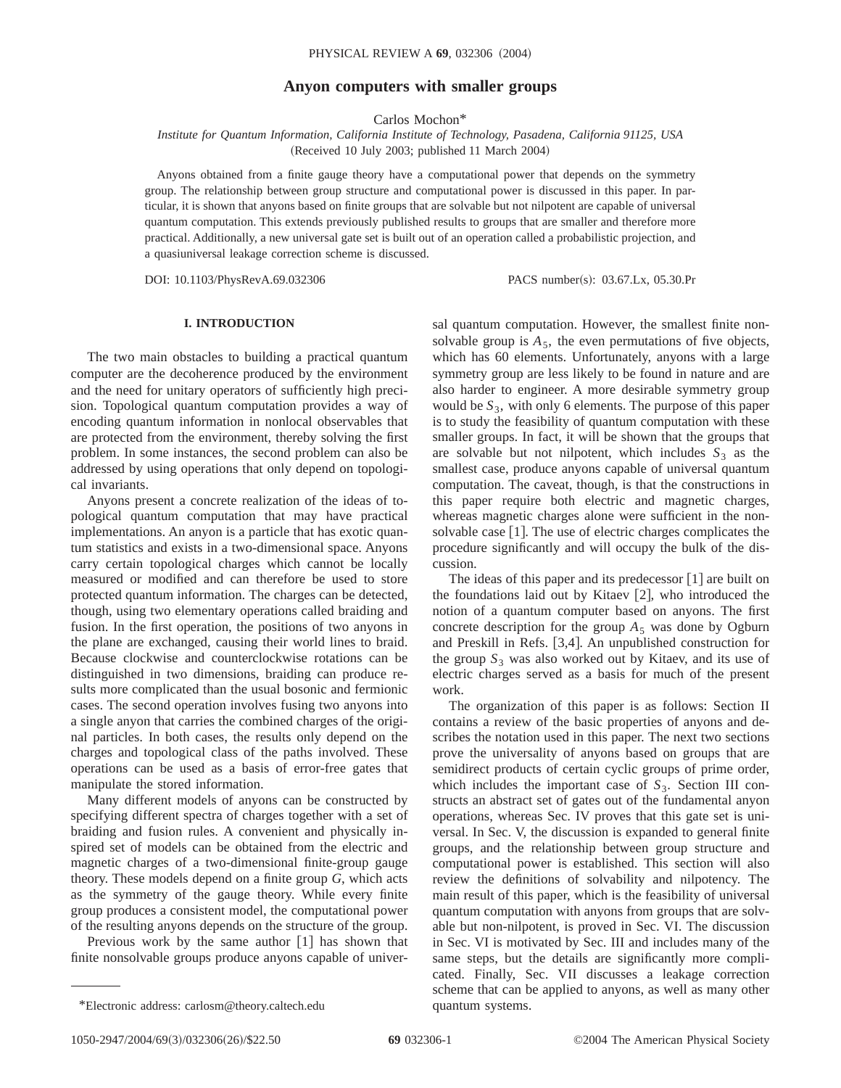# **Anyon computers with smaller groups**

Carlos Mochon\*

*Institute for Quantum Information, California Institute of Technology, Pasadena, California 91125, USA* (Received 10 July 2003; published 11 March 2004)

Anyons obtained from a finite gauge theory have a computational power that depends on the symmetry group. The relationship between group structure and computational power is discussed in this paper. In particular, it is shown that anyons based on finite groups that are solvable but not nilpotent are capable of universal quantum computation. This extends previously published results to groups that are smaller and therefore more practical. Additionally, a new universal gate set is built out of an operation called a probabilistic projection, and a quasiuniversal leakage correction scheme is discussed.

DOI: 10.1103/PhysRevA.69.032306 PACS number(s): 03.67.Lx, 05.30.Pr

# **I. INTRODUCTION**

The two main obstacles to building a practical quantum computer are the decoherence produced by the environment and the need for unitary operators of sufficiently high precision. Topological quantum computation provides a way of encoding quantum information in nonlocal observables that are protected from the environment, thereby solving the first problem. In some instances, the second problem can also be addressed by using operations that only depend on topological invariants.

Anyons present a concrete realization of the ideas of topological quantum computation that may have practical implementations. An anyon is a particle that has exotic quantum statistics and exists in a two-dimensional space. Anyons carry certain topological charges which cannot be locally measured or modified and can therefore be used to store protected quantum information. The charges can be detected, though, using two elementary operations called braiding and fusion. In the first operation, the positions of two anyons in the plane are exchanged, causing their world lines to braid. Because clockwise and counterclockwise rotations can be distinguished in two dimensions, braiding can produce results more complicated than the usual bosonic and fermionic cases. The second operation involves fusing two anyons into a single anyon that carries the combined charges of the original particles. In both cases, the results only depend on the charges and topological class of the paths involved. These operations can be used as a basis of error-free gates that manipulate the stored information.

Many different models of anyons can be constructed by specifying different spectra of charges together with a set of braiding and fusion rules. A convenient and physically inspired set of models can be obtained from the electric and magnetic charges of a two-dimensional finite-group gauge theory. These models depend on a finite group *G*, which acts as the symmetry of the gauge theory. While every finite group produces a consistent model, the computational power of the resulting anyons depends on the structure of the group.

Previous work by the same author  $[1]$  has shown that finite nonsolvable groups produce anyons capable of universal quantum computation. However, the smallest finite nonsolvable group is  $A_5$ , the even permutations of five objects, which has 60 elements. Unfortunately, anyons with a large symmetry group are less likely to be found in nature and are also harder to engineer. A more desirable symmetry group would be  $S_3$ , with only 6 elements. The purpose of this paper is to study the feasibility of quantum computation with these smaller groups. In fact, it will be shown that the groups that are solvable but not nilpotent, which includes  $S_3$  as the smallest case, produce anyons capable of universal quantum computation. The caveat, though, is that the constructions in this paper require both electric and magnetic charges, whereas magnetic charges alone were sufficient in the nonsolvable case  $[1]$ . The use of electric charges complicates the procedure significantly and will occupy the bulk of the discussion.

The ideas of this paper and its predecessor  $\lceil 1 \rceil$  are built on the foundations laid out by Kitaev  $[2]$ , who introduced the notion of a quantum computer based on anyons. The first concrete description for the group  $A_5$  was done by Ogburn and Preskill in Refs.  $[3,4]$ . An unpublished construction for the group  $S_3$  was also worked out by Kitaev, and its use of electric charges served as a basis for much of the present work.

The organization of this paper is as follows: Section II contains a review of the basic properties of anyons and describes the notation used in this paper. The next two sections prove the universality of anyons based on groups that are semidirect products of certain cyclic groups of prime order, which includes the important case of  $S_3$ . Section III constructs an abstract set of gates out of the fundamental anyon operations, whereas Sec. IV proves that this gate set is universal. In Sec. V, the discussion is expanded to general finite groups, and the relationship between group structure and computational power is established. This section will also review the definitions of solvability and nilpotency. The main result of this paper, which is the feasibility of universal quantum computation with anyons from groups that are solvable but non-nilpotent, is proved in Sec. VI. The discussion in Sec. VI is motivated by Sec. III and includes many of the same steps, but the details are significantly more complicated. Finally, Sec. VII discusses a leakage correction scheme that can be applied to anyons, as well as many other

<sup>\*</sup>Electronic address: carlosm@theory.caltech.edu quantum systems.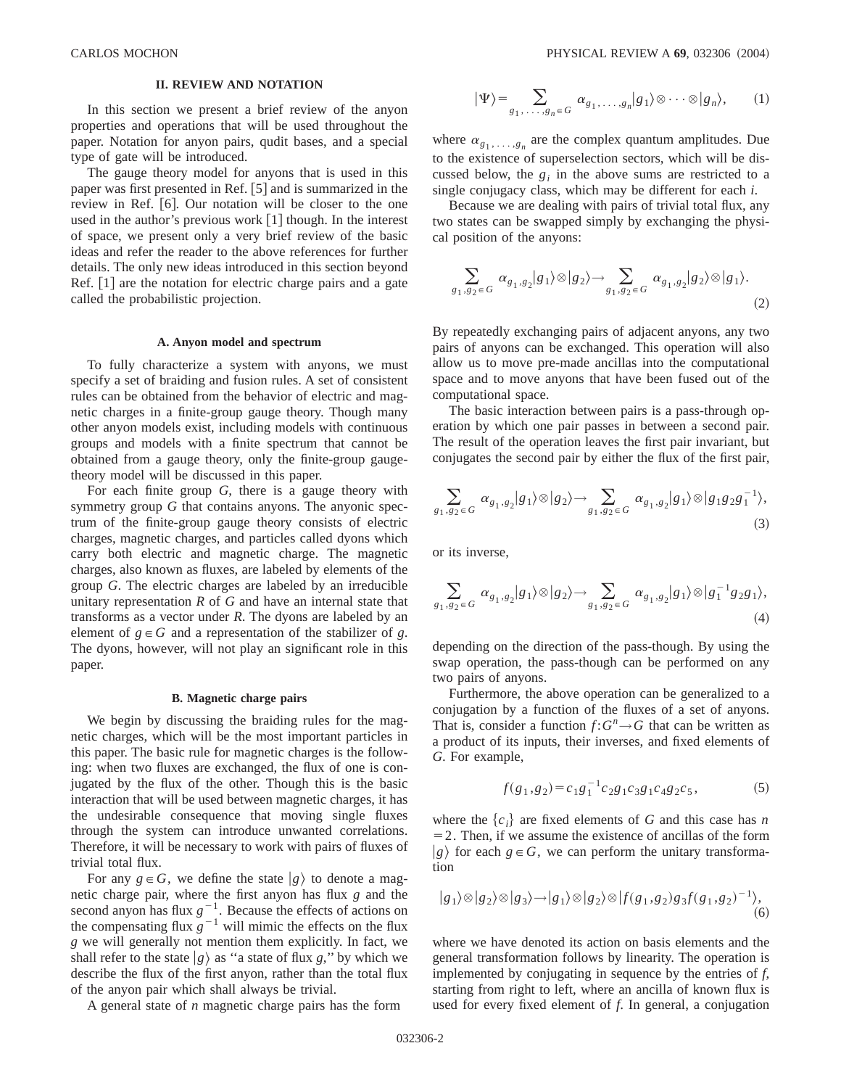# **II. REVIEW AND NOTATION**

In this section we present a brief review of the anyon properties and operations that will be used throughout the paper. Notation for anyon pairs, qudit bases, and a special type of gate will be introduced.

The gauge theory model for anyons that is used in this paper was first presented in Ref.  $[5]$  and is summarized in the review in Ref. [6]. Our notation will be closer to the one used in the author's previous work  $[1]$  though. In the interest of space, we present only a very brief review of the basic ideas and refer the reader to the above references for further details. The only new ideas introduced in this section beyond Ref.  $\lceil 1 \rceil$  are the notation for electric charge pairs and a gate called the probabilistic projection.

#### **A. Anyon model and spectrum**

To fully characterize a system with anyons, we must specify a set of braiding and fusion rules. A set of consistent rules can be obtained from the behavior of electric and magnetic charges in a finite-group gauge theory. Though many other anyon models exist, including models with continuous groups and models with a finite spectrum that cannot be obtained from a gauge theory, only the finite-group gaugetheory model will be discussed in this paper.

For each finite group *G*, there is a gauge theory with symmetry group *G* that contains anyons. The anyonic spectrum of the finite-group gauge theory consists of electric charges, magnetic charges, and particles called dyons which carry both electric and magnetic charge. The magnetic charges, also known as fluxes, are labeled by elements of the group *G*. The electric charges are labeled by an irreducible unitary representation *R* of *G* and have an internal state that transforms as a vector under *R*. The dyons are labeled by an element of  $g \in G$  and a representation of the stabilizer of *g*. The dyons, however, will not play an significant role in this paper.

#### **B. Magnetic charge pairs**

We begin by discussing the braiding rules for the magnetic charges, which will be the most important particles in this paper. The basic rule for magnetic charges is the following: when two fluxes are exchanged, the flux of one is conjugated by the flux of the other. Though this is the basic interaction that will be used between magnetic charges, it has the undesirable consequence that moving single fluxes through the system can introduce unwanted correlations. Therefore, it will be necessary to work with pairs of fluxes of trivial total flux.

For any  $g \in G$ , we define the state  $|g\rangle$  to denote a magnetic charge pair, where the first anyon has flux *g* and the second anyon has flux  $g^{-1}$ . Because the effects of actions on the compensating flux  $g^{-1}$  will mimic the effects on the flux *g* we will generally not mention them explicitly. In fact, we shall refer to the state  $|g\rangle$  as "a state of flux *g*," by which we describe the flux of the first anyon, rather than the total flux of the anyon pair which shall always be trivial.

A general state of *n* magnetic charge pairs has the form

$$
|\Psi\rangle = \sum_{g_1,\ldots,g_n \in G} \alpha_{g_1,\ldots,g_n} |g_1\rangle \otimes \cdots \otimes |g_n\rangle, \qquad (1)
$$

where  $\alpha_{g_1, \ldots, g_n}$  are the complex quantum amplitudes. Due to the existence of superselection sectors, which will be discussed below, the  $g_i$  in the above sums are restricted to a single conjugacy class, which may be different for each *i*.

Because we are dealing with pairs of trivial total flux, any two states can be swapped simply by exchanging the physical position of the anyons:

$$
\sum_{g_1,g_2 \in G} \alpha_{g_1,g_2} |g_1\rangle \otimes |g_2\rangle \rightarrow \sum_{g_1,g_2 \in G} \alpha_{g_1,g_2} |g_2\rangle \otimes |g_1\rangle. \tag{2}
$$

By repeatedly exchanging pairs of adjacent anyons, any two pairs of anyons can be exchanged. This operation will also allow us to move pre-made ancillas into the computational space and to move anyons that have been fused out of the computational space.

The basic interaction between pairs is a pass-through operation by which one pair passes in between a second pair. The result of the operation leaves the first pair invariant, but conjugates the second pair by either the flux of the first pair,

$$
\sum_{g_1,g_2 \in G} \alpha_{g_1,g_2} |g_1\rangle \otimes |g_2\rangle \rightarrow \sum_{g_1,g_2 \in G} \alpha_{g_1,g_2} |g_1\rangle \otimes |g_1g_2g_1^{-1}\rangle, \tag{3}
$$

or its inverse,

$$
\sum_{g_1,g_2 \in G} \alpha_{g_1,g_2} |g_1\rangle \otimes |g_2\rangle \rightarrow \sum_{g_1,g_2 \in G} \alpha_{g_1,g_2} |g_1\rangle \otimes |g_1^{-1}g_2g_1\rangle, \tag{4}
$$

depending on the direction of the pass-though. By using the swap operation, the pass-though can be performed on any two pairs of anyons.

Furthermore, the above operation can be generalized to a conjugation by a function of the fluxes of a set of anyons. That is, consider a function  $f: G^n \to G$  that can be written as a product of its inputs, their inverses, and fixed elements of *G*. For example,

$$
f(g_1, g_2) = c_1 g_1^{-1} c_2 g_1 c_3 g_1 c_4 g_2 c_5, \tag{5}
$$

where the  ${c_i}$  are fixed elements of *G* and this case has *n*  $=$  2. Then, if we assume the existence of ancillas of the form  $|g\rangle$  for each  $g \in G$ , we can perform the unitary transformation

$$
|g_1\rangle \otimes |g_2\rangle \otimes |g_3\rangle \rightarrow |g_1\rangle \otimes |g_2\rangle \otimes |f(g_1, g_2)g_3f(g_1, g_2)^{-1}\rangle, \tag{6}
$$

where we have denoted its action on basis elements and the general transformation follows by linearity. The operation is implemented by conjugating in sequence by the entries of *f*, starting from right to left, where an ancilla of known flux is used for every fixed element of *f*. In general, a conjugation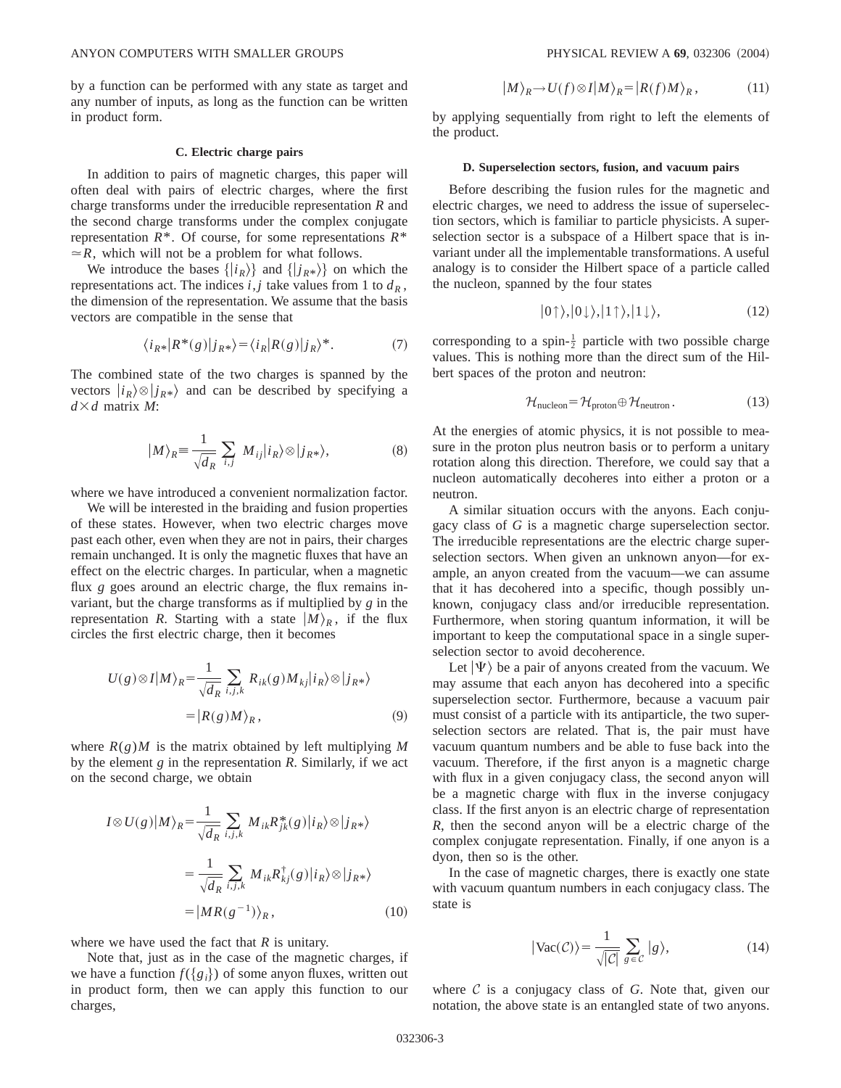by a function can be performed with any state as target and any number of inputs, as long as the function can be written in product form.

### **C. Electric charge pairs**

In addition to pairs of magnetic charges, this paper will often deal with pairs of electric charges, where the first charge transforms under the irreducible representation *R* and the second charge transforms under the complex conjugate representation  $R^*$ . Of course, for some representations  $R^*$  $\approx R$ , which will not be a problem for what follows.

We introduce the bases  $\{|i_R\rangle\}$  and  $\{|j_{R*}\rangle\}$  on which the representations act. The indices  $i, j$  take values from 1 to  $d_R$ , the dimension of the representation. We assume that the basis vectors are compatible in the sense that

$$
\langle i_{R*}|R^*(g)|j_{R*}\rangle = \langle i_R|R(g)|j_R\rangle^*.
$$
 (7)

The combined state of the two charges is spanned by the vectors  $|i_R\rangle \otimes |j_{R*}\rangle$  and can be described by specifying a  $d \times d$  matrix *M*:

$$
|M\rangle_R \equiv \frac{1}{\sqrt{d_R}} \sum_{i,j} M_{ij} |i_R\rangle \otimes |j_{R*}\rangle, \tag{8}
$$

where we have introduced a convenient normalization factor.

We will be interested in the braiding and fusion properties of these states. However, when two electric charges move past each other, even when they are not in pairs, their charges remain unchanged. It is only the magnetic fluxes that have an effect on the electric charges. In particular, when a magnetic flux *g* goes around an electric charge, the flux remains invariant, but the charge transforms as if multiplied by *g* in the representation *R*. Starting with a state  $|M\rangle_R$ , if the flux circles the first electric charge, then it becomes

$$
U(g) \otimes I|M\rangle_R = \frac{1}{\sqrt{d_R}} \sum_{i,j,k} R_{ik}(g) M_{kj} |i_R\rangle \otimes |j_{R*}\rangle
$$
  
=  $|R(g)M\rangle_R$ , (9)

where  $R(g)M$  is the matrix obtained by left multiplying M by the element *g* in the representation *R*. Similarly, if we act on the second charge, we obtain

$$
I \otimes U(g)|M\rangle_R = \frac{1}{\sqrt{d_R}} \sum_{i,j,k} M_{ik} R_{jk}^*(g)|i_R\rangle \otimes |j_{R*}\rangle
$$
  

$$
= \frac{1}{\sqrt{d_R}} \sum_{i,j,k} M_{ik} R_{kj}^\dagger(g)|i_R\rangle \otimes |j_{R*}\rangle
$$
  

$$
= |MR(g^{-1})\rangle_R, \qquad (10)
$$

where we have used the fact that *R* is unitary.

Note that, just as in the case of the magnetic charges, if we have a function  $f({g_i})$  of some anyon fluxes, written out in product form, then we can apply this function to our charges,

$$
|M\rangle_R \to U(f) \otimes I |M\rangle_R = |R(f)M\rangle_R, \qquad (11)
$$

by applying sequentially from right to left the elements of the product.

# **D. Superselection sectors, fusion, and vacuum pairs**

Before describing the fusion rules for the magnetic and electric charges, we need to address the issue of superselection sectors, which is familiar to particle physicists. A superselection sector is a subspace of a Hilbert space that is invariant under all the implementable transformations. A useful analogy is to consider the Hilbert space of a particle called the nucleon, spanned by the four states

$$
|0\uparrow\rangle, |0\downarrow\rangle, |1\uparrow\rangle, |1\downarrow\rangle, \tag{12}
$$

corresponding to a spin- $\frac{1}{2}$  particle with two possible charge values. This is nothing more than the direct sum of the Hilbert spaces of the proton and neutron:

$$
\mathcal{H}_{\text{nucleon}} = \mathcal{H}_{\text{proton}} \oplus \mathcal{H}_{\text{neutron}}.
$$
 (13)

At the energies of atomic physics, it is not possible to measure in the proton plus neutron basis or to perform a unitary rotation along this direction. Therefore, we could say that a nucleon automatically decoheres into either a proton or a neutron.

A similar situation occurs with the anyons. Each conjugacy class of *G* is a magnetic charge superselection sector. The irreducible representations are the electric charge superselection sectors. When given an unknown anyon—for example, an anyon created from the vacuum—we can assume that it has decohered into a specific, though possibly unknown, conjugacy class and/or irreducible representation. Furthermore, when storing quantum information, it will be important to keep the computational space in a single superselection sector to avoid decoherence.

Let  $|\Psi\rangle$  be a pair of anyons created from the vacuum. We may assume that each anyon has decohered into a specific superselection sector. Furthermore, because a vacuum pair must consist of a particle with its antiparticle, the two superselection sectors are related. That is, the pair must have vacuum quantum numbers and be able to fuse back into the vacuum. Therefore, if the first anyon is a magnetic charge with flux in a given conjugacy class, the second anyon will be a magnetic charge with flux in the inverse conjugacy class. If the first anyon is an electric charge of representation *R*, then the second anyon will be a electric charge of the complex conjugate representation. Finally, if one anyon is a dyon, then so is the other.

In the case of magnetic charges, there is exactly one state with vacuum quantum numbers in each conjugacy class. The state is

$$
|\text{Vac}(\mathcal{C})\rangle = \frac{1}{\sqrt{|\mathcal{C}|}} \sum_{g \in \mathcal{C}} |g\rangle,
$$
 (14)

where C is a conjugacy class of *G*. Note that, given our notation, the above state is an entangled state of two anyons.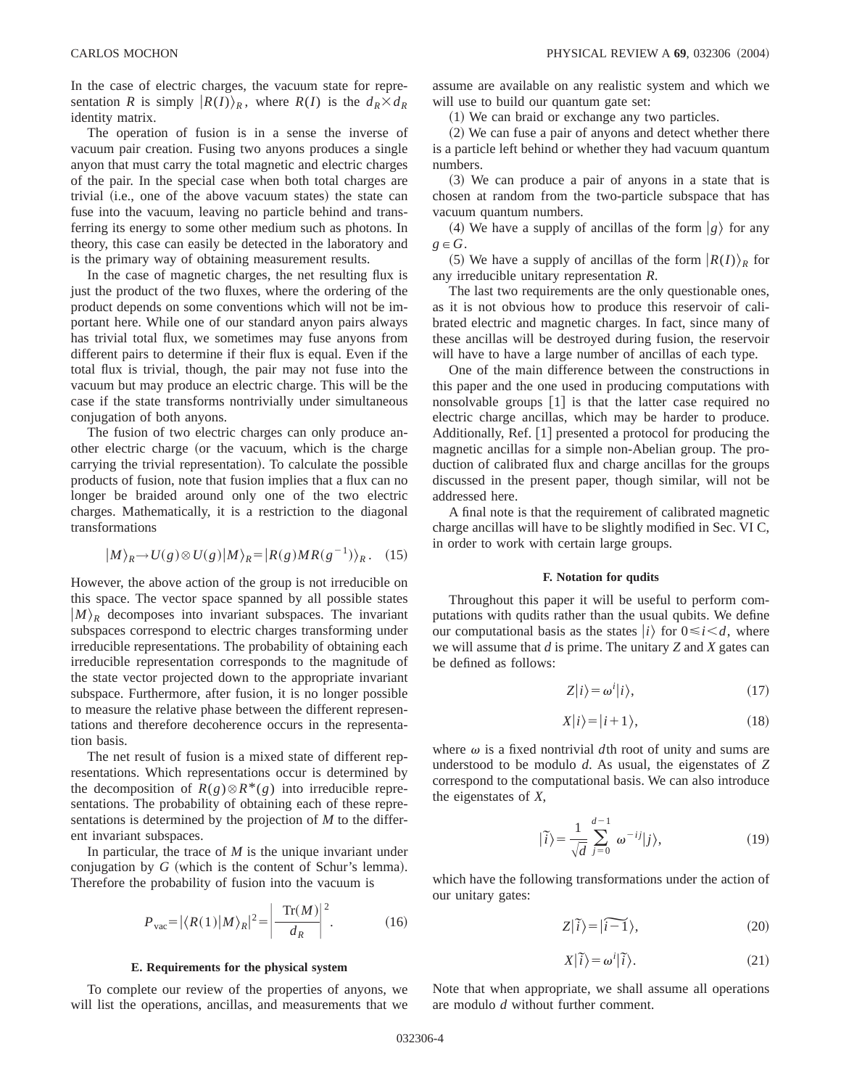In the case of electric charges, the vacuum state for representation *R* is simply  $|R(I)\rangle_R$ , where *R(I)* is the  $d_R \times d_R$ identity matrix.

The operation of fusion is in a sense the inverse of vacuum pair creation. Fusing two anyons produces a single anyon that must carry the total magnetic and electric charges of the pair. In the special case when both total charges are trivial (i.e., one of the above vacuum states) the state can fuse into the vacuum, leaving no particle behind and transferring its energy to some other medium such as photons. In theory, this case can easily be detected in the laboratory and is the primary way of obtaining measurement results.

In the case of magnetic charges, the net resulting flux is just the product of the two fluxes, where the ordering of the product depends on some conventions which will not be important here. While one of our standard anyon pairs always has trivial total flux, we sometimes may fuse anyons from different pairs to determine if their flux is equal. Even if the total flux is trivial, though, the pair may not fuse into the vacuum but may produce an electric charge. This will be the case if the state transforms nontrivially under simultaneous conjugation of both anyons.

The fusion of two electric charges can only produce another electric charge (or the vacuum, which is the charge carrying the trivial representation). To calculate the possible products of fusion, note that fusion implies that a flux can no longer be braided around only one of the two electric charges. Mathematically, it is a restriction to the diagonal transformations

$$
|M\rangle_R \to U(g) \otimes U(g)|M\rangle_R = |R(g)MR(g^{-1})\rangle_R. \quad (15)
$$

However, the above action of the group is not irreducible on this space. The vector space spanned by all possible states  $|M\rangle$ <sup>*R*</sup> decomposes into invariant subspaces. The invariant subspaces correspond to electric charges transforming under irreducible representations. The probability of obtaining each irreducible representation corresponds to the magnitude of the state vector projected down to the appropriate invariant subspace. Furthermore, after fusion, it is no longer possible to measure the relative phase between the different representations and therefore decoherence occurs in the representation basis.

The net result of fusion is a mixed state of different representations. Which representations occur is determined by the decomposition of  $R(g) \otimes R^*(g)$  into irreducible representations. The probability of obtaining each of these representations is determined by the projection of *M* to the different invariant subspaces.

In particular, the trace of *M* is the unique invariant under conjugation by  $G$  (which is the content of Schur's lemma). Therefore the probability of fusion into the vacuum is

$$
P_{\text{vac}} = |\langle R(1)|M \rangle_R|^2 = \left| \frac{\text{Tr}(M)}{d_R} \right|^2. \tag{16}
$$

#### **E. Requirements for the physical system**

To complete our review of the properties of anyons, we will list the operations, ancillas, and measurements that we assume are available on any realistic system and which we will use to build our quantum gate set:

 $(1)$  We can braid or exchange any two particles.

 $(2)$  We can fuse a pair of anyons and detect whether there is a particle left behind or whether they had vacuum quantum numbers.

 $(3)$  We can produce a pair of anyons in a state that is chosen at random from the two-particle subspace that has vacuum quantum numbers.

(4) We have a supply of ancillas of the form  $|g\rangle$  for any  $g \in G$ .

(5) We have a supply of ancillas of the form  $|R(I)\rangle_R$  for any irreducible unitary representation *R*.

The last two requirements are the only questionable ones, as it is not obvious how to produce this reservoir of calibrated electric and magnetic charges. In fact, since many of these ancillas will be destroyed during fusion, the reservoir will have to have a large number of ancillas of each type.

One of the main difference between the constructions in this paper and the one used in producing computations with nonsolvable groups  $\lceil 1 \rceil$  is that the latter case required no electric charge ancillas, which may be harder to produce. Additionally, Ref.  $\lceil 1 \rceil$  presented a protocol for producing the magnetic ancillas for a simple non-Abelian group. The production of calibrated flux and charge ancillas for the groups discussed in the present paper, though similar, will not be addressed here.

A final note is that the requirement of calibrated magnetic charge ancillas will have to be slightly modified in Sec. VI C, in order to work with certain large groups.

#### **F. Notation for qudits**

Throughout this paper it will be useful to perform computations with qudits rather than the usual qubits. We define our computational basis as the states  $|i\rangle$  for  $0 \le i \le d$ , where we will assume that *d* is prime. The unitary *Z* and *X* gates can be defined as follows:

$$
Z|i\rangle = \omega^i|i\rangle,\tag{17}
$$

$$
X|i\rangle = |i+1\rangle, \tag{18}
$$

where  $\omega$  is a fixed nontrivial *d*th root of unity and sums are understood to be modulo *d*. As usual, the eigenstates of *Z* correspond to the computational basis. We can also introduce the eigenstates of *X*,

$$
|\tilde{i}\rangle = \frac{1}{\sqrt{d}} \sum_{j=0}^{d-1} \omega^{-ij} |j\rangle, \qquad (19)
$$

which have the following transformations under the action of our unitary gates:

$$
Z|\tilde{i}\rangle = |\widetilde{i-1}\rangle,\tag{20}
$$

$$
X|\tilde{i}\rangle = \omega^i|\tilde{i}\rangle. \tag{21}
$$

Note that when appropriate, we shall assume all operations are modulo *d* without further comment.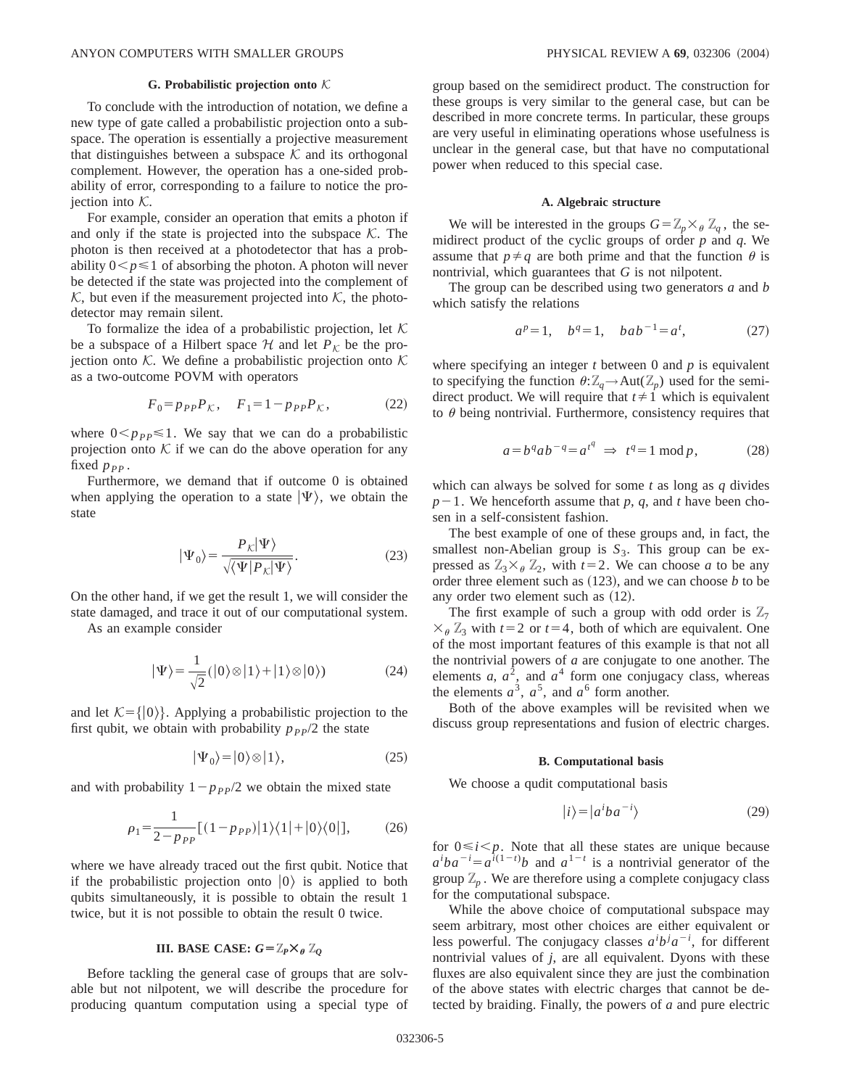# **G. Probabilistic projection onto** K

To conclude with the introduction of notation, we define a new type of gate called a probabilistic projection onto a subspace. The operation is essentially a projective measurement that distinguishes between a subspace  $K$  and its orthogonal complement. However, the operation has a one-sided probability of error, corresponding to a failure to notice the projection into  $K$ .

For example, consider an operation that emits a photon if and only if the state is projected into the subspace  $K$ . The photon is then received at a photodetector that has a probability  $0 < p \le 1$  of absorbing the photon. A photon will never be detected if the state was projected into the complement of  $K$ , but even if the measurement projected into  $K$ , the photodetector may remain silent.

To formalize the idea of a probabilistic projection, let  $K$ be a subspace of a Hilbert space  $H$  and let  $P_K$  be the projection onto K. We define a probabilistic projection onto  $K$ as a two-outcome POVM with operators

$$
F_0 = p_{PP} P_K, \quad F_1 = 1 - p_{PP} P_K,\tag{22}
$$

where  $0 \le p_{PP} \le 1$ . We say that we can do a probabilistic projection onto  $K$  if we can do the above operation for any fixed  $p_{PP}$ .

Furthermore, we demand that if outcome 0 is obtained when applying the operation to a state  $|\Psi\rangle$ , we obtain the state

$$
|\Psi_0\rangle = \frac{P_{\mathcal{K}}|\Psi\rangle}{\sqrt{\langle \Psi | P_{\mathcal{K}} | \Psi \rangle}}.
$$
 (23)

On the other hand, if we get the result 1, we will consider the state damaged, and trace it out of our computational system.

As an example consider

$$
|\Psi\rangle = \frac{1}{\sqrt{2}} (|0\rangle \otimes |1\rangle + |1\rangle \otimes |0\rangle)
$$
 (24)

and let  $K=\{|0\rangle\}$ . Applying a probabilistic projection to the first qubit, we obtain with probability  $p_{PP}/2$  the state

$$
|\Psi_0\rangle = |0\rangle \otimes |1\rangle,\tag{25}
$$

and with probability  $1-p_{PP}/2$  we obtain the mixed state

$$
\rho_1 = \frac{1}{2 - p_{PP}} [(1 - p_{PP}) | 1 \rangle \langle 1 | + | 0 \rangle \langle 0 |], \tag{26}
$$

where we have already traced out the first qubit. Notice that if the probabilistic projection onto  $|0\rangle$  is applied to both qubits simultaneously, it is possible to obtain the result 1 twice, but it is not possible to obtain the result 0 twice.

# **III.** BASE CASE:  $G = \mathbb{Z}_P \times_{\theta} \mathbb{Z}_O$

Before tackling the general case of groups that are solvable but not nilpotent, we will describe the procedure for producing quantum computation using a special type of group based on the semidirect product. The construction for these groups is very similar to the general case, but can be described in more concrete terms. In particular, these groups are very useful in eliminating operations whose usefulness is unclear in the general case, but that have no computational power when reduced to this special case.

#### **A. Algebraic structure**

We will be interested in the groups  $G = \mathbb{Z}_p \times_{\theta} \mathbb{Z}_q$ , the semidirect product of the cyclic groups of order *p* and *q*. We assume that  $p \neq q$  are both prime and that the function  $\theta$  is nontrivial, which guarantees that *G* is not nilpotent.

The group can be described using two generators *a* and *b* which satisfy the relations

$$
a^p = 1, \quad b^q = 1, \quad bab^{-1} = a^t,\tag{27}
$$

where specifying an integer *t* between 0 and *p* is equivalent to specifying the function  $\theta: \mathbb{Z}_q \to \text{Aut}(\mathbb{Z}_p)$  used for the semidirect product. We will require that  $t \neq 1$  which is equivalent to  $\theta$  being nontrivial. Furthermore, consistency requires that

$$
a = b^q a b^{-q} = a^{t^q} \Rightarrow t^q = 1 \mod p, \tag{28}
$$

which can always be solved for some *t* as long as *q* divides  $p-1$ . We henceforth assume that *p*, *q*, and *t* have been chosen in a self-consistent fashion.

The best example of one of these groups and, in fact, the smallest non-Abelian group is  $S_3$ . This group can be expressed as  $\mathbb{Z}_3\times_{\theta} \mathbb{Z}_2$ , with  $t=2$ . We can choose *a* to be any order three element such as  $(123)$ , and we can choose *b* to be any order two element such as  $(12)$ .

The first example of such a group with odd order is  $\mathbb{Z}_7$  $\times_{\theta} \mathbb{Z}_3$  with  $t=2$  or  $t=4$ , both of which are equivalent. One of the most important features of this example is that not all the nontrivial powers of *a* are conjugate to one another. The elements  $a$ ,  $a^2$ , and  $a^4$  form one conjugacy class, whereas the elements  $a^3$ ,  $a^5$ , and  $a^6$  form another.

Both of the above examples will be revisited when we discuss group representations and fusion of electric charges.

#### **B. Computational basis**

We choose a qudit computational basis

$$
|i\rangle = |a^i b a^{-i}\rangle \tag{29}
$$

for  $0 \le i \le p$ . Note that all these states are unique because  $a^i b a^{-i} = a^{i(1-t)} b$  and  $a^{1-t}$  is a nontrivial generator of the group  $\mathbb{Z}_n$ . We are therefore using a complete conjugacy class for the computational subspace.

While the above choice of computational subspace may seem arbitrary, most other choices are either equivalent or less powerful. The conjugacy classes  $a^i b^j a^{-i}$ , for different nontrivial values of *j*, are all equivalent. Dyons with these fluxes are also equivalent since they are just the combination of the above states with electric charges that cannot be detected by braiding. Finally, the powers of *a* and pure electric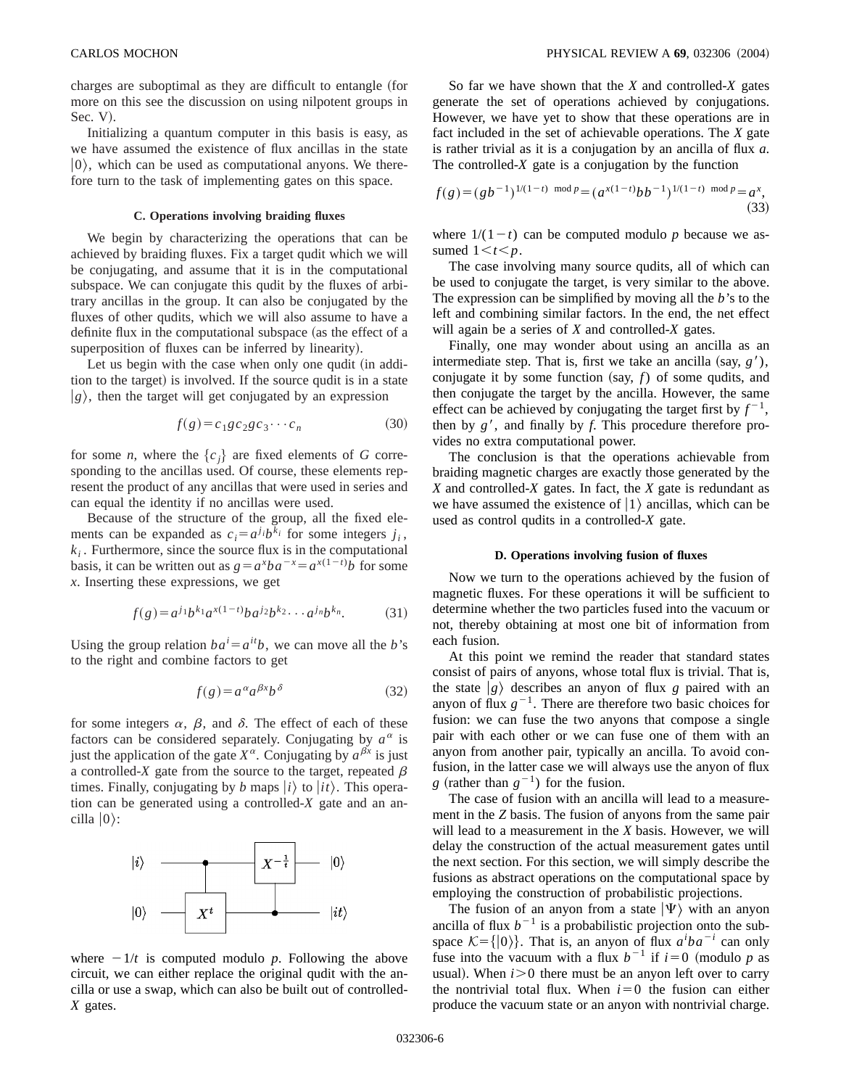charges are suboptimal as they are difficult to entangle (for more on this see the discussion on using nilpotent groups in Sec.  $V$ ).

Initializing a quantum computer in this basis is easy, as we have assumed the existence of flux ancillas in the state  $|0\rangle$ , which can be used as computational anyons. We therefore turn to the task of implementing gates on this space.

#### **C. Operations involving braiding fluxes**

We begin by characterizing the operations that can be achieved by braiding fluxes. Fix a target qudit which we will be conjugating, and assume that it is in the computational subspace. We can conjugate this qudit by the fluxes of arbitrary ancillas in the group. It can also be conjugated by the fluxes of other qudits, which we will also assume to have a definite flux in the computational subspace (as the effect of a superposition of fluxes can be inferred by linearity).

Let us begin with the case when only one qudit (in addition to the target) is involved. If the source qudit is in a state  $|g\rangle$ , then the target will get conjugated by an expression

$$
f(g) = c_1 g c_2 g c_3 \cdots c_n \tag{30}
$$

for some *n*, where the  ${c_i}$  are fixed elements of *G* corresponding to the ancillas used. Of course, these elements represent the product of any ancillas that were used in series and can equal the identity if no ancillas were used.

Because of the structure of the group, all the fixed elements can be expanded as  $c_i = a^{j_i}b^{k_i}$  for some integers  $j_i$ ,  $k_i$ . Furthermore, since the source flux is in the computational basis, it can be written out as  $g = a^x b a^{-x} = a^{x(1-t)} b$  for some *x*. Inserting these expressions, we get

$$
f(g) = a^{j_1}b^{k_1}a^{x(1-t)}ba^{j_2}b^{k_2}\cdots a^{j_n}b^{k_n}.
$$
 (31)

Using the group relation  $ba^i = a^{it}b$ , we can move all the *b*'s to the right and combine factors to get

$$
f(g) = a^{\alpha} a^{\beta x} b^{\delta} \tag{32}
$$

for some integers  $\alpha$ ,  $\beta$ , and  $\delta$ . The effect of each of these factors can be considered separately. Conjugating by  $a^{\alpha}$  is just the application of the gate  $X^{\alpha}$ . Conjugating by  $a^{\beta x}$  is just a controlled- $X$  gate from the source to the target, repeated  $\beta$ times. Finally, conjugating by *b* maps  $|i\rangle$  to  $|it\rangle$ . This operation can be generated using a controlled-*X* gate and an ancilla  $|0\rangle$ :



where  $-1/t$  is computed modulo *p*. Following the above circuit, we can either replace the original qudit with the ancilla or use a swap, which can also be built out of controlled-*X* gates.

So far we have shown that the *X* and controlled-*X* gates generate the set of operations achieved by conjugations. However, we have yet to show that these operations are in fact included in the set of achievable operations. The *X* gate is rather trivial as it is a conjugation by an ancilla of flux *a*. The controlled- $X$  gate is a conjugation by the function

$$
f(g) = (gb^{-1})^{1/(1-t) \mod p} = (a^{x(1-t)}bb^{-1})^{1/(1-t) \mod p} = a^x,
$$
\n(33)

where  $1/(1-t)$  can be computed modulo *p* because we assumed  $1 \lt t \lt p$ .

The case involving many source qudits, all of which can be used to conjugate the target, is very similar to the above. The expression can be simplified by moving all the *b*'s to the left and combining similar factors. In the end, the net effect will again be a series of *X* and controlled-*X* gates.

Finally, one may wonder about using an ancilla as an intermediate step. That is, first we take an ancilla  $(say, g'),$ conjugate it by some function  $(say, f)$  of some qudits, and then conjugate the target by the ancilla. However, the same effect can be achieved by conjugating the target first by  $f^{-1}$ , then by  $g'$ , and finally by  $f$ . This procedure therefore provides no extra computational power.

The conclusion is that the operations achievable from braiding magnetic charges are exactly those generated by the *X* and controlled-*X* gates. In fact, the *X* gate is redundant as we have assumed the existence of  $|1\rangle$  ancillas, which can be used as control qudits in a controlled-*X* gate.

#### **D. Operations involving fusion of fluxes**

Now we turn to the operations achieved by the fusion of magnetic fluxes. For these operations it will be sufficient to determine whether the two particles fused into the vacuum or not, thereby obtaining at most one bit of information from each fusion.

At this point we remind the reader that standard states consist of pairs of anyons, whose total flux is trivial. That is, the state  $|g\rangle$  describes an anyon of flux *g* paired with an anyon of flux  $g^{-1}$ . There are therefore two basic choices for fusion: we can fuse the two anyons that compose a single pair with each other or we can fuse one of them with an anyon from another pair, typically an ancilla. To avoid confusion, in the latter case we will always use the anyon of flux *g* (rather than  $g^{-1}$ ) for the fusion.

The case of fusion with an ancilla will lead to a measurement in the *Z* basis. The fusion of anyons from the same pair will lead to a measurement in the *X* basis. However, we will delay the construction of the actual measurement gates until the next section. For this section, we will simply describe the fusions as abstract operations on the computational space by employing the construction of probabilistic projections.

The fusion of an anyon from a state  $|\Psi\rangle$  with an anyon ancilla of flux  $b^{-1}$  is a probabilistic projection onto the subspace  $K=\{|0\rangle\}$ . That is, an anyon of flux  $a^iba^{-i}$  can only fuse into the vacuum with a flux  $b^{-1}$  if  $i=0$  (modulo p as usual). When  $i>0$  there must be an anyon left over to carry the nontrivial total flux. When  $i=0$  the fusion can either produce the vacuum state or an anyon with nontrivial charge.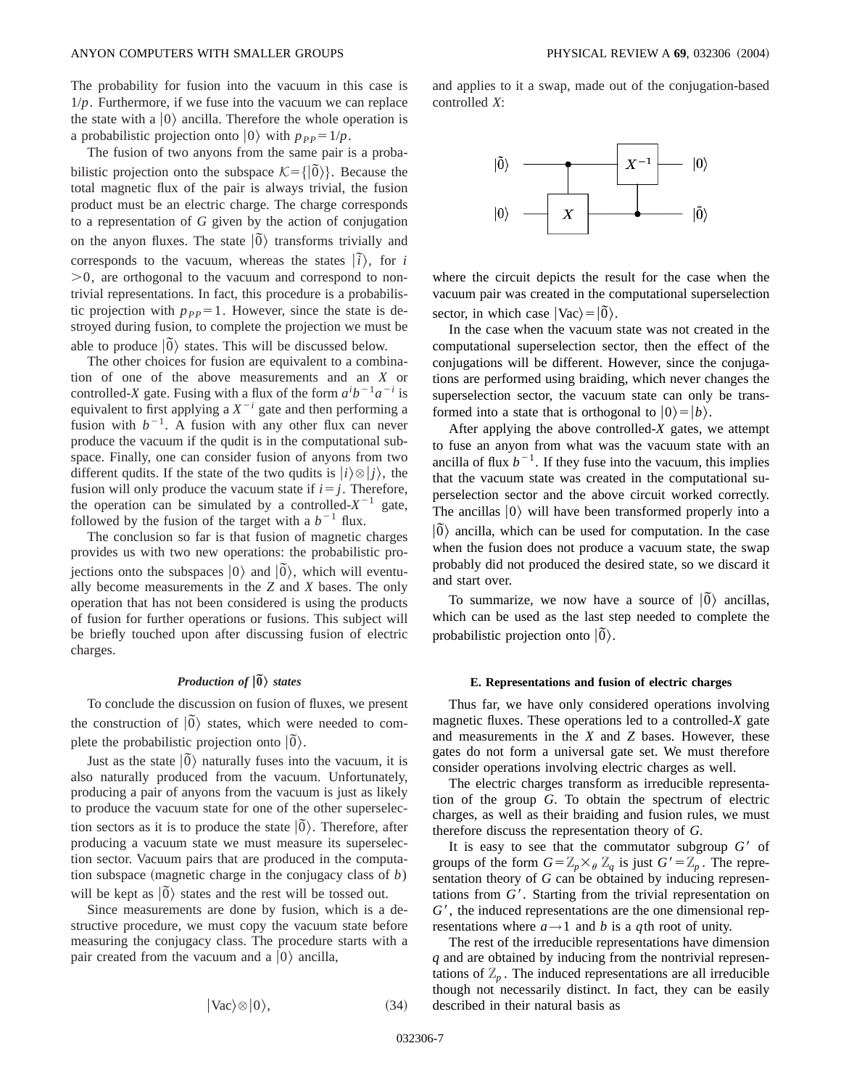The probability for fusion into the vacuum in this case is  $1/p$ . Furthermore, if we fuse into the vacuum we can replace the state with a  $|0\rangle$  ancilla. Therefore the whole operation is a probabilistic projection onto  $|0\rangle$  with  $p_{PP}=1/p$ .

The fusion of two anyons from the same pair is a probabilistic projection onto the subspace  $K = \{|\vec{0}\rangle\}$ . Because the total magnetic flux of the pair is always trivial, the fusion product must be an electric charge. The charge corresponds to a representation of *G* given by the action of conjugation on the anyon fluxes. The state  $|\tilde{0}\rangle$  transforms trivially and corresponds to the vacuum, whereas the states  $|\tilde{i}\rangle$ , for *i*  $>0$ , are orthogonal to the vacuum and correspond to nontrivial representations. In fact, this procedure is a probabilistic projection with  $p_{PP}=1$ . However, since the state is destroyed during fusion, to complete the projection we must be able to produce  $|\tilde{0}\rangle$  states. This will be discussed below.

The other choices for fusion are equivalent to a combination of one of the above measurements and an *X* or controlled-*X* gate. Fusing with a flux of the form  $a^i b^{-1} a^{-i}$  is equivalent to first applying a  $X^{-i}$  gate and then performing a fusion with  $b^{-1}$ . A fusion with any other flux can never produce the vacuum if the qudit is in the computational subspace. Finally, one can consider fusion of anyons from two different qudits. If the state of the two qudits is  $|i\rangle \otimes |j\rangle$ , the fusion will only produce the vacuum state if  $i = j$ . Therefore, the operation can be simulated by a controlled- $X^{-1}$  gate, followed by the fusion of the target with a  $b^{-1}$  flux.

The conclusion so far is that fusion of magnetic charges provides us with two new operations: the probabilistic projections onto the subspaces  $|0\rangle$  and  $|\tilde{0}\rangle$ , which will eventually become measurements in the *Z* and *X* bases. The only operation that has not been considered is using the products of fusion for further operations or fusions. This subject will be briefly touched upon after discussing fusion of electric charges.

# *Production of*  $|\tilde{0}\rangle$  *states*

To conclude the discussion on fusion of fluxes, we present the construction of  $|0\rangle$  states, which were needed to complete the probabilistic projection onto  $|\tilde{0}\rangle$ .

Just as the state  $|\tilde{0}\rangle$  naturally fuses into the vacuum, it is also naturally produced from the vacuum. Unfortunately, producing a pair of anyons from the vacuum is just as likely to produce the vacuum state for one of the other superselection sectors as it is to produce the state  $|\vec{0}\rangle$ . Therefore, after producing a vacuum state we must measure its superselection sector. Vacuum pairs that are produced in the computation subspace (magnetic charge in the conjugacy class of  $b$ ) will be kept as  $|\tilde{0}\rangle$  states and the rest will be tossed out.

Since measurements are done by fusion, which is a destructive procedure, we must copy the vacuum state before measuring the conjugacy class. The procedure starts with a pair created from the vacuum and a  $|0\rangle$  ancilla,

$$
|\text{Vac}\rangle \otimes |0\rangle, \tag{34}
$$

and applies to it a swap, made out of the conjugation-based controlled *X*:



where the circuit depicts the result for the case when the vacuum pair was created in the computational superselection sector, in which case  $|\text{Vac}\rangle = |\tilde{0}\rangle$ .

In the case when the vacuum state was not created in the computational superselection sector, then the effect of the conjugations will be different. However, since the conjugations are performed using braiding, which never changes the superselection sector, the vacuum state can only be transformed into a state that is orthogonal to  $|0\rangle = |b\rangle$ .

After applying the above controlled-*X* gates, we attempt to fuse an anyon from what was the vacuum state with an ancilla of flux  $b^{-1}$ . If they fuse into the vacuum, this implies that the vacuum state was created in the computational superselection sector and the above circuit worked correctly. The ancillas  $|0\rangle$  will have been transformed properly into a  $|\tilde{0}\rangle$  ancilla, which can be used for computation. In the case when the fusion does not produce a vacuum state, the swap probably did not produced the desired state, so we discard it and start over.

To summarize, we now have a source of  $|0\rangle$  ancillas, which can be used as the last step needed to complete the probabilistic projection onto  $|\tilde{0}\rangle$ .

#### **E. Representations and fusion of electric charges**

Thus far, we have only considered operations involving magnetic fluxes. These operations led to a controlled-*X* gate and measurements in the *X* and *Z* bases. However, these gates do not form a universal gate set. We must therefore consider operations involving electric charges as well.

The electric charges transform as irreducible representation of the group *G*. To obtain the spectrum of electric charges, as well as their braiding and fusion rules, we must therefore discuss the representation theory of *G*.

It is easy to see that the commutator subgroup  $G'$  of groups of the form  $G = \mathbb{Z}_p \times_{\theta} \mathbb{Z}_q$  is just  $G' = \mathbb{Z}_p$ . The representation theory of *G* can be obtained by inducing representations from  $G<sup>′</sup>$ . Starting from the trivial representation on  $G'$ , the induced representations are the one dimensional representations where  $a \rightarrow 1$  and *b* is a *q*th root of unity.

The rest of the irreducible representations have dimension *q* and are obtained by inducing from the nontrivial representations of  $\mathbb{Z}_p$ . The induced representations are all irreducible though not necessarily distinct. In fact, they can be easily described in their natural basis as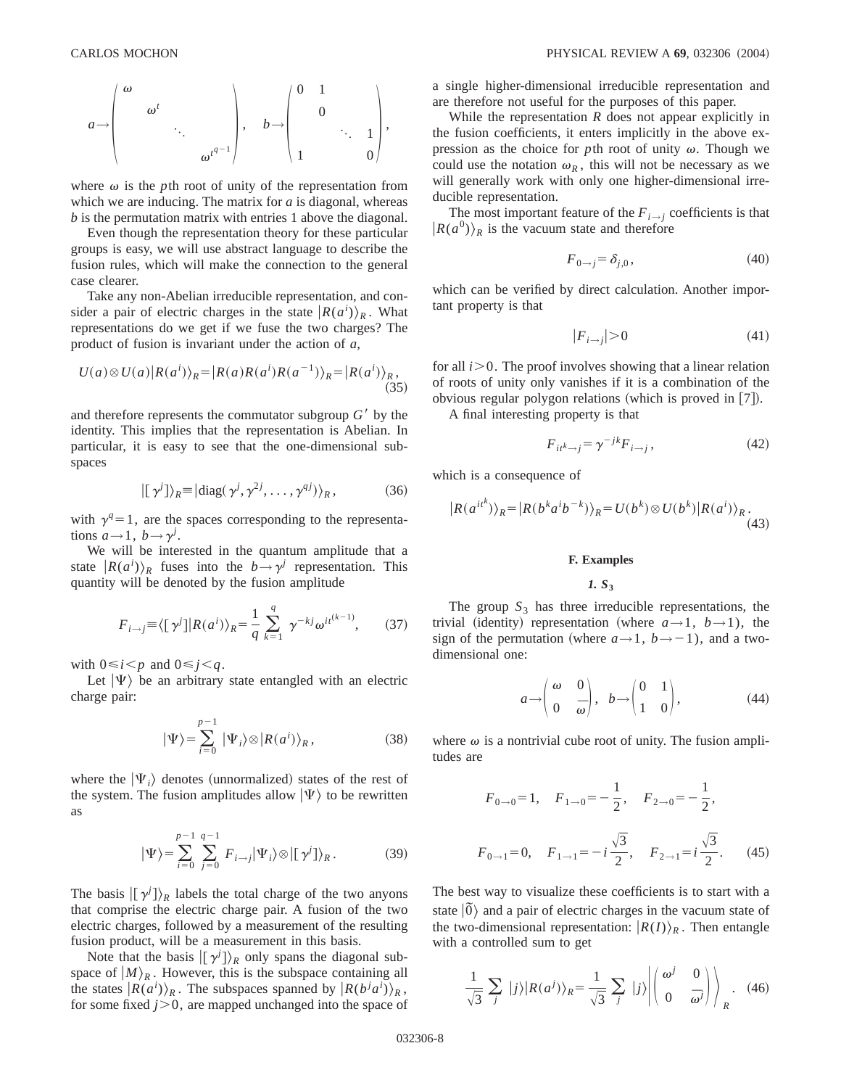$$
a\rightarrow \begin{pmatrix} \omega \\ & \omega^t \\ & & \ddots \\ & & & \omega^{t^{q-1}} \end{pmatrix}, \quad b\rightarrow \begin{pmatrix} 0 & 1 \\ & 0 \\ & & \ddots & 1 \\ & & & 0 \end{pmatrix},
$$

where  $\omega$  is the *p*th root of unity of the representation from which we are inducing. The matrix for *a* is diagonal, whereas *b* is the permutation matrix with entries 1 above the diagonal.

Even though the representation theory for these particular groups is easy, we will use abstract language to describe the fusion rules, which will make the connection to the general case clearer.

Take any non-Abelian irreducible representation, and consider a pair of electric charges in the state  $|R(a^i)\rangle_R$ . What representations do we get if we fuse the two charges? The product of fusion is invariant under the action of *a*,

$$
U(a)\otimes U(a)|R(a^i)\rangle_R = |R(a)R(a^i)R(a^{-1})\rangle_R = |R(a^i)\rangle_R,
$$
\n(35)

and therefore represents the commutator subgroup  $G'$  by the identity. This implies that the representation is Abelian. In particular, it is easy to see that the one-dimensional subspaces

$$
|[\gamma^j]\rangle_R \equiv |\text{diag}(\gamma^j, \gamma^{2j}, \dots, \gamma^{qj})\rangle_R, \qquad (36)
$$

with  $\gamma$ <sup>q</sup> = 1, are the spaces corresponding to the representations  $a \rightarrow 1$ ,  $b \rightarrow \gamma^j$ .

We will be interested in the quantum amplitude that a state  $|R(a^i)\rangle_R$  fuses into the  $b \rightarrow \gamma^j$  representation. This quantity will be denoted by the fusion amplitude

$$
F_{i \to j} \equiv \langle [\gamma^j] | R(a^i) \rangle_R = \frac{1}{q} \sum_{k=1}^q \gamma^{-kj} \omega^{it^{(k-1)}}, \qquad (37)
$$

with  $0 \le i \le p$  and  $0 \le j \le q$ .

Let  $|\Psi\rangle$  be an arbitrary state entangled with an electric charge pair:

$$
|\Psi\rangle = \sum_{i=0}^{p-1} |\Psi_i\rangle \otimes |R(a^i)\rangle_R, \qquad (38)
$$

where the  $|\Psi_i\rangle$  denotes (unnormalized) states of the rest of the system. The fusion amplitudes allow  $|\Psi\rangle$  to be rewritten as

$$
|\Psi\rangle = \sum_{i=0}^{p-1} \sum_{j=0}^{q-1} F_{i\to j} |\Psi_i\rangle \otimes |[\gamma^j]\rangle_R.
$$
 (39)

The basis  $\left[\left(\gamma^j\right]\right)_R$  labels the total charge of the two anyons that comprise the electric charge pair. A fusion of the two electric charges, followed by a measurement of the resulting fusion product, will be a measurement in this basis.

Note that the basis  $\left[\left(\gamma^j\right]\right)_R$  only spans the diagonal subspace of  $|M\rangle_R$ . However, this is the subspace containing all the states  $|R(a^i)\rangle_R$ . The subspaces spanned by  $|R(b^j a^i)\rangle_R$ , for some fixed  $j>0$ , are mapped unchanged into the space of a single higher-dimensional irreducible representation and are therefore not useful for the purposes of this paper.

While the representation *R* does not appear explicitly in the fusion coefficients, it enters implicitly in the above expression as the choice for *p*th root of unity  $\omega$ . Though we could use the notation  $\omega_R$ , this will not be necessary as we will generally work with only one higher-dimensional irreducible representation.

The most important feature of the  $F_{i\rightarrow j}$  coefficients is that  $(R(a^0))$ <sub>*R*</sub> is the vacuum state and therefore

$$
F_{0\to j} = \delta_{j,0},\tag{40}
$$

which can be verified by direct calculation. Another important property is that

$$
|F_{i \to j}| > 0 \tag{41}
$$

for all  $i>0$ . The proof involves showing that a linear relation of roots of unity only vanishes if it is a combination of the obvious regular polygon relations (which is proved in  $[7]$ ).

A final interesting property is that

$$
F_{it^k \to j} = \gamma^{-jk} F_{i \to j}, \qquad (42)
$$

which is a consequence of

$$
|R(a^{it^k})\rangle_R = |R(b^k a^i b^{-k})\rangle_R = U(b^k) \otimes U(b^k) |R(a^i)\rangle_R.
$$
\n(43)

#### **F. Examples**

### *1. S***<sup>3</sup>**

The group  $S_3$  has three irreducible representations, the trivial (identity) representation (where  $a \rightarrow 1$ ,  $b \rightarrow 1$ ), the sign of the permutation (where  $a \rightarrow 1$ ,  $b \rightarrow -1$ ), and a twodimensional one:

$$
a \rightarrow \begin{pmatrix} \omega & 0 \\ 0 & \bar{\omega} \end{pmatrix}, \quad b \rightarrow \begin{pmatrix} 0 & 1 \\ 1 & 0 \end{pmatrix}, \tag{44}
$$

where  $\omega$  is a nontrivial cube root of unity. The fusion amplitudes are

$$
F_{0\to 0} = 1, \quad F_{1\to 0} = -\frac{1}{2}, \quad F_{2\to 0} = -\frac{1}{2},
$$
  

$$
F_{0\to 1} = 0, \quad F_{1\to 1} = -i\frac{\sqrt{3}}{2}, \quad F_{2\to 1} = i\frac{\sqrt{3}}{2}.
$$
 (45)

The best way to visualize these coefficients is to start with a state  $|\tilde{0}\rangle$  and a pair of electric charges in the vacuum state of the two-dimensional representation:  $|R(I)\rangle_R$ . Then entangle with a controlled sum to get

$$
\frac{1}{\sqrt{3}}\sum_{j}|j\rangle|R(a^{j})\rangle_{R}=\frac{1}{\sqrt{3}}\sum_{j}|j\rangle\left|\begin{pmatrix}\omega^{j}&0\\0&\bar{\omega}^{j}\end{pmatrix}\right\rangle_{R}.
$$
 (46)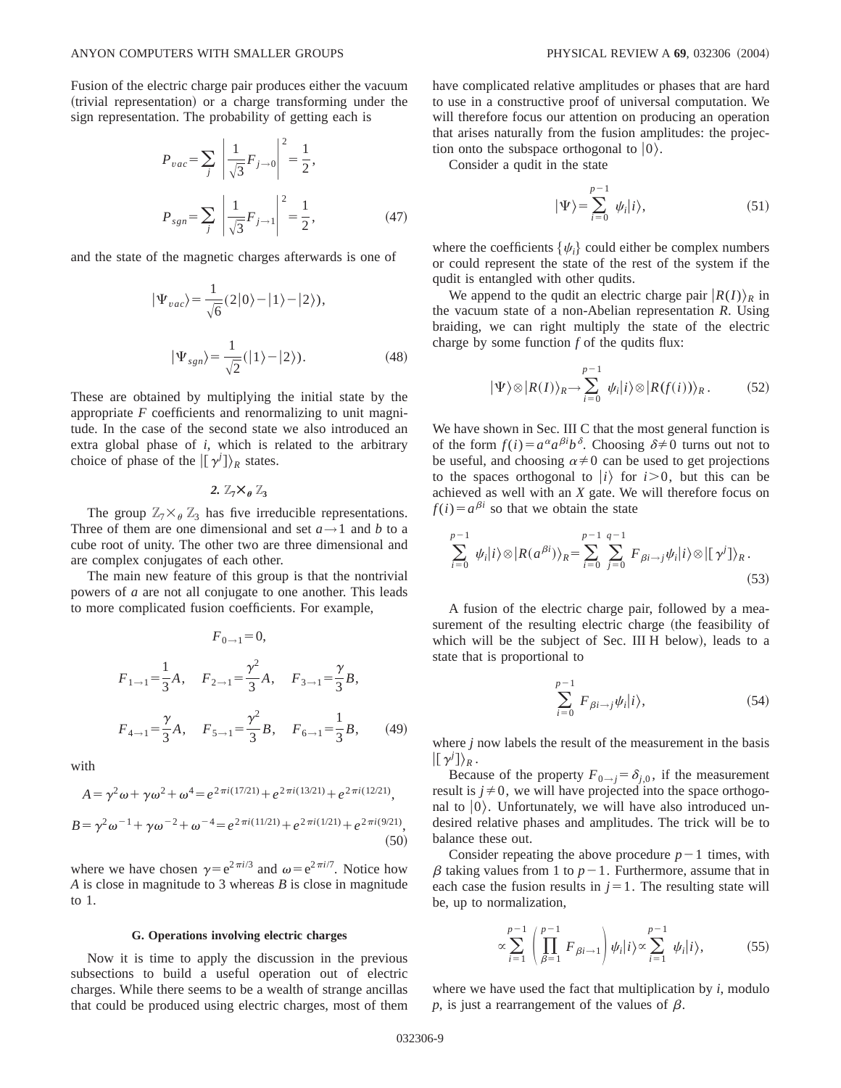Fusion of the electric charge pair produces either the vacuum (trivial representation) or a charge transforming under the sign representation. The probability of getting each is

$$
P_{vac} = \sum_{j} \left| \frac{1}{\sqrt{3}} F_{j \to 0} \right|^{2} = \frac{1}{2},
$$
  

$$
P_{sgn} = \sum_{j} \left| \frac{1}{\sqrt{3}} F_{j \to 1} \right|^{2} = \frac{1}{2},
$$
 (47)

and the state of the magnetic charges afterwards is one of

$$
|\Psi_{vac}\rangle = \frac{1}{\sqrt{6}}(2|0\rangle - |1\rangle - |2\rangle),
$$
  

$$
|\Psi_{sgn}\rangle = \frac{1}{\sqrt{2}}(|1\rangle - |2\rangle).
$$
 (48)

These are obtained by multiplying the initial state by the appropriate *F* coefficients and renormalizing to unit magnitude. In the case of the second state we also introduced an extra global phase of *i*, which is related to the arbitrary choice of phase of the  $|[\gamma^j]\rangle_R$  states.

2.  $\mathbb{Z}_7 \times \mathbb{Z}_9$   $\mathbb{Z}_3$ 

The group  $\mathbb{Z}_7\times_{\theta} \mathbb{Z}_3$  has five irreducible representations. Three of them are one dimensional and set  $a \rightarrow 1$  and *b* to a cube root of unity. The other two are three dimensional and are complex conjugates of each other.

The main new feature of this group is that the nontrivial powers of *a* are not all conjugate to one another. This leads to more complicated fusion coefficients. For example,

$$
F_{0\to 1} = 0,
$$
  
\n
$$
F_{1\to 1} = \frac{1}{3}A, \quad F_{2\to 1} = \frac{\gamma^2}{3}A, \quad F_{3\to 1} = \frac{\gamma}{3}B,
$$
  
\n
$$
F_{4\to 1} = \frac{\gamma}{3}A, \quad F_{5\to 1} = \frac{\gamma^2}{3}B, \quad F_{6\to 1} = \frac{1}{3}B,
$$
 (49)

with

$$
A = \gamma^2 \omega + \gamma \omega^2 + \omega^4 = e^{2\pi i (17/21)} + e^{2\pi i (13/21)} + e^{2\pi i (12/21)},
$$
  
\n
$$
B = \gamma^2 \omega^{-1} + \gamma \omega^{-2} + \omega^{-4} = e^{2\pi i (11/21)} + e^{2\pi i (1/21)} + e^{2\pi i (9/21)},
$$
\n(50)

where we have chosen  $\gamma = e^{2\pi i/3}$  and  $\omega = e^{2\pi i/7}$ . Notice how *A* is close in magnitude to 3 whereas *B* is close in magnitude to 1.

# **G. Operations involving electric charges**

Now it is time to apply the discussion in the previous subsections to build a useful operation out of electric charges. While there seems to be a wealth of strange ancillas that could be produced using electric charges, most of them have complicated relative amplitudes or phases that are hard to use in a constructive proof of universal computation. We will therefore focus our attention on producing an operation that arises naturally from the fusion amplitudes: the projection onto the subspace orthogonal to  $|0\rangle$ .

Consider a qudit in the state

$$
|\Psi\rangle = \sum_{i=0}^{p-1} \psi_i |i\rangle, \qquad (51)
$$

where the coefficients  $\{\psi_i\}$  could either be complex numbers or could represent the state of the rest of the system if the qudit is entangled with other qudits.

We append to the qudit an electric charge pair  $|R(I)\rangle_R$  in the vacuum state of a non-Abelian representation *R*. Using braiding, we can right multiply the state of the electric charge by some function *f* of the qudits flux:

$$
|\Psi\rangle \otimes |R(I)\rangle_R \to \sum_{i=0}^{p-1} \psi_i |i\rangle \otimes |R(f(i))\rangle_R. \tag{52}
$$

We have shown in Sec. III C that the most general function is of the form  $f(i) = a^{\alpha} a^{\beta i} b^{\delta}$ . Choosing  $\delta \neq 0$  turns out not to be useful, and choosing  $\alpha \neq 0$  can be used to get projections to the spaces orthogonal to  $|i\rangle$  for  $i>0$ , but this can be achieved as well with an *X* gate. We will therefore focus on  $f(i) = a^{\beta i}$  so that we obtain the state

$$
\sum_{i=0}^{p-1} \psi_i|i\rangle \otimes |R(a^{\beta i})\rangle_R = \sum_{i=0}^{p-1} \sum_{j=0}^{q-1} F_{\beta i \to j} \psi_i|i\rangle \otimes |[\gamma^j]\rangle_R.
$$
\n(53)

A fusion of the electric charge pair, followed by a measurement of the resulting electric charge (the feasibility of which will be the subject of Sec. III H below), leads to a state that is proportional to

$$
\sum_{i=0}^{p-1} F_{\beta i \to j} \psi_i |i\rangle, \tag{54}
$$

where *j* now labels the result of the measurement in the basis  $|[\gamma^j]\rangle_R$ .

Because of the property  $F_{0\rightarrow j} = \delta_{j,0}$ , if the measurement result is  $j \neq 0$ , we will have projected into the space orthogonal to  $|0\rangle$ . Unfortunately, we will have also introduced undesired relative phases and amplitudes. The trick will be to balance these out.

Consider repeating the above procedure  $p-1$  times, with  $\beta$  taking values from 1 to  $p-1$ . Furthermore, assume that in each case the fusion results in  $j=1$ . The resulting state will be, up to normalization,

$$
\propto \sum_{i=1}^{p-1} \left( \prod_{\beta=1}^{p-1} F_{\beta i \to 1} \right) \psi_i |i\rangle \propto \sum_{i=1}^{p-1} \psi_i |i\rangle, \tag{55}
$$

where we have used the fact that multiplication by *i*, modulo  $p$ , is just a rearrangement of the values of  $\beta$ .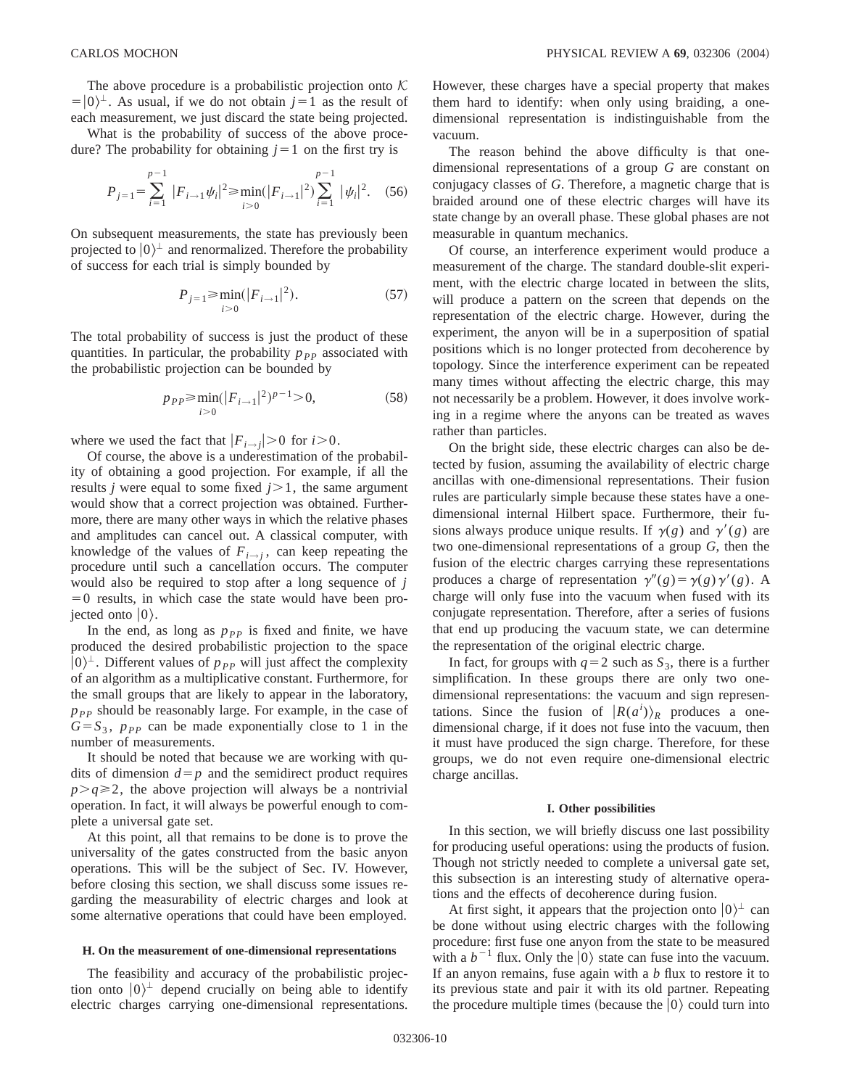The above procedure is a probabilistic projection onto  $K$  $=$   $\vert 0 \rangle^{\perp}$ . As usual, if we do not obtain *j* = 1 as the result of each measurement, we just discard the state being projected.

What is the probability of success of the above procedure? The probability for obtaining  $j=1$  on the first try is

$$
P_{j=1} = \sum_{i=1}^{p-1} |F_{i \to 1} \psi_i|^2 \ge \min_{i > 0} (|F_{i \to 1}|^2) \sum_{i=1}^{p-1} |\psi_i|^2. \tag{56}
$$

On subsequent measurements, the state has previously been projected to  $|0\rangle^{\perp}$  and renormalized. Therefore the probability of success for each trial is simply bounded by

$$
P_{j=1} \ge \min_{i>0} (|F_{i\to 1}|^2). \tag{57}
$$

The total probability of success is just the product of these quantities. In particular, the probability  $p_{PP}$  associated with the probabilistic projection can be bounded by

$$
p_{PP} \ge \min_{i>0} (|F_{i\to 1}|^2)^{p-1} > 0,
$$
\n(58)

where we used the fact that  $|F_{i\rightarrow j}| > 0$  for  $i > 0$ .

Of course, the above is a underestimation of the probability of obtaining a good projection. For example, if all the results *j* were equal to some fixed  $j > 1$ , the same argument would show that a correct projection was obtained. Furthermore, there are many other ways in which the relative phases and amplitudes can cancel out. A classical computer, with knowledge of the values of  $F_{i\rightarrow j}$ , can keep repeating the procedure until such a cancellation occurs. The computer would also be required to stop after a long sequence of *j*  $=0$  results, in which case the state would have been projected onto  $|0\rangle$ .

In the end, as long as  $p_{PP}$  is fixed and finite, we have produced the desired probabilistic projection to the space  $|0\rangle^{\perp}$ . Different values of  $p_{PP}$  will just affect the complexity of an algorithm as a multiplicative constant. Furthermore, for the small groups that are likely to appear in the laboratory,  $p_{PP}$  should be reasonably large. For example, in the case of  $G = S_3$ ,  $p_{PP}$  can be made exponentially close to 1 in the number of measurements.

It should be noted that because we are working with qudits of dimension  $d=p$  and the semidirect product requires  $p > q \ge 2$ , the above projection will always be a nontrivial operation. In fact, it will always be powerful enough to complete a universal gate set.

At this point, all that remains to be done is to prove the universality of the gates constructed from the basic anyon operations. This will be the subject of Sec. IV. However, before closing this section, we shall discuss some issues regarding the measurability of electric charges and look at some alternative operations that could have been employed.

## **H. On the measurement of one-dimensional representations**

The feasibility and accuracy of the probabilistic projection onto  $|0\rangle$ <sup> $\perp$ </sup> depend crucially on being able to identify electric charges carrying one-dimensional representations. However, these charges have a special property that makes them hard to identify: when only using braiding, a onedimensional representation is indistinguishable from the vacuum.

The reason behind the above difficulty is that onedimensional representations of a group *G* are constant on conjugacy classes of *G*. Therefore, a magnetic charge that is braided around one of these electric charges will have its state change by an overall phase. These global phases are not measurable in quantum mechanics.

Of course, an interference experiment would produce a measurement of the charge. The standard double-slit experiment, with the electric charge located in between the slits, will produce a pattern on the screen that depends on the representation of the electric charge. However, during the experiment, the anyon will be in a superposition of spatial positions which is no longer protected from decoherence by topology. Since the interference experiment can be repeated many times without affecting the electric charge, this may not necessarily be a problem. However, it does involve working in a regime where the anyons can be treated as waves rather than particles.

On the bright side, these electric charges can also be detected by fusion, assuming the availability of electric charge ancillas with one-dimensional representations. Their fusion rules are particularly simple because these states have a onedimensional internal Hilbert space. Furthermore, their fusions always produce unique results. If  $\gamma(g)$  and  $\gamma'(g)$  are two one-dimensional representations of a group *G*, then the fusion of the electric charges carrying these representations produces a charge of representation  $\gamma''(g) = \gamma(g)\gamma'(g)$ . A charge will only fuse into the vacuum when fused with its conjugate representation. Therefore, after a series of fusions that end up producing the vacuum state, we can determine the representation of the original electric charge.

In fact, for groups with  $q=2$  such as  $S_3$ , there is a further simplification. In these groups there are only two onedimensional representations: the vacuum and sign representations. Since the fusion of  $|R(a^i)\rangle_R$  produces a onedimensional charge, if it does not fuse into the vacuum, then it must have produced the sign charge. Therefore, for these groups, we do not even require one-dimensional electric charge ancillas.

# **I. Other possibilities**

In this section, we will briefly discuss one last possibility for producing useful operations: using the products of fusion. Though not strictly needed to complete a universal gate set, this subsection is an interesting study of alternative operations and the effects of decoherence during fusion.

At first sight, it appears that the projection onto  $|0\rangle^{\perp}$  can be done without using electric charges with the following procedure: first fuse one anyon from the state to be measured with a  $b^{-1}$  flux. Only the  $|0\rangle$  state can fuse into the vacuum. If an anyon remains, fuse again with a *b* flux to restore it to its previous state and pair it with its old partner. Repeating the procedure multiple times (because the  $|0\rangle$  could turn into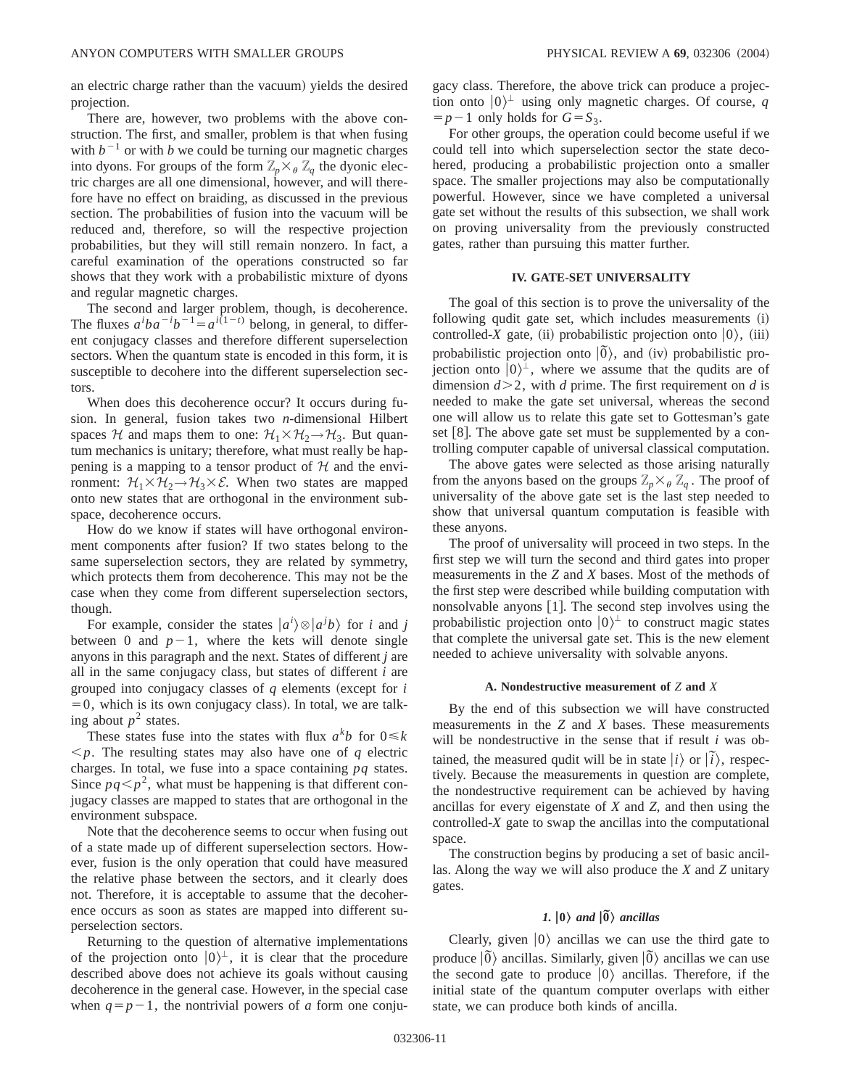an electric charge rather than the vacuum) yields the desired projection.

There are, however, two problems with the above construction. The first, and smaller, problem is that when fusing with  $b^{-1}$  or with *b* we could be turning our magnetic charges into dyons. For groups of the form  $\mathbb{Z}_p\times_{\theta}\mathbb{Z}_q$  the dyonic electric charges are all one dimensional, however, and will therefore have no effect on braiding, as discussed in the previous section. The probabilities of fusion into the vacuum will be reduced and, therefore, so will the respective projection probabilities, but they will still remain nonzero. In fact, a careful examination of the operations constructed so far shows that they work with a probabilistic mixture of dyons and regular magnetic charges.

The second and larger problem, though, is decoherence. The fluxes  $a^i b a^{-i} b^{-1} = a^{i(1-t)}$  belong, in general, to different conjugacy classes and therefore different superselection sectors. When the quantum state is encoded in this form, it is susceptible to decohere into the different superselection sectors.

When does this decoherence occur? It occurs during fusion. In general, fusion takes two *n*-dimensional Hilbert spaces H and maps them to one:  $\mathcal{H}_1 \times \mathcal{H}_2 \rightarrow \mathcal{H}_3$ . But quantum mechanics is unitary; therefore, what must really be happening is a mapping to a tensor product of  $H$  and the environment:  $\mathcal{H}_1 \times \mathcal{H}_2 \rightarrow \mathcal{H}_3 \times \mathcal{E}$ . When two states are mapped onto new states that are orthogonal in the environment subspace, decoherence occurs.

How do we know if states will have orthogonal environment components after fusion? If two states belong to the same superselection sectors, they are related by symmetry, which protects them from decoherence. This may not be the case when they come from different superselection sectors, though.

For example, consider the states  $|a^i\rangle \otimes |a^j b\rangle$  for *i* and *j* between 0 and  $p-1$ , where the kets will denote single anyons in this paragraph and the next. States of different *j* are all in the same conjugacy class, but states of different *i* are grouped into conjugacy classes of  $q$  elements (except for  $i$  $=0$ , which is its own conjugacy class). In total, we are talking about  $p^2$  states.

These states fuse into the states with flux  $a^k b$  for  $0 \le k$  $\leq p$ . The resulting states may also have one of *q* electric charges. In total, we fuse into a space containing *pq* states. Since  $pq < p<sup>2</sup>$ , what must be happening is that different conjugacy classes are mapped to states that are orthogonal in the environment subspace.

Note that the decoherence seems to occur when fusing out of a state made up of different superselection sectors. However, fusion is the only operation that could have measured the relative phase between the sectors, and it clearly does not. Therefore, it is acceptable to assume that the decoherence occurs as soon as states are mapped into different superselection sectors.

Returning to the question of alternative implementations of the projection onto  $|0\rangle^{\perp}$ , it is clear that the procedure described above does not achieve its goals without causing decoherence in the general case. However, in the special case when  $q=p-1$ , the nontrivial powers of *a* form one conjugacy class. Therefore, the above trick can produce a projection onto  $|0\rangle^{\perp}$  using only magnetic charges. Of course, *q*  $=p-1$  only holds for  $G=S_3$ .

For other groups, the operation could become useful if we could tell into which superselection sector the state decohered, producing a probabilistic projection onto a smaller space. The smaller projections may also be computationally powerful. However, since we have completed a universal gate set without the results of this subsection, we shall work on proving universality from the previously constructed gates, rather than pursuing this matter further.

# **IV. GATE-SET UNIVERSALITY**

The goal of this section is to prove the universality of the following qudit gate set, which includes measurements (i) controlled-*X* gate, (ii) probabilistic projection onto  $|0\rangle$ , (iii) probabilistic projection onto  $|\tilde{0}\rangle$ , and (iv) probabilistic projection onto  $|0\rangle^{\perp}$ , where we assume that the qudits are of dimension  $d > 2$ , with *d* prime. The first requirement on *d* is needed to make the gate set universal, whereas the second one will allow us to relate this gate set to Gottesman's gate set  $[8]$ . The above gate set must be supplemented by a controlling computer capable of universal classical computation.

The above gates were selected as those arising naturally from the anyons based on the groups  $\mathbb{Z}_p\times_{\theta} \mathbb{Z}_q$ . The proof of universality of the above gate set is the last step needed to show that universal quantum computation is feasible with these anyons.

The proof of universality will proceed in two steps. In the first step we will turn the second and third gates into proper measurements in the *Z* and *X* bases. Most of the methods of the first step were described while building computation with nonsolvable anyons  $[1]$ . The second step involves using the probabilistic projection onto  $|0\rangle^{\perp}$  to construct magic states that complete the universal gate set. This is the new element needed to achieve universality with solvable anyons.

#### **A. Nondestructive measurement of** *Z* **and** *X*

By the end of this subsection we will have constructed measurements in the *Z* and *X* bases. These measurements will be nondestructive in the sense that if result *i* was obtained, the measured qudit will be in state  $|i\rangle$  or  $|\tilde{i}\rangle$ , respectively. Because the measurements in question are complete, the nondestructive requirement can be achieved by having ancillas for every eigenstate of *X* and *Z*, and then using the controlled-*X* gate to swap the ancillas into the computational space.

The construction begins by producing a set of basic ancillas. Along the way we will also produce the *X* and *Z* unitary gates.

# *1.*  $|0\rangle$  *and*  $|\tilde{0}\rangle$  *ancillas*

Clearly, given  $|0\rangle$  ancillas we can use the third gate to produce  $|\tilde{0}\rangle$  ancillas. Similarly, given  $|\tilde{0}\rangle$  ancillas we can use the second gate to produce  $|0\rangle$  ancillas. Therefore, if the initial state of the quantum computer overlaps with either state, we can produce both kinds of ancilla.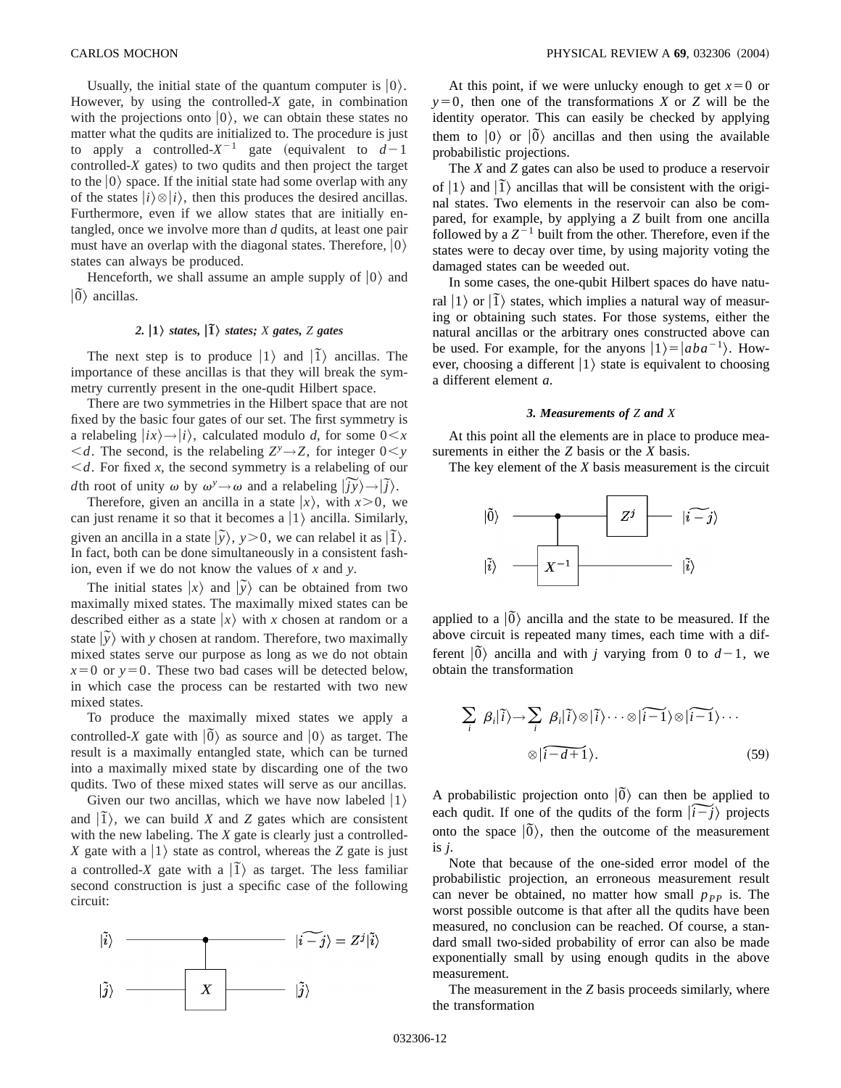Usually, the initial state of the quantum computer is  $|0\rangle$ . However, by using the controlled-*X* gate, in combination with the projections onto  $|0\rangle$ , we can obtain these states no matter what the qudits are initialized to. The procedure is just to apply a controlled- $X^{-1}$  gate (equivalent to  $d-1$ controlled- $X$  gates) to two qudits and then project the target to the  $|0\rangle$  space. If the initial state had some overlap with any of the states  $|i\rangle\otimes|i\rangle$ , then this produces the desired ancillas. Furthermore, even if we allow states that are initially entangled, once we involve more than *d* qudits, at least one pair must have an overlap with the diagonal states. Therefore,  $|0\rangle$ states can always be produced.

Henceforth, we shall assume an ample supply of  $|0\rangle$  and  $|\tilde{0}\rangle$  ancillas.

# $2. |1\rangle$  *states,*  $|\tilde{1}\rangle$  *states; X gates, Z gates*

The next step is to produce  $|1\rangle$  and  $|\tilde{1}\rangle$  ancillas. The importance of these ancillas is that they will break the symmetry currently present in the one-qudit Hilbert space.

There are two symmetries in the Hilbert space that are not fixed by the basic four gates of our set. The first symmetry is a relabeling  $\ket{ix} \rightarrow \ket{i}$ , calculated modulo *d*, for some  $0 \leq x$  $\leq d$ . The second, is the relabeling  $Z^y \rightarrow Z$ , for integer  $0 \leq y$  $\leq d$ . For fixed *x*, the second symmetry is a relabeling of our *d*. For fixed *x*, the second symmetry is a relabeling of or  $d$ th root of unity  $\omega$  by  $\omega^y \rightarrow \omega$  and a relabeling  $|\overrightarrow{j}y\rangle \rightarrow |\overrightarrow{j}y\rangle$ .

Therefore, given an ancilla in a state  $|x\rangle$ , with  $x>0$ , we can just rename it so that it becomes a  $|1\rangle$  ancilla. Similarly, given an ancilla in a state  $|\tilde{y}\rangle$ ,  $y>0$ , we can relabel it as  $|\tilde{1}\rangle$ . In fact, both can be done simultaneously in a consistent fashion, even if we do not know the values of *x* and *y*.

The initial states  $|x\rangle$  and  $|\tilde{y}\rangle$  can be obtained from two maximally mixed states. The maximally mixed states can be described either as a state  $|x\rangle$  with *x* chosen at random or a state  $|\tilde{y}\rangle$  with *y* chosen at random. Therefore, two maximally mixed states serve our purpose as long as we do not obtain  $x=0$  or  $y=0$ . These two bad cases will be detected below, in which case the process can be restarted with two new mixed states.

To produce the maximally mixed states we apply a controlled-*X* gate with  $|\tilde{0}\rangle$  as source and  $|0\rangle$  as target. The result is a maximally entangled state, which can be turned into a maximally mixed state by discarding one of the two qudits. Two of these mixed states will serve as our ancillas.

Given our two ancillas, which we have now labeled  $|1\rangle$ and  $|\tilde{I}\rangle$ , we can build *X* and *Z* gates which are consistent with the new labeling. The *X* gate is clearly just a controlled-*X* gate with a  $|1\rangle$  state as control, whereas the *Z* gate is just a controlled-*X* gate with a  $|\tilde{I}\rangle$  as target. The less familiar second construction is just a specific case of the following circuit:



At this point, if we were unlucky enough to get  $x=0$  or  $y=0$ , then one of the transformations *X* or *Z* will be the identity operator. This can easily be checked by applying them to  $|0\rangle$  or  $|\tilde{0}\rangle$  ancillas and then using the available probabilistic projections.

The *X* and *Z* gates can also be used to produce a reservoir of  $|1\rangle$  and  $|\tilde{1}\rangle$  ancillas that will be consistent with the original states. Two elements in the reservoir can also be compared, for example, by applying a *Z* built from one ancilla followed by a  $Z^{-1}$  built from the other. Therefore, even if the states were to decay over time, by using majority voting the damaged states can be weeded out.

In some cases, the one-qubit Hilbert spaces do have natural  $|1\rangle$  or  $|\tilde{1}\rangle$  states, which implies a natural way of measuring or obtaining such states. For those systems, either the natural ancillas or the arbitrary ones constructed above can be used. For example, for the anyons  $|1\rangle = |aba^{-1}\rangle$ . However, choosing a different  $|1\rangle$  state is equivalent to choosing a different element *a*.

### *3. Measurements of Z and X*

At this point all the elements are in place to produce measurements in either the *Z* basis or the *X* basis.

The key element of the *X* basis measurement is the circuit



applied to a  $|\tilde{0}\rangle$  ancilla and the state to be measured. If the above circuit is repeated many times, each time with a different  $|\tilde{0}\rangle$  ancilla and with *j* varying from 0 to  $d-1$ , we obtain the transformation obtain the transformation

$$
\sum_{i} \beta_{i}|\tilde{i}\rangle \rightarrow \sum_{i} \beta_{i}|\tilde{i}\rangle \otimes |\tilde{i}\rangle \cdots \otimes |\tilde{i-1}\rangle \otimes |\tilde{i-1}\rangle \cdots
$$

$$
\otimes |\tilde{i-d+1}\rangle. \tag{59}
$$

A probabilistic projection onto  $|0\rangle$  can then be applied to each qudit. If one of the qudits of the form  $\left| i-j \right\rangle$  projects onto the space  $|\tilde{0}\rangle$ , then the outcome of the measurement is *j*.

Note that because of the one-sided error model of the probabilistic projection, an erroneous measurement result can never be obtained, no matter how small  $p_{PP}$  is. The worst possible outcome is that after all the qudits have been measured, no conclusion can be reached. Of course, a standard small two-sided probability of error can also be made exponentially small by using enough qudits in the above measurement.

The measurement in the *Z* basis proceeds similarly, where the transformation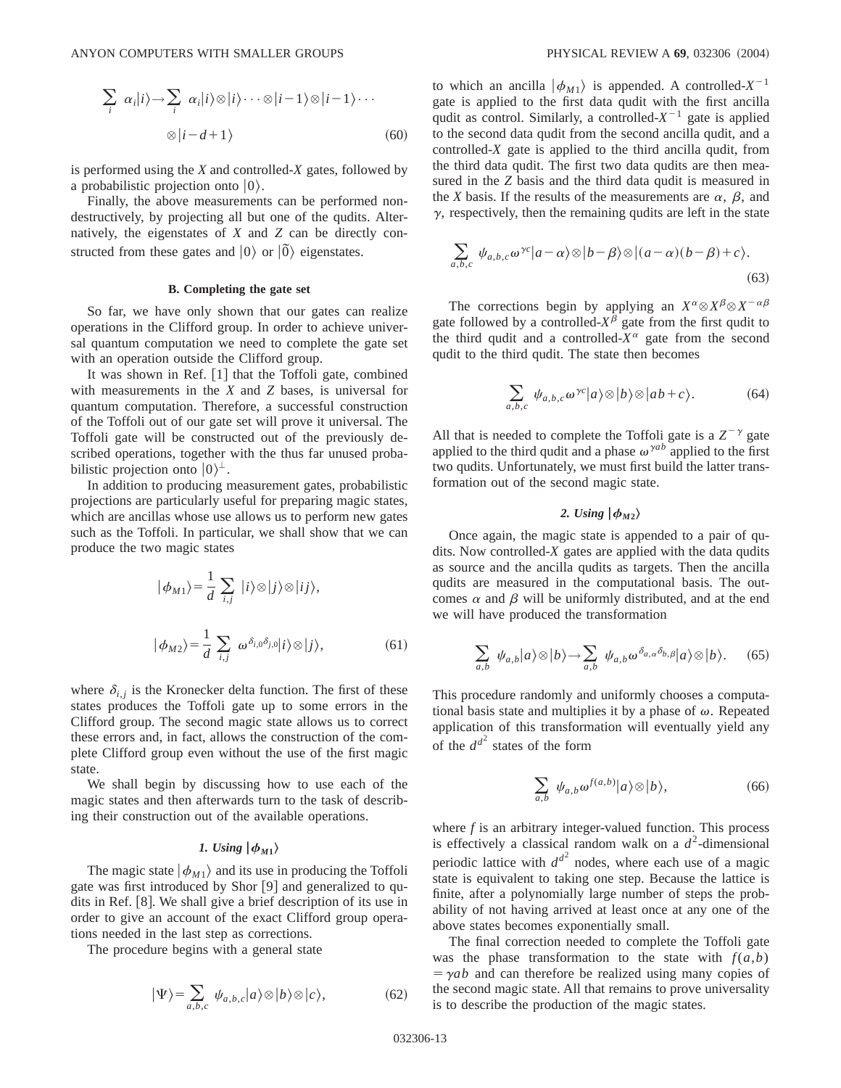$$
\sum_{i} \alpha_{i}|i\rangle \rightarrow \sum_{i} \alpha_{i}|i\rangle \otimes |i\rangle \cdots \otimes |i-1\rangle \otimes |i-1\rangle \cdots
$$
  

$$
\otimes |i-d+1\rangle \qquad (60)
$$

is performed using the *X* and controlled-*X* gates, followed by a probabilistic projection onto  $|0\rangle$ .

Finally, the above measurements can be performed nondestructively, by projecting all but one of the qudits. Alternatively, the eigenstates of *X* and *Z* can be directly constructed from these gates and  $|0\rangle$  or  $|\tilde{0}\rangle$  eigenstates.

#### **B. Completing the gate set**

So far, we have only shown that our gates can realize operations in the Clifford group. In order to achieve universal quantum computation we need to complete the gate set with an operation outside the Clifford group.

It was shown in Ref.  $[1]$  that the Toffoli gate, combined with measurements in the *X* and *Z* bases, is universal for quantum computation. Therefore, a successful construction of the Toffoli out of our gate set will prove it universal. The Toffoli gate will be constructed out of the previously described operations, together with the thus far unused probabilistic projection onto  $|0\rangle^{\perp}$ .

In addition to producing measurement gates, probabilistic projections are particularly useful for preparing magic states, which are ancillas whose use allows us to perform new gates such as the Toffoli. In particular, we shall show that we can produce the two magic states

$$
|\phi_{M1}\rangle = \frac{1}{d} \sum_{i,j} |i\rangle \otimes |j\rangle \otimes |ij\rangle,
$$
  

$$
|\phi_{M2}\rangle = \frac{1}{d} \sum_{i,j} \omega^{\delta_{i,0}\delta_{j,0}} |i\rangle \otimes |j\rangle,
$$
 (61)

where  $\delta_{i,j}$  is the Kronecker delta function. The first of these states produces the Toffoli gate up to some errors in the Clifford group. The second magic state allows us to correct these errors and, in fact, allows the construction of the complete Clifford group even without the use of the first magic state.

We shall begin by discussing how to use each of the magic states and then afterwards turn to the task of describing their construction out of the available operations.

# *1. Using*  $|\phi_{M1}\rangle$

The magic state  $|\phi_{M1}\rangle$  and its use in producing the Toffoli gate was first introduced by Shor [9] and generalized to qudits in Ref. [8]. We shall give a brief description of its use in order to give an account of the exact Clifford group operations needed in the last step as corrections.

The procedure begins with a general state

$$
|\Psi\rangle = \sum_{a,b,c} \psi_{a,b,c} |a\rangle \otimes |b\rangle \otimes |c\rangle, \tag{62}
$$

to which an ancilla  $|\phi_{M1}\rangle$  is appended. A controlled- $X^{-1}$ gate is applied to the first data qudit with the first ancilla qudit as control. Similarly, a controlled- $X^{-1}$  gate is applied to the second data qudit from the second ancilla qudit, and a controlled-*X* gate is applied to the third ancilla qudit, from the third data qudit. The first two data qudits are then measured in the *Z* basis and the third data qudit is measured in the *X* basis. If the results of the measurements are  $\alpha$ ,  $\beta$ , and  $\gamma$ , respectively, then the remaining qudits are left in the state

$$
\sum_{a,b,c} \psi_{a,b,c} \omega^{\gamma c} |a - \alpha\rangle \otimes |b - \beta\rangle \otimes |(a - \alpha)(b - \beta) + c\rangle. \tag{63}
$$

The corrections begin by applying an  $X^{\alpha} \otimes X^{\beta} \otimes X^{-\alpha \beta}$ gate followed by a controlled- $X^{\beta}$  gate from the first qudit to the third qudit and a controlled- $X^{\alpha}$  gate from the second qudit to the third qudit. The state then becomes

$$
\sum_{a,b,c} \psi_{a,b,c} \omega^{\gamma c} |a\rangle \otimes |b\rangle \otimes |ab+c\rangle. \tag{64}
$$

All that is needed to complete the Toffoli gate is a  $Z^{-\gamma}$  gate applied to the third qudit and a phase  $\omega^{\gamma ab}$  applied to the first two qudits. Unfortunately, we must first build the latter transformation out of the second magic state.

# 2. Using  $|\phi_{M2}\rangle$

Once again, the magic state is appended to a pair of qudits. Now controlled-*X* gates are applied with the data qudits as source and the ancilla qudits as targets. Then the ancilla qudits are measured in the computational basis. The outcomes  $\alpha$  and  $\beta$  will be uniformly distributed, and at the end we will have produced the transformation

$$
\sum_{a,b} \psi_{a,b}|a\rangle \otimes |b\rangle \rightarrow \sum_{a,b} \psi_{a,b} \omega^{\delta_{a,a}\delta_{b,\beta}}|a\rangle \otimes |b\rangle. \quad (65)
$$

This procedure randomly and uniformly chooses a computational basis state and multiplies it by a phase of  $\omega$ . Repeated application of this transformation will eventually yield any of the  $d^{d^2}$  states of the form

$$
\sum_{a,b} \psi_{a,b} \omega^{f(a,b)} |a\rangle \otimes |b\rangle, \tag{66}
$$

where *f* is an arbitrary integer-valued function. This process is effectively a classical random walk on a  $d^2$ -dimensional periodic lattice with  $d^{d^2}$  nodes, where each use of a magic state is equivalent to taking one step. Because the lattice is finite, after a polynomially large number of steps the probability of not having arrived at least once at any one of the above states becomes exponentially small.

The final correction needed to complete the Toffoli gate was the phase transformation to the state with  $f(a,b)$  $= \gamma ab$  and can therefore be realized using many copies of the second magic state. All that remains to prove universality is to describe the production of the magic states.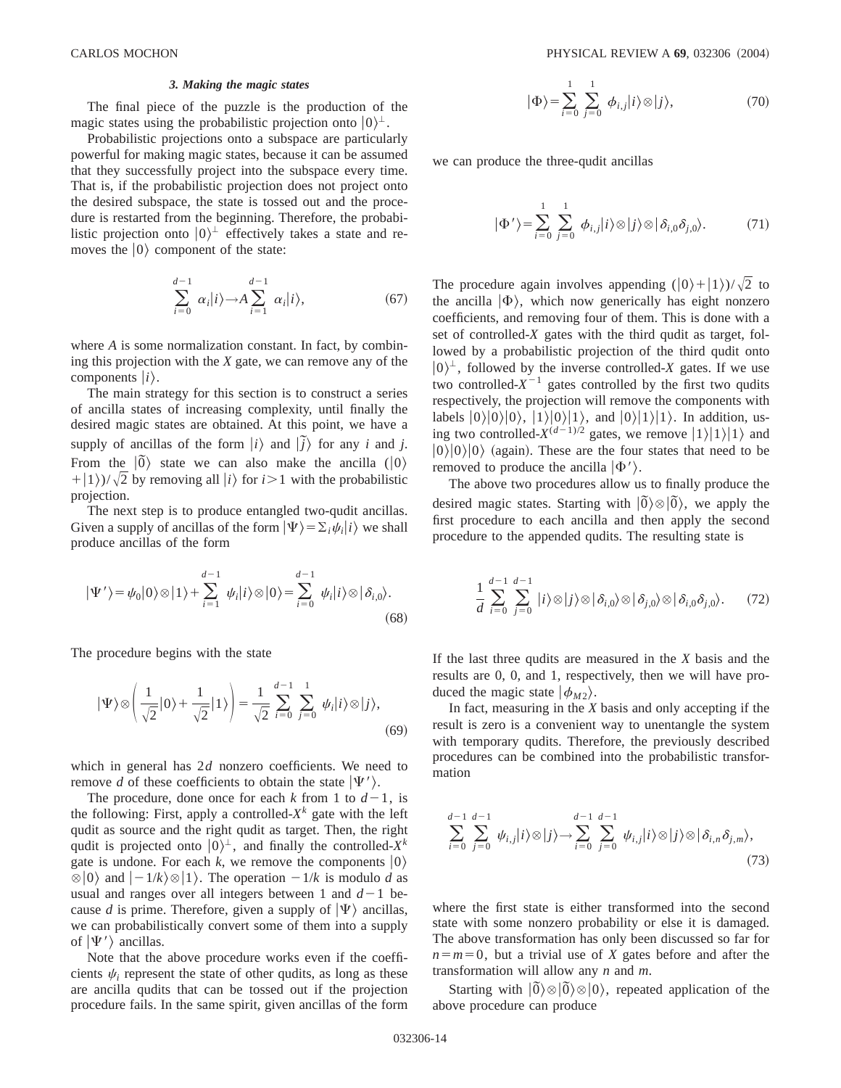# *3. Making the magic states*

The final piece of the puzzle is the production of the magic states using the probabilistic projection onto  $|0\rangle^{\perp}$ .

Probabilistic projections onto a subspace are particularly powerful for making magic states, because it can be assumed that they successfully project into the subspace every time. That is, if the probabilistic projection does not project onto the desired subspace, the state is tossed out and the procedure is restarted from the beginning. Therefore, the probabilistic projection onto  $|0\rangle^{\perp}$  effectively takes a state and removes the  $|0\rangle$  component of the state:

$$
\sum_{i=0}^{d-1} \alpha_i |i\rangle \rightarrow A \sum_{i=1}^{d-1} \alpha_i |i\rangle, \tag{67}
$$

where *A* is some normalization constant. In fact, by combining this projection with the *X* gate, we can remove any of the components  $|i\rangle$ .

The main strategy for this section is to construct a series of ancilla states of increasing complexity, until finally the desired magic states are obtained. At this point, we have a supply of ancillas of the form  $|i\rangle$  and  $|\tilde{j}\rangle$  for any *i* and *j*. From the  $|\tilde{0}\rangle$  state we can also make the ancilla ( $|0\rangle$ )  $+1$ )/ $\sqrt{2}$  by removing all  $|i\rangle$  for  $i>1$  with the probabilistic projection.

The next step is to produce entangled two-qudit ancillas. Given a supply of ancillas of the form  $|\Psi\rangle = \sum_i \psi_i |i\rangle$  we shall produce ancillas of the form

$$
|\Psi'\rangle = \psi_0|0\rangle \otimes |1\rangle + \sum_{i=1}^{d-1} \psi_i|i\rangle \otimes |0\rangle = \sum_{i=0}^{d-1} \psi_i|i\rangle \otimes |\delta_{i,0}\rangle.
$$
\n(68)

The procedure begins with the state

$$
|\Psi\rangle \otimes \left(\frac{1}{\sqrt{2}}|0\rangle + \frac{1}{\sqrt{2}}|1\rangle\right) = \frac{1}{\sqrt{2}} \sum_{i=0}^{d-1} \sum_{j=0}^{1} \psi_i |i\rangle \otimes |j\rangle, \tag{69}
$$

which in general has 2*d* nonzero coefficients. We need to remove *d* of these coefficients to obtain the state  $|\Psi'\rangle$ .

The procedure, done once for each *k* from 1 to  $d-1$ , is the following: First, apply a controlled- $X^k$  gate with the left qudit as source and the right qudit as target. Then, the right qudit is projected onto  $|0\rangle^{\perp}$ , and finally the controlled-X<sup>*k*</sup> gate is undone. For each *k*, we remove the components  $|0\rangle$  $\otimes$  |0) and  $|-1/k\rangle \otimes |1\rangle$ . The operation  $-1/k$  is modulo *d* as usual and ranges over all integers between 1 and  $d-1$  because *d* is prime. Therefore, given a supply of  $|\Psi\rangle$  ancillas, we can probabilistically convert some of them into a supply of  $|\Psi'\rangle$  ancillas.

Note that the above procedure works even if the coefficients  $\psi_i$  represent the state of other qudits, as long as these are ancilla qudits that can be tossed out if the projection procedure fails. In the same spirit, given ancillas of the form

$$
|\Phi\rangle = \sum_{i=0}^{1} \sum_{j=0}^{1} \phi_{i,j} |i\rangle \otimes |j\rangle, \qquad (70)
$$

we can produce the three-qudit ancillas

$$
|\Phi'\rangle = \sum_{i=0}^{1} \sum_{j=0}^{1} \phi_{i,j} |i\rangle \otimes |j\rangle \otimes |\delta_{i,0}\delta_{j,0}\rangle. \tag{71}
$$

The procedure again involves appending  $(|0\rangle+|1\rangle)/\sqrt{2}$  to the ancilla  $|\Phi\rangle$ , which now generically has eight nonzero coefficients, and removing four of them. This is done with a set of controlled-*X* gates with the third qudit as target, followed by a probabilistic projection of the third qudit onto  $|0\rangle^{\perp}$ , followed by the inverse controlled-*X* gates. If we use two controlled- $X^{-1}$  gates controlled by the first two qudits respectively, the projection will remove the components with labels  $|0\rangle|0\rangle|0\rangle$ ,  $|1\rangle|0\rangle|1\rangle$ , and  $|0\rangle|1\rangle|1\rangle$ . In addition, using two controlled- $X^{(d-1)/2}$  gates, we remove  $|1\rangle|1\rangle|1\rangle$  and  $|0\rangle|0\rangle|0\rangle$  (again). These are the four states that need to be removed to produce the ancilla  $|\Phi'\rangle$ .

The above two procedures allow us to finally produce the desired magic states. Starting with  $|\tilde{0}\rangle \otimes |\tilde{0}\rangle$ , we apply the first procedure to each ancilla and then apply the second procedure to the appended qudits. The resulting state is

$$
\frac{1}{d} \sum_{i=0}^{d-1} \sum_{j=0}^{d-1} |i\rangle \otimes |j\rangle \otimes |\delta_{i,0}\rangle \otimes |\delta_{j,0}\rangle \otimes |\delta_{i,0}\delta_{j,0}\rangle. \tag{72}
$$

If the last three qudits are measured in the *X* basis and the results are 0, 0, and 1, respectively, then we will have produced the magic state  $|\phi_{M2}\rangle$ .

In fact, measuring in the *X* basis and only accepting if the result is zero is a convenient way to unentangle the system with temporary qudits. Therefore, the previously described procedures can be combined into the probabilistic transformation

$$
\sum_{i=0}^{d-1} \sum_{j=0}^{d-1} \psi_{i,j} |i\rangle \otimes |j\rangle \rightarrow \sum_{i=0}^{d-1} \sum_{j=0}^{d-1} \psi_{i,j} |i\rangle \otimes |j\rangle \otimes |\delta_{i,n}\delta_{j,m}\rangle, \tag{73}
$$

where the first state is either transformed into the second state with some nonzero probability or else it is damaged. The above transformation has only been discussed so far for  $n=m=0$ , but a trivial use of *X* gates before and after the transformation will allow any *n* and *m*.

Starting with  $|0\rangle \otimes |0\rangle \otimes |0\rangle$ , repeated application of the above procedure can produce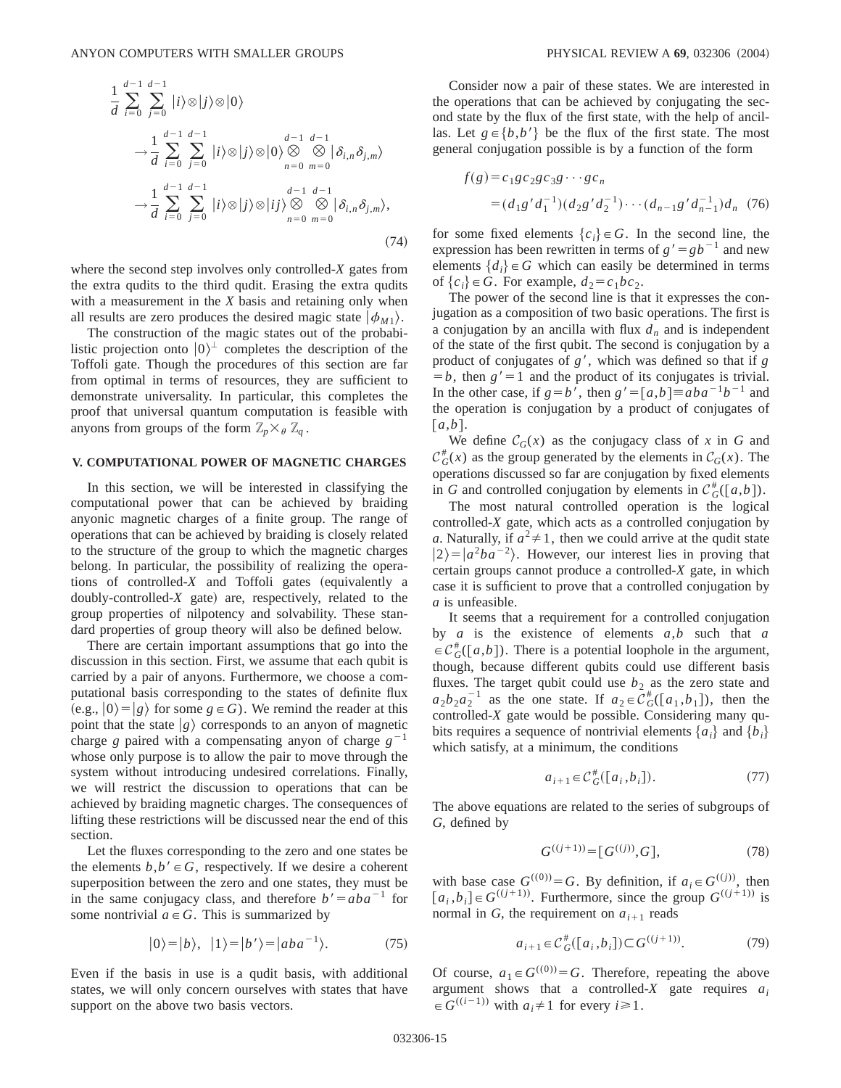$$
\frac{1}{d} \sum_{i=0}^{d-1} \sum_{j=0}^{d-1} |i\rangle \otimes |j\rangle \otimes |0\rangle
$$
\n
$$
\rightarrow \frac{1}{d} \sum_{i=0}^{d-1} \sum_{j=0}^{d-1} |i\rangle \otimes |j\rangle \otimes |0\rangle \otimes \otimes |\delta_{i,n}\delta_{j,m}\rangle
$$
\n
$$
\rightarrow \frac{1}{d} \sum_{i=0}^{d-1} \sum_{j=0}^{d-1} |i\rangle \otimes |j\rangle \otimes |ij\rangle \otimes \otimes |\delta_{i,n}\delta_{j,m}\rangle,
$$
\n
$$
\rightarrow \frac{1}{d} \sum_{i=0}^{d-1} \sum_{j=0}^{d-1} |i\rangle \otimes |j\rangle \otimes |ij\rangle \otimes \otimes |\delta_{i,n}\delta_{j,m}\rangle,
$$
\n(74)

where the second step involves only controlled-*X* gates from the extra qudits to the third qudit. Erasing the extra qudits with a measurement in the *X* basis and retaining only when all results are zero produces the desired magic state  $|\phi_{M1}\rangle$ .

The construction of the magic states out of the probabilistic projection onto  $|0\rangle^{\perp}$  completes the description of the Toffoli gate. Though the procedures of this section are far from optimal in terms of resources, they are sufficient to demonstrate universality. In particular, this completes the proof that universal quantum computation is feasible with anyons from groups of the form  $\mathbb{Z}_p\times_{\theta}\mathbb{Z}_q$ .

# **V. COMPUTATIONAL POWER OF MAGNETIC CHARGES**

In this section, we will be interested in classifying the computational power that can be achieved by braiding anyonic magnetic charges of a finite group. The range of operations that can be achieved by braiding is closely related to the structure of the group to which the magnetic charges belong. In particular, the possibility of realizing the operations of controlled- $X$  and Toffoli gates (equivalently a doubly-controlled- $X$  gate) are, respectively, related to the group properties of nilpotency and solvability. These standard properties of group theory will also be defined below.

There are certain important assumptions that go into the discussion in this section. First, we assume that each qubit is carried by a pair of anyons. Furthermore, we choose a computational basis corresponding to the states of definite flux  $(e.g., |0\rangle=|g\rangle)$  for some  $g\in G$ ). We remind the reader at this point that the state  $|g\rangle$  corresponds to an anyon of magnetic charge *g* paired with a compensating anyon of charge  $g^{-1}$ whose only purpose is to allow the pair to move through the system without introducing undesired correlations. Finally, we will restrict the discussion to operations that can be achieved by braiding magnetic charges. The consequences of lifting these restrictions will be discussed near the end of this section.

Let the fluxes corresponding to the zero and one states be the elements  $b, b' \in G$ , respectively. If we desire a coherent superposition between the zero and one states, they must be in the same conjugacy class, and therefore  $b' = aba^{-1}$  for some nontrivial  $a \in G$ . This is summarized by

$$
|0\rangle = |b\rangle, |1\rangle = |b'\rangle = |aba^{-1}\rangle. \tag{75}
$$

Even if the basis in use is a qudit basis, with additional states, we will only concern ourselves with states that have support on the above two basis vectors.

Consider now a pair of these states. We are interested in the operations that can be achieved by conjugating the second state by the flux of the first state, with the help of ancillas. Let  $g \in \{b, b'\}$  be the flux of the first state. The most general conjugation possible is by a function of the form

$$
f(g) = c_1 g c_2 g c_3 g \cdots g c_n
$$
  
=  $(d_1 g' d_1^{-1})(d_2 g' d_2^{-1}) \cdots (d_{n-1} g' d_{n-1}^{-1}) d_n$  (76)

for some fixed elements  ${c_i} \in G$ . In the second line, the expression has been rewritten in terms of  $g' = gb^{-1}$  and new elements  ${d_i} \in G$  which can easily be determined in terms of  ${c_i} \in G$ . For example,  $d_2 = c_1bc_2$ .

The power of the second line is that it expresses the conjugation as a composition of two basic operations. The first is a conjugation by an ancilla with flux  $d_n$  and is independent of the state of the first qubit. The second is conjugation by a product of conjugates of  $g'$ , which was defined so that if  $g$  $= b$ , then  $g' = 1$  and the product of its conjugates is trivial. In the other case, if  $g=b'$ , then  $g'=[a,b] \equiv aba^{-1}b^{-1}$  and the operation is conjugation by a product of conjugates of  $[a,b]$ .

We define  $C_G(x)$  as the conjugacy class of x in G and  $C_G^*(x)$  as the group generated by the elements in  $C_G(x)$ . The operations discussed so far are conjugation by fixed elements in *G* and controlled conjugation by elements in  $C_G^{\#}([a,b])$ .

The most natural controlled operation is the logical controlled-*X* gate, which acts as a controlled conjugation by *a*. Naturally, if  $a^2 \neq 1$ , then we could arrive at the qudit state  $|2\rangle = |a^2ba^{-2}\rangle$ . However, our interest lies in proving that certain groups cannot produce a controlled-*X* gate, in which case it is sufficient to prove that a controlled conjugation by *a* is unfeasible.

It seems that a requirement for a controlled conjugation by *a* is the existence of elements *a*,*b* such that *a*  $\in C^*$ <sub>*G*</sub>([*a*,*b*]). There is a potential loophole in the argument, though, because different qubits could use different basis fluxes. The target qubit could use  $b_2$  as the zero state and  $a_2b_2a_2^{-1}$  as the one state. If  $a_2 \in C_G^{\#}([a_1,b_1])$ , then the controlled-*X* gate would be possible. Considering many qubits requires a sequence of nontrivial elements  $\{a_i\}$  and  $\{b_i\}$ which satisfy, at a minimum, the conditions

$$
a_{i+1} \in \mathcal{C}_G^{\#}([a_i, b_i]). \tag{77}
$$

The above equations are related to the series of subgroups of *G*, defined by

$$
G^{((j+1))} = [G^{((j))}, G], \tag{78}
$$

with base case  $G^{((0))} = G$ . By definition, if  $a_i \in G^{((j))}$ , then  $[a_i, b_i] \in G^{((j+1))}$ . Furthermore, since the group  $G^{((j+1))}$  is normal in  $G$ , the requirement on  $a_{i+1}$  reads

$$
a_{i+1} \in C_G^{\#}([a_i, b_i]) \subset G^{((j+1))}.
$$
 (79)

Of course,  $a_1 \in G^{((0))} = G$ . Therefore, repeating the above argument shows that a controlled-*X* gate requires *ai*  $\in G^{((i-1))}$  with  $a_i \neq 1$  for every  $i \geq 1$ .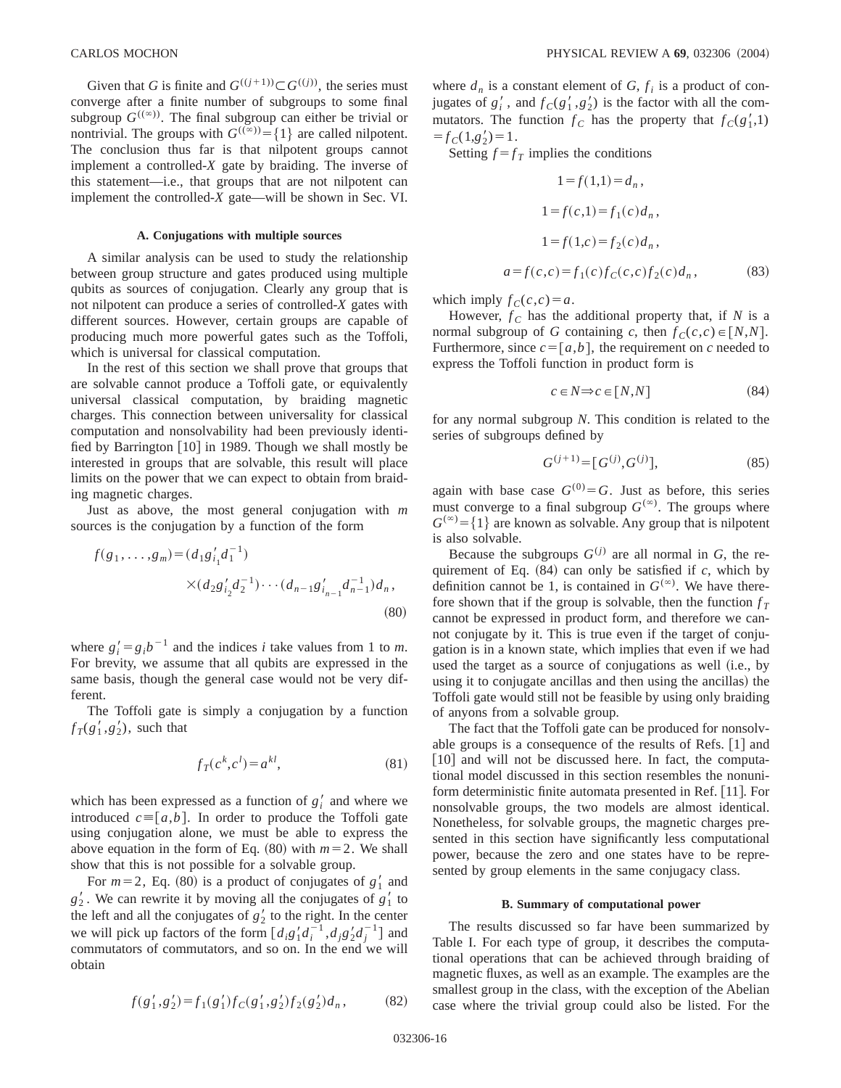Given that *G* is finite and  $G^{((j+1))} \subset G^{((j))}$ , the series must converge after a finite number of subgroups to some final subgroup  $G^{(\infty)}$ . The final subgroup can either be trivial or nontrivial. The groups with  $G^{(\infty)} = \{1\}$  are called nilpotent. The conclusion thus far is that nilpotent groups cannot implement a controlled-*X* gate by braiding. The inverse of this statement—i.e., that groups that are not nilpotent can implement the controlled-*X* gate—will be shown in Sec. VI.

#### **A. Conjugations with multiple sources**

A similar analysis can be used to study the relationship between group structure and gates produced using multiple qubits as sources of conjugation. Clearly any group that is not nilpotent can produce a series of controlled-*X* gates with different sources. However, certain groups are capable of producing much more powerful gates such as the Toffoli, which is universal for classical computation.

In the rest of this section we shall prove that groups that are solvable cannot produce a Toffoli gate, or equivalently universal classical computation, by braiding magnetic charges. This connection between universality for classical computation and nonsolvability had been previously identified by Barrington  $[10]$  in 1989. Though we shall mostly be interested in groups that are solvable, this result will place limits on the power that we can expect to obtain from braiding magnetic charges.

Just as above, the most general conjugation with *m* sources is the conjugation by a function of the form

$$
f(g_1, \ldots, g_m) = (d_1 g'_{i_1} d_1^{-1})
$$
  
 
$$
\times (d_2 g'_{i_2} d_2^{-1}) \cdots (d_{n-1} g'_{i_{n-1}} d_{n-1}^{-1}) d_n,
$$
  
(80)

where  $g_i' = g_i b^{-1}$  and the indices *i* take values from 1 to *m*. For brevity, we assume that all qubits are expressed in the same basis, though the general case would not be very different.

The Toffoli gate is simply a conjugation by a function  $f_T(g'_1, g'_2)$ , such that

$$
f_T(c^k, c^l) = a^{kl},\tag{81}
$$

which has been expressed as a function of  $g_i'$  and where we introduced  $c \equiv [a, b]$ . In order to produce the Toffoli gate using conjugation alone, we must be able to express the above equation in the form of Eq.  $(80)$  with  $m=2$ . We shall show that this is not possible for a solvable group.

For  $m=2$ , Eq. (80) is a product of conjugates of  $g'_1$  and  $g_2'$ . We can rewrite it by moving all the conjugates of  $g_1'$  to the left and all the conjugates of  $g'_2$  to the right. In the center we will pick up factors of the form  $\left[d_i g'_1 d_i^{-1}, d_j g'_2 d_j^{-1}\right]$  and commutators of commutators, and so on. In the end we will obtain

$$
f(g'_1, g'_2) = f_1(g'_1) f_C(g'_1, g'_2) f_2(g'_2) d_n, \tag{82}
$$

where  $d_n$  is a constant element of  $G, f_i$  is a product of conjugates of  $g_i'$ , and  $f_C(g_1', g_2')$  is the factor with all the commutators. The function  $f_C$  has the property that  $f_C(g_1', 1)$  $=f_C(1,g'_2)=1.$ 

Setting  $f = f_T$  implies the conditions

$$
1 = f(1,1) = d_n,
$$
  
\n
$$
1 = f(c,1) = f_1(c)d_n,
$$
  
\n
$$
1 = f(1,c) = f_2(c)d_n,
$$
  
\n
$$
a = f(c,c) = f_1(c)f_c(c,c)f_2(c)d_n,
$$
\n(83)

which imply  $f_C(c,c) = a$ .

However,  $f_c$  has the additional property that, if *N* is a normal subgroup of *G* containing *c*, then  $f_C(c, c) \in [N, N]$ . Furthermore, since  $c = [a, b]$ , the requirement on *c* needed to express the Toffoli function in product form is

$$
c \in N \Rightarrow c \in [N, N] \tag{84}
$$

for any normal subgroup *N*. This condition is related to the series of subgroups defined by

$$
G^{(j+1)} = [G^{(j)}, G^{(j)}],\tag{85}
$$

again with base case  $G^{(0)}=G$ . Just as before, this series must converge to a final subgroup  $G^{(\infty)}$ . The groups where  $G^{(\infty)} = \{1\}$  are known as solvable. Any group that is nilpotent is also solvable.

Because the subgroups  $G^{(j)}$  are all normal in *G*, the requirement of Eq.  $(84)$  can only be satisfied if *c*, which by definition cannot be 1, is contained in  $G^{(\infty)}$ . We have therefore shown that if the group is solvable, then the function  $f<sub>T</sub>$ cannot be expressed in product form, and therefore we cannot conjugate by it. This is true even if the target of conjugation is in a known state, which implies that even if we had used the target as a source of conjugations as well (i.e., by using it to conjugate ancillas and then using the ancillas) the Toffoli gate would still not be feasible by using only braiding of anyons from a solvable group.

The fact that the Toffoli gate can be produced for nonsolvable groups is a consequence of the results of Refs.  $[1]$  and  $[10]$  and will not be discussed here. In fact, the computational model discussed in this section resembles the nonuniform deterministic finite automata presented in Ref. [11]. For nonsolvable groups, the two models are almost identical. Nonetheless, for solvable groups, the magnetic charges presented in this section have significantly less computational power, because the zero and one states have to be represented by group elements in the same conjugacy class.

#### **B. Summary of computational power**

The results discussed so far have been summarized by Table I. For each type of group, it describes the computational operations that can be achieved through braiding of magnetic fluxes, as well as an example. The examples are the smallest group in the class, with the exception of the Abelian case where the trivial group could also be listed. For the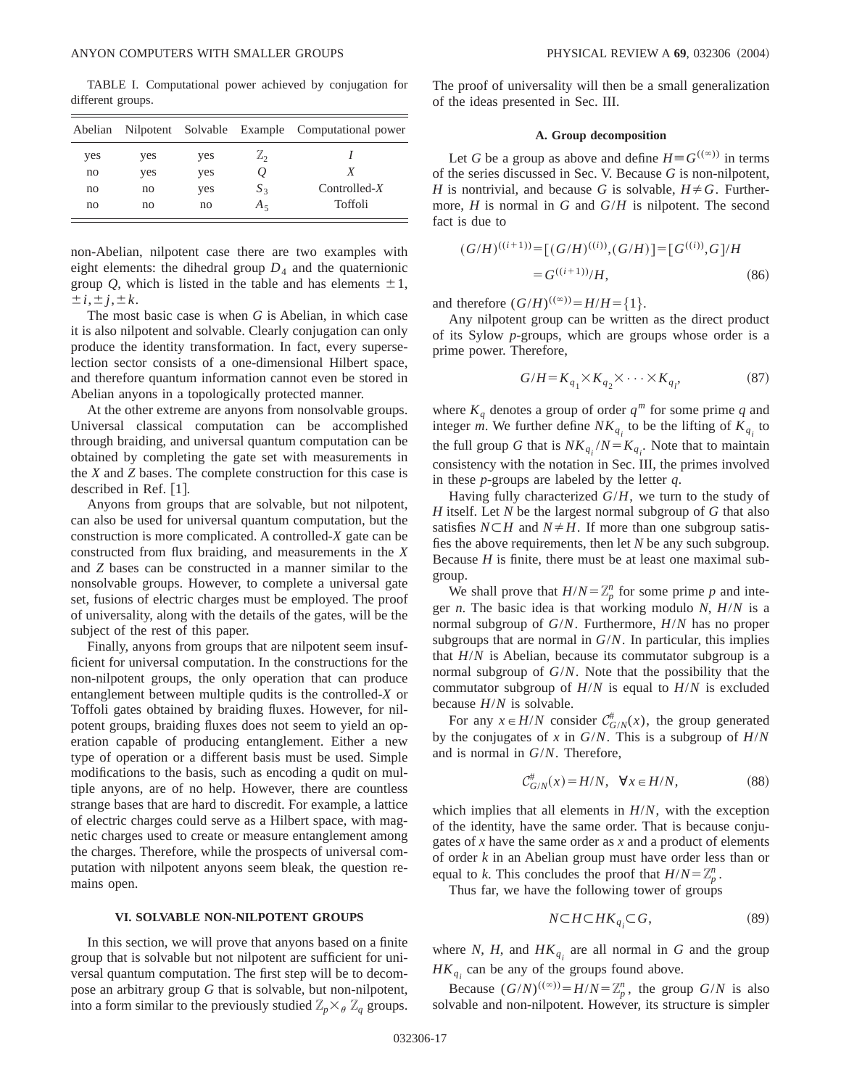TABLE I. Computational power achieved by conjugation for different groups.

| Abelian |     |     |         | Nilpotent Solvable Example Computational power |
|---------|-----|-----|---------|------------------------------------------------|
| yes     | yes | yes | 'L      |                                                |
| no      | yes | yes |         |                                                |
| no      | no  | yes | $S_3$   | $Controlled-X$                                 |
| no      | no  | no  | $A_{5}$ | Toffoli                                        |

non-Abelian, nilpotent case there are two examples with eight elements: the dihedral group  $D_4$  and the quaternionic group *Q*, which is listed in the table and has elements  $\pm 1$ ,  $\pm i, \pm j, \pm k.$ 

The most basic case is when *G* is Abelian, in which case it is also nilpotent and solvable. Clearly conjugation can only produce the identity transformation. In fact, every superselection sector consists of a one-dimensional Hilbert space, and therefore quantum information cannot even be stored in Abelian anyons in a topologically protected manner.

At the other extreme are anyons from nonsolvable groups. Universal classical computation can be accomplished through braiding, and universal quantum computation can be obtained by completing the gate set with measurements in the *X* and *Z* bases. The complete construction for this case is described in Ref.  $[1]$ .

Anyons from groups that are solvable, but not nilpotent, can also be used for universal quantum computation, but the construction is more complicated. A controlled-*X* gate can be constructed from flux braiding, and measurements in the *X* and *Z* bases can be constructed in a manner similar to the nonsolvable groups. However, to complete a universal gate set, fusions of electric charges must be employed. The proof of universality, along with the details of the gates, will be the subject of the rest of this paper.

Finally, anyons from groups that are nilpotent seem insufficient for universal computation. In the constructions for the non-nilpotent groups, the only operation that can produce entanglement between multiple qudits is the controlled-*X* or Toffoli gates obtained by braiding fluxes. However, for nilpotent groups, braiding fluxes does not seem to yield an operation capable of producing entanglement. Either a new type of operation or a different basis must be used. Simple modifications to the basis, such as encoding a qudit on multiple anyons, are of no help. However, there are countless strange bases that are hard to discredit. For example, a lattice of electric charges could serve as a Hilbert space, with magnetic charges used to create or measure entanglement among the charges. Therefore, while the prospects of universal computation with nilpotent anyons seem bleak, the question remains open.

The proof of universality will then be a small generalization of the ideas presented in Sec. III.

# **A. Group decomposition**

Let *G* be a group as above and define  $H \equiv G^{((\infty))}$  in terms of the series discussed in Sec. V. Because *G* is non-nilpotent, *H* is nontrivial, and because *G* is solvable,  $H \neq G$ . Furthermore, *H* is normal in *G* and *G*/*H* is nilpotent. The second fact is due to

$$
(G/H)^{((i+1))} = [(G/H)^{((i))}, (G/H)] = [G^{((i))}, G]/H
$$
  
=  $G^{((i+1))/H}$ , (86)

and therefore  $(G/H)^{((\infty))} = H/H = \{1\}.$ 

Any nilpotent group can be written as the direct product of its Sylow *p*-groups, which are groups whose order is a prime power. Therefore,

$$
G/H = K_{q_1} \times K_{q_2} \times \cdots \times K_{q_l},\tag{87}
$$

where  $K_q$  denotes a group of order  $q^m$  for some prime  $q$  and integer *m*. We further define  $NK_{q_i}$  to be the lifting of  $K_{q_i}$  to the full group *G* that is  $NK_{q_i}/N=K_{q_i}$ . Note that to maintain consistency with the notation in Sec. III, the primes involved in these *p*-groups are labeled by the letter *q*.

Having fully characterized *G*/*H*, we turn to the study of *H* itself. Let *N* be the largest normal subgroup of *G* that also satisfies  $NCH$  and  $N \neq H$ . If more than one subgroup satisfies the above requirements, then let *N* be any such subgroup. Because *H* is finite, there must be at least one maximal subgroup.

We shall prove that  $H/N = \mathbb{Z}_p^n$  for some prime *p* and integer *n*. The basic idea is that working modulo *N*, *H*/*N* is a normal subgroup of *G*/*N*. Furthermore, *H*/*N* has no proper subgroups that are normal in *G*/*N*. In particular, this implies that *H*/*N* is Abelian, because its commutator subgroup is a normal subgroup of *G*/*N*. Note that the possibility that the commutator subgroup of *H*/*N* is equal to *H*/*N* is excluded because *H*/*N* is solvable.

For any  $x \in H/N$  consider  $C_{G/N}^{\#}(x)$ , the group generated by the conjugates of *x* in *G*/*N*. This is a subgroup of *H*/*N* and is normal in *G*/*N*. Therefore,

$$
C_{G/N}^{\#}(x) = H/N, \quad \forall x \in H/N,
$$
\n(88)

which implies that all elements in *H*/*N*, with the exception of the identity, have the same order. That is because conjugates of *x* have the same order as *x* and a product of elements of order *k* in an Abelian group must have order less than or equal to *k*. This concludes the proof that  $H/N = \mathbb{Z}_p^n$ .

Thus far, we have the following tower of groups

$$
N\subset H\subset HK_{q_i}\subset G,\tag{89}
$$

In this section, we will prove that anyons based on a finite group that is solvable but not nilpotent are sufficient for universal quantum computation. The first step will be to decom-

pose an arbitrary group *G* that is solvable, but non-nilpotent, into a form similar to the previously studied  $\mathbb{Z}_p\times_{\theta}\mathbb{Z}_q$  groups.

**VI. SOLVABLE NON-NILPOTENT GROUPS**

where *N*, *H*, and  $HK_{q_i}$  are all normal in *G* and the group  $HK_{q_i}$  can be any of the groups found above.

Because  $(G/N)^{((\infty))} = H/N = \mathbb{Z}_p^n$ , the group  $G/N$  is also solvable and non-nilpotent. However, its structure is simpler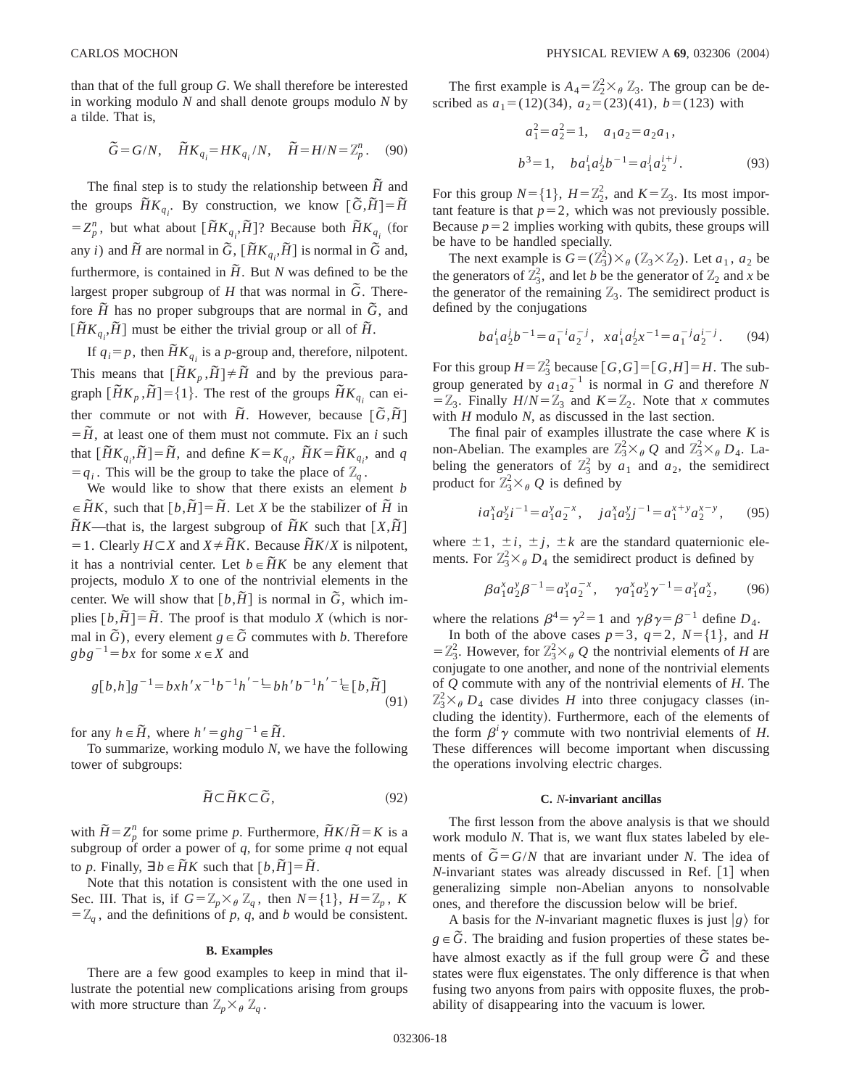than that of the full group *G*. We shall therefore be interested in working modulo *N* and shall denote groups modulo *N* by a tilde. That is,

$$
\widetilde{G} = G/N, \quad \widetilde{H} K_{q_i} = H K_{q_i}/N, \quad \widetilde{H} = H/N = \mathbb{Z}_p^n. \tag{90}
$$

The final step is to study the relationship between  $\tilde{H}$  and the groups  $\widetilde{H}K_{q_i}$ . By construction, we know  $\left[\widetilde{G},\widetilde{H}\right]=\widetilde{H}$  $Z_p^n$ , but what about  $[\widetilde{H}K_{q_i}, \widetilde{H}]$ ? Because both  $\widetilde{H}K_{q_i}$  (for any *i*) and  $\widetilde{H}$  are normal in  $\widetilde{G}$ ,  $[\widetilde{H}K_{q_i}, \widetilde{H}]$  is normal in  $\widetilde{G}$  and, furthermore, is contained in  $\tilde{H}$ . But  $N$  was defined to be the largest proper subgroup of  $H$  that was normal in  $\tilde{G}$ . Therefore  $\tilde{H}$  has no proper subgroups that are normal in  $\tilde{G}$ , and  $[\tilde{H}K_{q_i}, \tilde{H}]$  must be either the trivial group or all of  $\tilde{H}$ .

If  $q_i = p$ , then  $\widetilde{H}K_{q_i}$  is a *p*-group and, therefore, nilpotent. This means that  $[\widetilde{H}K_p, \widetilde{H}]\neq \widetilde{H}$  and by the previous paragraph  $[\widetilde{H}K_p, \widetilde{H}]=\{1\}$ . The rest of the groups  $\widetilde{H}K_q$  can either commute or not with  $\tilde{H}$ . However, because  $[\tilde{G}, \tilde{H}]$  $=$   $\tilde{H}$ , at least one of them must not commute. Fix an *i* such that  $[\widetilde{H}K_{q_i}, \widetilde{H}] = \widetilde{H}$ , and define  $K = K_{q_i}$ ,  $\widetilde{H}K = \widetilde{H}K_{q_i}$ , and *q*  $=q_i$ . This will be the group to take the place of  $\mathbb{Z}_q$ .

We would like to show that there exists an element *b*  $\in \widetilde{H}K$ , such that  $\lceil b, \widetilde{H} \rceil = \widetilde{H}$ . Let *X* be the stabilizer of  $\widetilde{H}$  in  $\widetilde{H}K$ —that is, the largest subgroup of  $\widetilde{H}K$  such that  $[X,\widetilde{H}]$  $=1$ . Clearly  $H\subset X$  and  $X \neq \widetilde{H}K$ . Because  $\widetilde{H}K/X$  is nilpotent, it has a nontrivial center. Let  $b \in \widetilde{H}$ *K* be any element that projects, modulo *X* to one of the nontrivial elements in the center. We will show that  $[b,\tilde{H}]$  is normal in  $\tilde{G}$ , which implies  $[b, \tilde{H}] = \tilde{H}$ . The proof is that modulo *X* (which is normal in  $\tilde{G}$ ), every element  $g \in \tilde{G}$  commutes with *b*. Therefore  $gbg^{-1}=bx$  for some  $x \in X$  and

$$
g[b,h]g^{-1} = bxh'x^{-1}b^{-1}h' - \frac{1}{2}bh'b^{-1}h' - \frac{1}{2}[b,\tilde{H}]
$$
\n(91)

for any  $h \in \tilde{H}$ , where  $h' = ghg^{-1} \in \tilde{H}$ .

To summarize, working modulo *N*, we have the following tower of subgroups:

$$
\tilde{H}\subset\tilde{H}K\subset\tilde{G},\tag{92}
$$

with  $\widetilde{H} = Z_p^n$  for some prime *p*. Furthermore,  $\widetilde{H}K/\widetilde{H} = K$  is a subgroup of order a power of *q*, for some prime *q* not equal to *p*. Finally,  $\exists b \in \tilde{H}K$  such that  $\lceil b, \tilde{H} \rceil = \tilde{H}$ .

Note that this notation is consistent with the one used in Sec. III. That is, if  $G = \mathbb{Z}_p \times \mathbb{Z}_q$ , then  $N = \{1\}$ ,  $H = \mathbb{Z}_p$ ,  $K$  $=\mathbb{Z}_q$ , and the definitions of p, q, and b would be consistent.

## **B. Examples**

There are a few good examples to keep in mind that illustrate the potential new complications arising from groups with more structure than  $\mathbb{Z}_p\times_{\theta}\mathbb{Z}_q$ .

The first example is  $A_4 = \mathbb{Z}_2^2 \times \mathbb{Z}_3$ . The group can be described as  $a_1 = (12)(34)$ ,  $a_2 = (23)(41)$ ,  $b = (123)$  with

$$
a_1^2 = a_2^2 = 1, \quad a_1 a_2 = a_2 a_1,
$$
  
\n
$$
b^3 = 1, \quad b a_1^i a_2^j b^{-1} = a_1^j a_2^{i+j}.
$$
\n(93)

For this group  $N = \{1\}$ ,  $H = \mathbb{Z}_2^2$ , and  $K = \mathbb{Z}_3$ . Its most important feature is that  $p=2$ , which was not previously possible. Because  $p=2$  implies working with qubits, these groups will be have to be handled specially.

The next example is  $G = (\mathbb{Z}_3^2) \times_{\theta} (\mathbb{Z}_3 \times \mathbb{Z}_2)$ . Let  $a_1, a_2$  be the generators of  $\mathbb{Z}_3^2$ , and let *b* be the generator of  $\mathbb{Z}_2$  and *x* be the generator of the remaining  $\mathbb{Z}_3$ . The semidirect product is defined by the conjugations

$$
ba_1^i a_2^j b^{-1} = a_1^{-i} a_2^{-j}, \quad xa_1^i a_2^j x^{-1} = a_1^{-j} a_2^{i-j}.
$$
 (94)

For this group  $H = \mathbb{Z}_3^2$  because  $[G,G] = [G,H] = H$ . The subgroup generated by  $a_1 a_2^{-1}$  is normal in *G* and therefore *N*  $=\mathbb{Z}_3$ . Finally  $H/N = \mathbb{Z}_3$  and  $K = \mathbb{Z}_2$ . Note that *x* commutes with *H* modulo *N*, as discussed in the last section.

The final pair of examples illustrate the case where *K* is non-Abelian. The examples are  $\mathbb{Z}_3^2 \times_{\theta} Q$  and  $\mathbb{Z}_3^2 \times_{\theta} D_4$ . Labeling the generators of  $\mathbb{Z}_3^2$  by  $a_1$  and  $a_2$ , the semidirect product for  $\mathbb{Z}_3^2 \times_{\theta} Q$  is defined by

$$
ia_1^x a_2^y i^{-1} = a_1^y a_2^{-x}, \quad ja_1^x a_2^y j^{-1} = a_1^{x+y} a_2^{x-y}, \qquad (95)
$$

where  $\pm 1$ ,  $\pm i$ ,  $\pm j$ ,  $\pm k$  are the standard quaternionic elements. For  $\mathbb{Z}_3^2 \times_{\theta} D_4$  the semidirect product is defined by

$$
\beta a_1^x a_2^y \beta^{-1} = a_1^y a_2^{-x}, \quad \gamma a_1^x a_2^y \gamma^{-1} = a_1^y a_2^x, \tag{96}
$$

where the relations  $\beta^4 = \gamma^2 = 1$  and  $\gamma \beta \gamma = \beta^{-1}$  define  $D_4$ .

In both of the above cases  $p=3$ ,  $q=2$ ,  $N=\{1\}$ , and *H*  $= \mathbb{Z}_3^2$ . However, for  $\mathbb{Z}_3^2 \times_{\theta} Q$  the nontrivial elements of *H* are conjugate to one another, and none of the nontrivial elements of *Q* commute with any of the nontrivial elements of *H*. The  $\mathbb{Z}_3^2 \times_{\theta} D_4$  case divides *H* into three conjugacy classes (including the identity). Furthermore, each of the elements of the form  $\beta^i \gamma$  commute with two nontrivial elements of *H*. These differences will become important when discussing the operations involving electric charges.

#### **C.** *N***-invariant ancillas**

The first lesson from the above analysis is that we should work modulo *N*. That is, we want flux states labeled by elements of  $\tilde{G} = G/N$  that are invariant under *N*. The idea of *N*-invariant states was already discussed in Ref.  $\lceil 1 \rceil$  when generalizing simple non-Abelian anyons to nonsolvable ones, and therefore the discussion below will be brief.

A basis for the *N*-invariant magnetic fluxes is just  $|g\rangle$  for  $g \in \tilde{G}$ . The braiding and fusion properties of these states behave almost exactly as if the full group were  $\tilde{G}$  and these states were flux eigenstates. The only difference is that when fusing two anyons from pairs with opposite fluxes, the probability of disappearing into the vacuum is lower.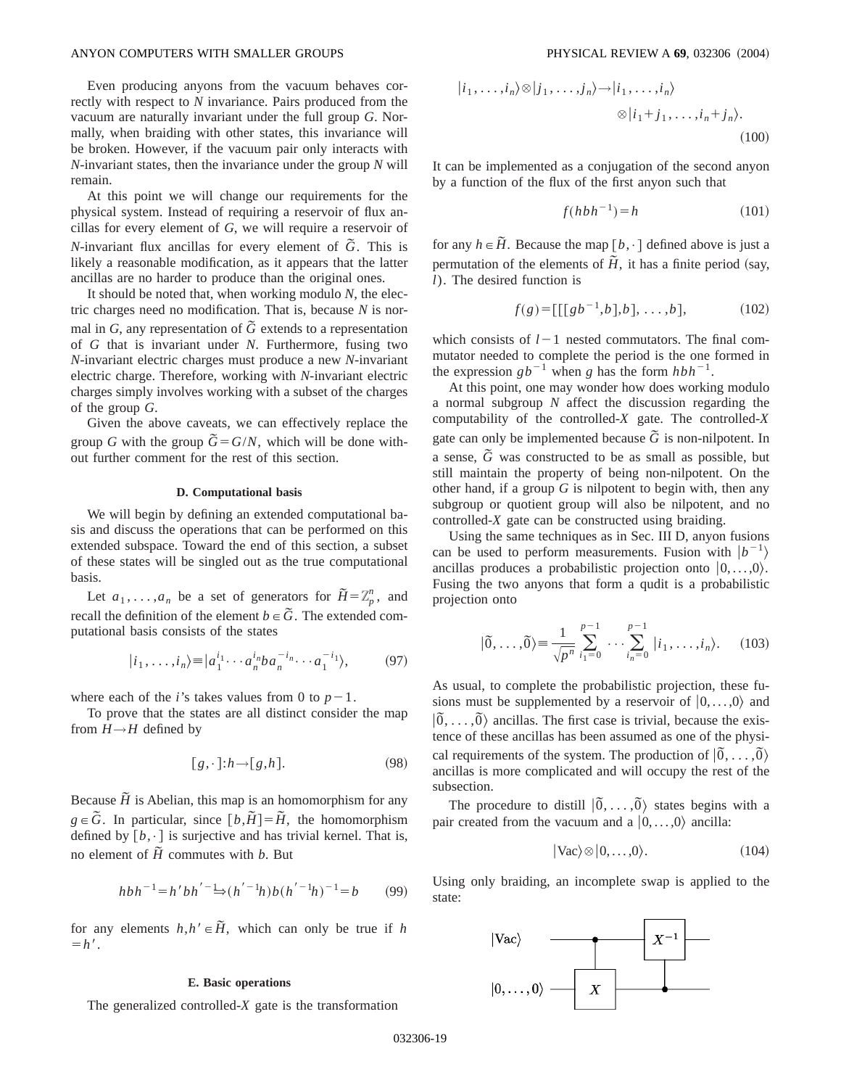Even producing anyons from the vacuum behaves correctly with respect to *N* invariance. Pairs produced from the vacuum are naturally invariant under the full group *G*. Normally, when braiding with other states, this invariance will be broken. However, if the vacuum pair only interacts with *N*-invariant states, then the invariance under the group *N* will remain.

At this point we will change our requirements for the physical system. Instead of requiring a reservoir of flux ancillas for every element of *G*, we will require a reservoir of *N*-invariant flux ancillas for every element of  $\tilde{G}$ . This is likely a reasonable modification, as it appears that the latter ancillas are no harder to produce than the original ones.

It should be noted that, when working modulo *N*, the electric charges need no modification. That is, because *N* is normal in  $G$ , any representation of  $\tilde{G}$  extends to a representation of *G* that is invariant under *N*. Furthermore, fusing two *N*-invariant electric charges must produce a new *N*-invariant electric charge. Therefore, working with *N*-invariant electric charges simply involves working with a subset of the charges of the group *G*.

Given the above caveats, we can effectively replace the group *G* with the group  $\tilde{G} = G/N$ , which will be done without further comment for the rest of this section.

# **D. Computational basis**

We will begin by defining an extended computational basis and discuss the operations that can be performed on this extended subspace. Toward the end of this section, a subset of these states will be singled out as the true computational basis.

Let  $a_1, \ldots, a_n$  be a set of generators for  $\widetilde{H} = \mathbb{Z}_p^n$ , and recall the definition of the element  $b \in \tilde{G}$ . The extended computational basis consists of the states

$$
|i_1, \dots, i_n\rangle = |a_1^{i_1} \cdots a_n^{i_n} b a_n^{-i_n} \cdots a_1^{-i_1}\rangle, \tag{97}
$$

where each of the *i*'s takes values from 0 to  $p-1$ .

To prove that the states are all distinct consider the map from  $H \rightarrow H$  defined by

$$
[g, \cdot ]: h \to [g, h]. \tag{98}
$$

Because  $\tilde{H}$  is Abelian, this map is an homomorphism for any  $g \in \tilde{G}$ . In particular, since  $[b,\tilde{H}] = \tilde{H}$ , the homomorphism defined by  $[b, \cdot]$  is surjective and has trivial kernel. That is, no element of  $\tilde{H}$  commutes with *b*. But

$$
h b h^{-1} = h' b h' \stackrel{-1}{\longrightarrow} (h'{}^{-1}h) b (h'{}^{-1}h)^{-1} = b \tag{99}
$$

for any elements  $h, h' \in \tilde{H}$ , which can only be true if *h*  $= h'.$ 

#### **E. Basic operations**

The generalized controlled-*X* gate is the transformation

$$
|i_1,\ldots,i_n\rangle \otimes |j_1,\ldots,j_n\rangle \rightarrow |i_1,\ldots,i_n\rangle
$$
  
 
$$
\otimes |i_1+j_1,\ldots,i_n+j_n\rangle.
$$
  
(100)

It can be implemented as a conjugation of the second anyon by a function of the flux of the first anyon such that

$$
f(hbh^{-1}) = h \tag{101}
$$

for any  $h \in \tilde{H}$ . Because the map  $\lceil b, \cdot \rceil$  defined above is just a permutation of the elements of  $\tilde{H}$ , it has a finite period (say, *l*). The desired function is

$$
f(g) = [[[gb^{-1}, b], b], \dots, b], \tag{102}
$$

which consists of  $l-1$  nested commutators. The final commutator needed to complete the period is the one formed in the expression  $gb^{-1}$  when g has the form  $hbh^{-1}$ .

At this point, one may wonder how does working modulo a normal subgroup *N* affect the discussion regarding the computability of the controlled-*X* gate. The controlled-*X* gate can only be implemented because  $\tilde{G}$  is non-nilpotent. In a sense,  $\tilde{G}$  was constructed to be as small as possible, but still maintain the property of being non-nilpotent. On the other hand, if a group *G* is nilpotent to begin with, then any subgroup or quotient group will also be nilpotent, and no controlled-*X* gate can be constructed using braiding.

Using the same techniques as in Sec. III D, anyon fusions can be used to perform measurements. Fusion with  $|b^{-1}\rangle$ ancillas produces a probabilistic projection onto  $|0, \ldots, 0\rangle$ . Fusing the two anyons that form a qudit is a probabilistic projection onto

$$
|\tilde{0},\ldots,\tilde{0}\rangle \equiv \frac{1}{\sqrt{p^n}} \sum_{i_1=0}^{p-1} \cdots \sum_{i_n=0}^{p-1} |i_1,\ldots,i_n\rangle. \tag{103}
$$

As usual, to complete the probabilistic projection, these fusions must be supplemented by a reservoir of  $(0, \ldots, 0)$  and  $|\tilde{0}, \ldots, \tilde{0}\rangle$  ancillas. The first case is trivial, because the existence of these ancillas has been assumed as one of the physical requirements of the system. The production of  $\ket{\tilde{0}, \ldots, \tilde{0}}$ ancillas is more complicated and will occupy the rest of the subsection.

The procedure to distill  $|\tilde{0}, \ldots, \tilde{0}\rangle$  states begins with a pair created from the vacuum and a  $|0, \ldots, 0\rangle$  ancilla:

$$
|\text{Vac}\rangle \otimes |0, \dots, 0\rangle. \tag{104}
$$

Using only braiding, an incomplete swap is applied to the state:

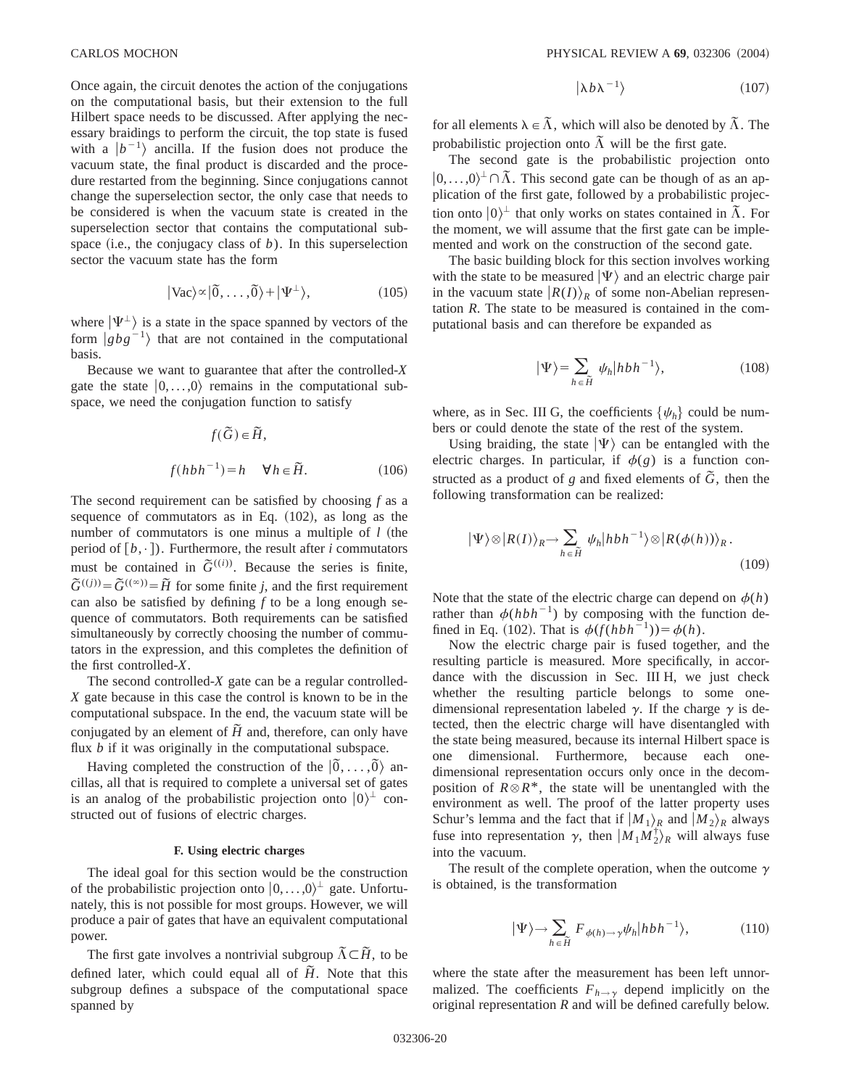Once again, the circuit denotes the action of the conjugations on the computational basis, but their extension to the full Hilbert space needs to be discussed. After applying the necessary braidings to perform the circuit, the top state is fused with a  $\vert b^{-1} \rangle$  ancilla. If the fusion does not produce the vacuum state, the final product is discarded and the procedure restarted from the beginning. Since conjugations cannot change the superselection sector, the only case that needs to be considered is when the vacuum state is created in the superselection sector that contains the computational subspace (i.e., the conjugacy class of  $b$ ). In this superselection sector the vacuum state has the form

$$
|\text{Vac}\rangle \propto |\tilde{0}, \dots, \tilde{0}\rangle + |\Psi^{\perp}\rangle, \tag{105}
$$

where  $|\Psi^{\perp}\rangle$  is a state in the space spanned by vectors of the form  $|gbg^{-1}\rangle$  that are not contained in the computational basis.

Because we want to guarantee that after the controlled-*X* gate the state  $|0, \ldots, 0\rangle$  remains in the computational subspace, we need the conjugation function to satisfy

$$
f(\tilde{G}) \in \tilde{H},
$$
  

$$
f(hbh^{-1}) = h \quad \forall h \in \tilde{H}.
$$
 (106)

The second requirement can be satisfied by choosing *f* as a sequence of commutators as in Eq.  $(102)$ , as long as the number of commutators is one minus a multiple of *l* (the period of  $[b, \cdot]$ ). Furthermore, the result after *i* commutators must be contained in  $\tilde{G}^{((i))}$ . Because the series is finite,  $\tilde{G}^{((j))} = \tilde{G}^{((\infty))} = \tilde{H}$  for some finite *j*, and the first requirement can also be satisfied by defining *f* to be a long enough sequence of commutators. Both requirements can be satisfied simultaneously by correctly choosing the number of commutators in the expression, and this completes the definition of the first controlled-*X*.

The second controlled-*X* gate can be a regular controlled-*X* gate because in this case the control is known to be in the computational subspace. In the end, the vacuum state will be conjugated by an element of  $\tilde{H}$  and, therefore, can only have flux *b* if it was originally in the computational subspace.

Having completed the construction of the  $|\overline{0}, \ldots, \overline{0}\rangle$  ancillas, all that is required to complete a universal set of gates is an analog of the probabilistic projection onto  $|0\rangle^{\perp}$  constructed out of fusions of electric charges.

#### **F. Using electric charges**

The ideal goal for this section would be the construction of the probabilistic projection onto  $(0, \ldots, 0)^{\perp}$  gate. Unfortunately, this is not possible for most groups. However, we will produce a pair of gates that have an equivalent computational power.

The first gate involves a nontrivial subgroup  $\overline{\Lambda} \subset \overline{H}$ , to be defined later, which could equal all of  $\tilde{H}$ . Note that this subgroup defines a subspace of the computational space spanned by

$$
|\lambda b \lambda^{-1}\rangle \tag{107}
$$

for all elements  $\lambda \in \tilde{\Lambda}$ , which will also be denoted by  $\tilde{\Lambda}$ . The probabilistic projection onto  $\tilde{\Lambda}$  will be the first gate.

The second gate is the probabilistic projection onto  $\vert 0, \ldots, 0 \rangle^{\perp} \cap \tilde{\Lambda}$ . This second gate can be though of as an application of the first gate, followed by a probabilistic projection onto  $|0\rangle^{\perp}$  that only works on states contained in  $\tilde{\Lambda}$ . For the moment, we will assume that the first gate can be implemented and work on the construction of the second gate.

The basic building block for this section involves working with the state to be measured  $|\Psi\rangle$  and an electric charge pair in the vacuum state  $|R(I)\rangle_R$  of some non-Abelian representation *R*. The state to be measured is contained in the computational basis and can therefore be expanded as

$$
|\Psi\rangle = \sum_{h \in \tilde{H}} \psi_h | h b h^{-1} \rangle, \tag{108}
$$

where, as in Sec. III G, the coefficients  $\{\psi_h\}$  could be numbers or could denote the state of the rest of the system.

Using braiding, the state  $|\Psi\rangle$  can be entangled with the electric charges. In particular, if  $\phi(g)$  is a function constructed as a product of *g* and fixed elements of  $\tilde{G}$ , then the following transformation can be realized:

$$
|\Psi\rangle \otimes |R(I)\rangle_R \to \sum_{h \in \tilde{H}} \psi_h |h b h^{-1}\rangle \otimes |R(\phi(h))\rangle_R.
$$
\n(109)

Note that the state of the electric charge can depend on  $\phi(h)$ rather than  $\phi(hbh^{-1})$  by composing with the function defined in Eq. (102). That is  $\phi(f(hbh^{-1})) = \phi(h)$ .

Now the electric charge pair is fused together, and the resulting particle is measured. More specifically, in accordance with the discussion in Sec. III H, we just check whether the resulting particle belongs to some onedimensional representation labeled  $\gamma$ . If the charge  $\gamma$  is detected, then the electric charge will have disentangled with the state being measured, because its internal Hilbert space is one dimensional. Furthermore, because each onedimensional representation occurs only once in the decomposition of  $R \otimes R^*$ , the state will be unentangled with the environment as well. The proof of the latter property uses Schur's lemma and the fact that if  $|M_1\rangle_R$  and  $|M_2\rangle_R$  always fuse into representation  $\gamma$ , then  $|M_1M_2^{\dagger}\rangle_R$  will always fuse into the vacuum.

The result of the complete operation, when the outcome  $\gamma$ is obtained, is the transformation

$$
|\Psi\rangle \rightarrow \sum_{h \in \tilde{H}} F_{\phi(h)\rightarrow \gamma} \psi_h | h b h^{-1} \rangle, \tag{110}
$$

where the state after the measurement has been left unnormalized. The coefficients  $F_{h\to\gamma}$  depend implicitly on the original representation *R* and will be defined carefully below.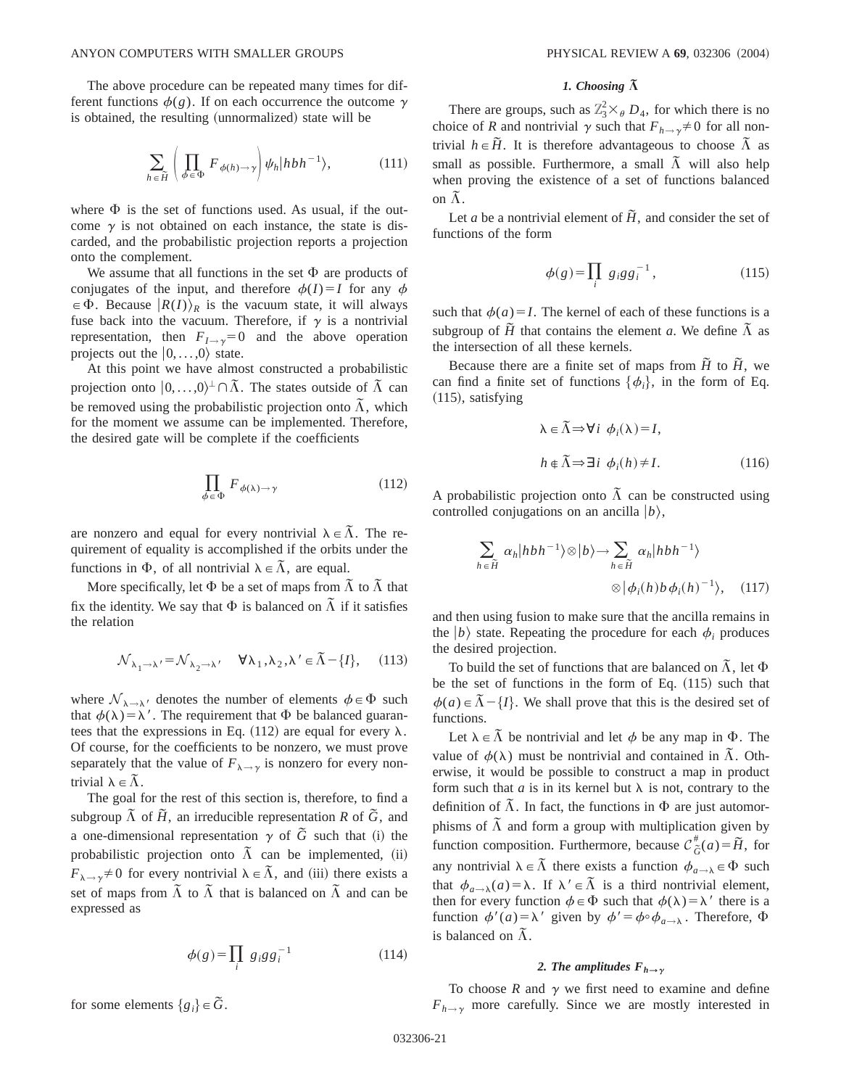The above procedure can be repeated many times for different functions  $\phi(g)$ . If on each occurrence the outcome  $\gamma$ is obtained, the resulting (unnormalized) state will be

$$
\sum_{h \in \widetilde{H}} \left( \prod_{\phi \in \Phi} F_{\phi(h) \to \gamma} \right) \psi_h | h b h^{-1} \rangle, \tag{111}
$$

where  $\Phi$  is the set of functions used. As usual, if the outcome  $\gamma$  is not obtained on each instance, the state is discarded, and the probabilistic projection reports a projection onto the complement.

We assume that all functions in the set  $\Phi$  are products of conjugates of the input, and therefore  $\phi(I)=I$  for any  $\phi$  $\in \Phi$ . Because  $\left| R(I) \right\rangle_R$  is the vacuum state, it will always fuse back into the vacuum. Therefore, if  $\gamma$  is a nontrivial representation, then  $F_{I\rightarrow \gamma}=0$  and the above operation projects out the  $|0, \ldots, 0\rangle$  state.

At this point we have almost constructed a probabilistic projection onto  $(0, \ldots, 0)^\perp \cap \tilde{\Lambda}$ . The states outside of  $\tilde{\Lambda}$  can be removed using the probabilistic projection onto  $\tilde{\Lambda}$ , which for the moment we assume can be implemented. Therefore, the desired gate will be complete if the coefficients

$$
\prod_{\phi \in \Phi} F_{\phi(\lambda) \to \gamma} \tag{112}
$$

are nonzero and equal for every nontrivial  $\lambda \in \tilde{\Lambda}$ . The requirement of equality is accomplished if the orbits under the functions in  $\Phi$ , of all nontrivial  $\lambda \in \overline{\Lambda}$ , are equal.

More specifically, let  $\Phi$  be a set of maps from  $\tilde{\Lambda}$  to  $\tilde{\Lambda}$  that fix the identity. We say that  $\Phi$  is balanced on  $\tilde{\Lambda}$  if it satisfies the relation

$$
\mathcal{N}_{\lambda_1 \to \lambda'} = \mathcal{N}_{\lambda_2 \to \lambda'} \quad \forall \lambda_1, \lambda_2, \lambda' \in \tilde{\Lambda} - \{I\}, \quad (113)
$$

where  $\mathcal{N}_{\lambda\to\lambda}$  denotes the number of elements  $\phi \in \Phi$  such that  $\phi(\lambda) = \lambda'$ . The requirement that  $\Phi$  be balanced guarantees that the expressions in Eq. (112) are equal for every  $\lambda$ . Of course, for the coefficients to be nonzero, we must prove separately that the value of  $F_{\lambda \to \gamma}$  is nonzero for every nontrivial  $\lambda \in \overline{\Lambda}$ .

The goal for the rest of this section is, therefore, to find a subgroup  $\tilde{\Lambda}$  of  $\tilde{H}$ , an irreducible representation *R* of  $\tilde{G}$ , and a one-dimensional representation  $\gamma$  of  $\tilde{G}$  such that (i) the probabilistic projection onto  $\tilde{\Lambda}$  can be implemented, (ii)  $F_{\lambda \to \gamma} \neq 0$  for every nontrivial  $\lambda \in \Lambda$ , and (iii) there exists a set of maps from  $\tilde{\Lambda}$  to  $\tilde{\Lambda}$  that is balanced on  $\tilde{\Lambda}$  and can be expressed as

$$
\phi(g) = \prod_i g_i g_i^{-1} \tag{114}
$$

for some elements  ${g_i} \in \tilde{G}$ .

# 1. Choosing  $\tilde{\Lambda}$

There are groups, such as  $\mathbb{Z}_3^2 \times_{\theta} D_4$ , for which there is no choice of *R* and nontrivial  $\gamma$  such that  $F_{h\to\gamma}\neq 0$  for all nontrivial  $h \in \tilde{H}$ . It is therefore advantageous to choose  $\tilde{\Lambda}$  as small as possible. Furthermore, a small  $\tilde{\Lambda}$  will also help when proving the existence of a set of functions balanced on  $\tilde{\Lambda}$ .

Let *a* be a nontrivial element of  $\tilde{H}$ , and consider the set of functions of the form

$$
\phi(g) = \prod_i g_i g_i^{-1}, \qquad (115)
$$

such that  $\phi(a) = I$ . The kernel of each of these functions is a subgroup of  $\tilde{H}$  that contains the element *a*. We define  $\tilde{\Lambda}$  as the intersection of all these kernels.

Because there are a finite set of maps from  $\tilde{H}$  to  $\tilde{H}$ , we can find a finite set of functions  $\{\phi_i\}$ , in the form of Eq.  $(115)$ , satisfying

$$
\lambda \in \tilde{\Lambda} \Rightarrow \forall i \phi_i(\lambda) = I,
$$
  
\n
$$
h \notin \tilde{\Lambda} \Rightarrow \exists i \phi_i(h) \neq I.
$$
 (116)

A probabilistic projection onto  $\tilde{\Lambda}$  can be constructed using controlled conjugations on an ancilla  $|b\rangle$ ,

$$
\sum_{h \in \widetilde{H}} \alpha_h | h b h^{-1} \rangle \otimes | b \rangle \rightarrow \sum_{h \in \widetilde{H}} \alpha_h | h b h^{-1} \rangle
$$
  
 
$$
\otimes | \phi_i(h) b \phi_i(h)^{-1} \rangle, \quad (117)
$$

and then using fusion to make sure that the ancilla remains in the  $|b\rangle$  state. Repeating the procedure for each  $\phi_i$  produces the desired projection.

To build the set of functions that are balanced on  $\overline{\Lambda}$ , let  $\Phi$ be the set of functions in the form of Eq.  $(115)$  such that  $\phi(a) \in \overline{\Lambda} - \{I\}$ . We shall prove that this is the desired set of functions.

Let  $\lambda \in \overline{\Lambda}$  be nontrivial and let  $\phi$  be any map in  $\Phi$ . The value of  $\phi(\lambda)$  must be nontrivial and contained in  $\tilde{\Lambda}$ . Otherwise, it would be possible to construct a map in product form such that  $a$  is in its kernel but  $\lambda$  is not, contrary to the definition of  $\tilde{\Lambda}$ . In fact, the functions in  $\Phi$  are just automorphisms of  $\tilde{\Lambda}$  and form a group with multiplication given by function composition. Furthermore, because  $C^*_{\tilde{G}}(a) = \tilde{H}$ , for any nontrivial  $\lambda \in \tilde{\Lambda}$  there exists a function  $\phi_{a\to\lambda} \in \Phi$  such that  $\phi_{a\to\lambda}(a) = \lambda$ . If  $\lambda' \in \tilde{\Lambda}$  is a third nontrivial element, then for every function  $\phi \in \Phi$  such that  $\phi(\lambda) = \lambda'$  there is a function  $\phi'(a) = \lambda'$  given by  $\phi' = \phi \circ \phi_{a \to \lambda}$ . Therefore,  $\Phi$ is balanced on  $\tilde{\Lambda}$ .

# 2. The amplitudes  $F_{h\rightarrow\gamma}$

To choose  $R$  and  $\gamma$  we first need to examine and define  $F_{h\rightarrow\gamma}$  more carefully. Since we are mostly interested in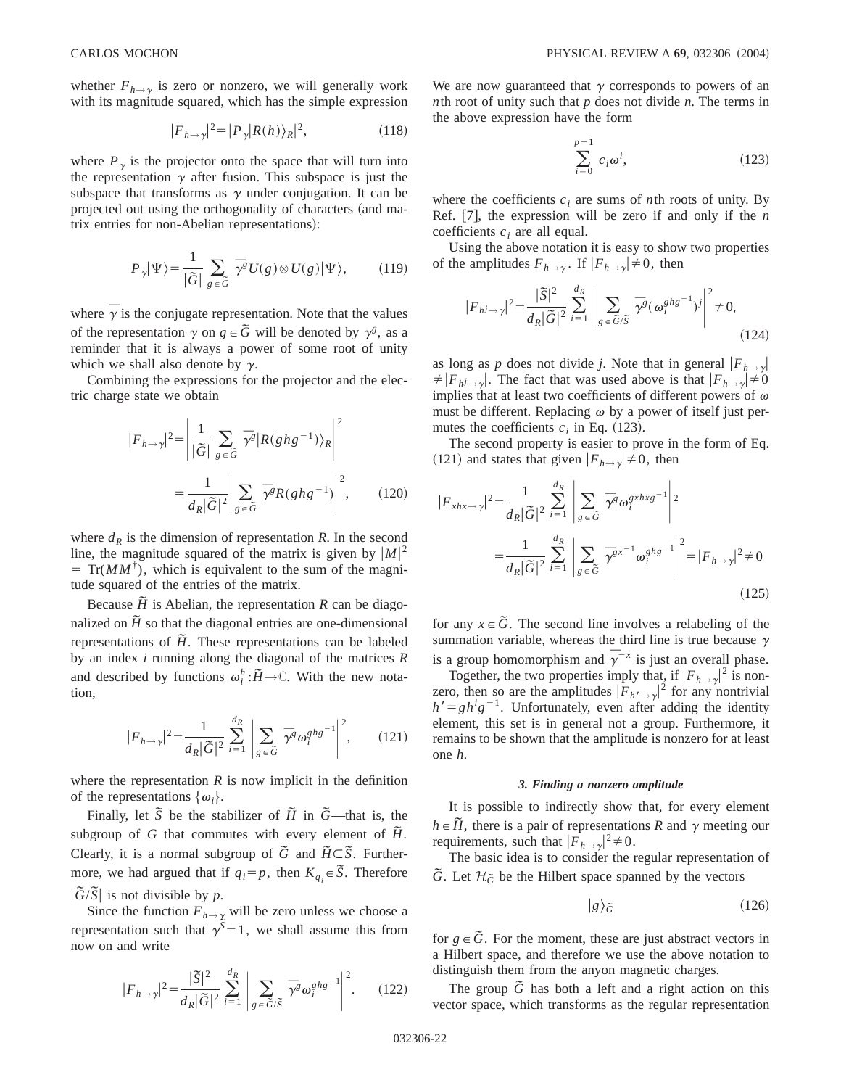whether  $F_{h\to\gamma}$  is zero or nonzero, we will generally work with its magnitude squared, which has the simple expression

$$
|F_{h\to\gamma}|^2 = |P_{\gamma}|R(h)\rangle_R|^2,\tag{118}
$$

where  $P_{\gamma}$  is the projector onto the space that will turn into the representation  $\gamma$  after fusion. This subspace is just the subspace that transforms as  $\gamma$  under conjugation. It can be projected out using the orthogonality of characters (and matrix entries for non-Abelian representations):

$$
P_{\gamma}|\Psi\rangle = \frac{1}{|\tilde{G}|} \sum_{g \in \tilde{G}} \bar{\gamma}^g U(g) \otimes U(g) |\Psi\rangle, \qquad (119)
$$

where  $\bar{\gamma}$  is the conjugate representation. Note that the values of the representation  $\gamma$  on  $g \in \tilde{G}$  will be denoted by  $\gamma^g$ , as a reminder that it is always a power of some root of unity which we shall also denote by  $\gamma$ .

Combining the expressions for the projector and the electric charge state we obtain

$$
|F_{h\to\gamma}|^2 = \left| \frac{1}{|\tilde{G}|} \sum_{g \in \tilde{G}} \overline{\gamma}^g |R(ghg^{-1})\rangle_R \right|^2
$$
  

$$
= \frac{1}{d_R |\tilde{G}|^2} \left| \sum_{g \in \tilde{G}} \overline{\gamma}^g R(ghg^{-1}) \right|^2, \qquad (120)
$$

where  $d<sub>R</sub>$  is the dimension of representation *R*. In the second line, the magnitude squared of the matrix is given by  $|M|^2$  $= Tr(M M^{\dagger})$ , which is equivalent to the sum of the magnitude squared of the entries of the matrix.

Because  $\tilde{H}$  is Abelian, the representation  $R$  can be diagonalized on  $\tilde{H}$  so that the diagonal entries are one-dimensional representations of  $\tilde{H}$ . These representations can be labeled by an index *i* running along the diagonal of the matrices *R* and described by functions  $\omega_i^h : \tilde{H} \to \mathbb{C}$ . With the new notation,

$$
|F_{h\to\gamma}|^2 = \frac{1}{d_R|\tilde{G}|^2} \sum_{i=1}^{d_R} \left| \sum_{g \in \tilde{G}} \bar{\gamma}^g \omega_i^{ghg^{-1}} \right|^2, \qquad (121)
$$

where the representation  $R$  is now implicit in the definition of the representations  $\{\omega_i\}$ .

Finally, let  $\overline{S}$  be the stabilizer of  $\overline{H}$  in  $\overline{G}$ —that is, the subgroup of *G* that commutes with every element of  $\tilde{H}$ . Clearly, it is a normal subgroup of  $\tilde{G}$  and  $\tilde{H}\subset \tilde{S}$ . Furthermore, we had argued that if  $q_i = p$ , then  $K_{q_i} \in \tilde{S}$ . Therefore  $|\tilde{G}/\tilde{S}|$  is not divisible by *p*.

Since the function  $F_{h\to\chi}$  will be zero unless we choose a representation such that  $\gamma^S = 1$ , we shall assume this from now on and write

$$
|F_{h\to\gamma}|^2 = \frac{|\widetilde{S}|^2}{d_R|\widetilde{G}|^2} \sum_{i=1}^{d_R} \left| \sum_{g \in \widetilde{G}/\widetilde{S}} \overline{\gamma}^g \omega_i^{ghg^{-1}} \right|^2. \tag{122}
$$

We are now guaranteed that  $\gamma$  corresponds to powers of an *n*th root of unity such that *p* does not divide *n*. The terms in the above expression have the form

$$
\sum_{i=0}^{p-1} c_i \omega^i, \tag{123}
$$

where the coefficients  $c_i$  are sums of *n*th roots of unity. By Ref.  $[7]$ , the expression will be zero if and only if the *n* coefficients *ci* are all equal.

Using the above notation it is easy to show two properties of the amplitudes  $F_{h\to\gamma}$ . If  $|F_{h\to\gamma}| \neq 0$ , then

$$
|F_{h^j \to \gamma}|^2 = \frac{|\tilde{S}|^2}{d_R |\tilde{G}|^2} \sum_{i=1}^{d_R} \left| \sum_{g \in \tilde{G}/\tilde{S}} \overline{\gamma}^g (\omega_i^{ghg^{-1}})^j \right|^2 \neq 0,
$$
\n(124)

as long as *p* does not divide *j*. Note that in general  $|F_{h\rightarrow\gamma}|$  $\neq$   $F_{h^j \to \gamma}$ . The fact that was used above is that  $|F_{h \to \gamma}| \neq 0$ implies that at least two coefficients of different powers of  $\omega$ must be different. Replacing  $\omega$  by a power of itself just permutes the coefficients  $c_i$  in Eq.  $(123)$ .

The second property is easier to prove in the form of Eq. (121) and states that given  $|F_{h\to\gamma}| \neq 0$ , then

$$
|F_{xhx \to \gamma}|^2 = \frac{1}{d_R |\tilde{G}|^2} \sum_{i=1}^{d_R} \left| \sum_{g \in \tilde{G}} \overline{\gamma}^g \omega_i^{g x h x g^{-1}} \right|^2
$$
  

$$
= \frac{1}{d_R |\tilde{G}|^2} \sum_{i=1}^{d_R} \left| \sum_{g \in \tilde{G}} \overline{\gamma}^{g x^{-1}} \omega_i^{g h g^{-1}} \right|^2 = |F_{h \to \gamma}|^2 \neq 0
$$
(125)

for any  $x \in \tilde{G}$ . The second line involves a relabeling of the summation variable, whereas the third line is true because  $\gamma$ is a group homomorphism and  $\bar{\gamma}^{-x}$  is just an overall phase.

Together, the two properties imply that, if  $|F_{h\to\gamma}|^2$  is nonzero, then so are the amplitudes  $|F_{h' \to \gamma}|^2$  for any nontrivial  $h' = gh<sup>i</sup>g<sup>-1</sup>$ . Unfortunately, even after adding the identity element, this set is in general not a group. Furthermore, it remains to be shown that the amplitude is nonzero for at least one *h*.

#### *3. Finding a nonzero amplitude*

It is possible to indirectly show that, for every element  $h \in \tilde{H}$ , there is a pair of representations *R* and  $\gamma$  meeting our requirements, such that  $|F_{h\rightarrow y}|^2 \neq 0$ .

The basic idea is to consider the regular representation of  $\tilde{G}$ . Let  $\mathcal{H}_{\tilde{G}}$  be the Hilbert space spanned by the vectors

$$
|g\rangle_{\tilde{G}}\tag{126}
$$

for  $g \in \tilde{G}$ . For the moment, these are just abstract vectors in a Hilbert space, and therefore we use the above notation to distinguish them from the anyon magnetic charges.

The group  $\tilde{G}$  has both a left and a right action on this vector space, which transforms as the regular representation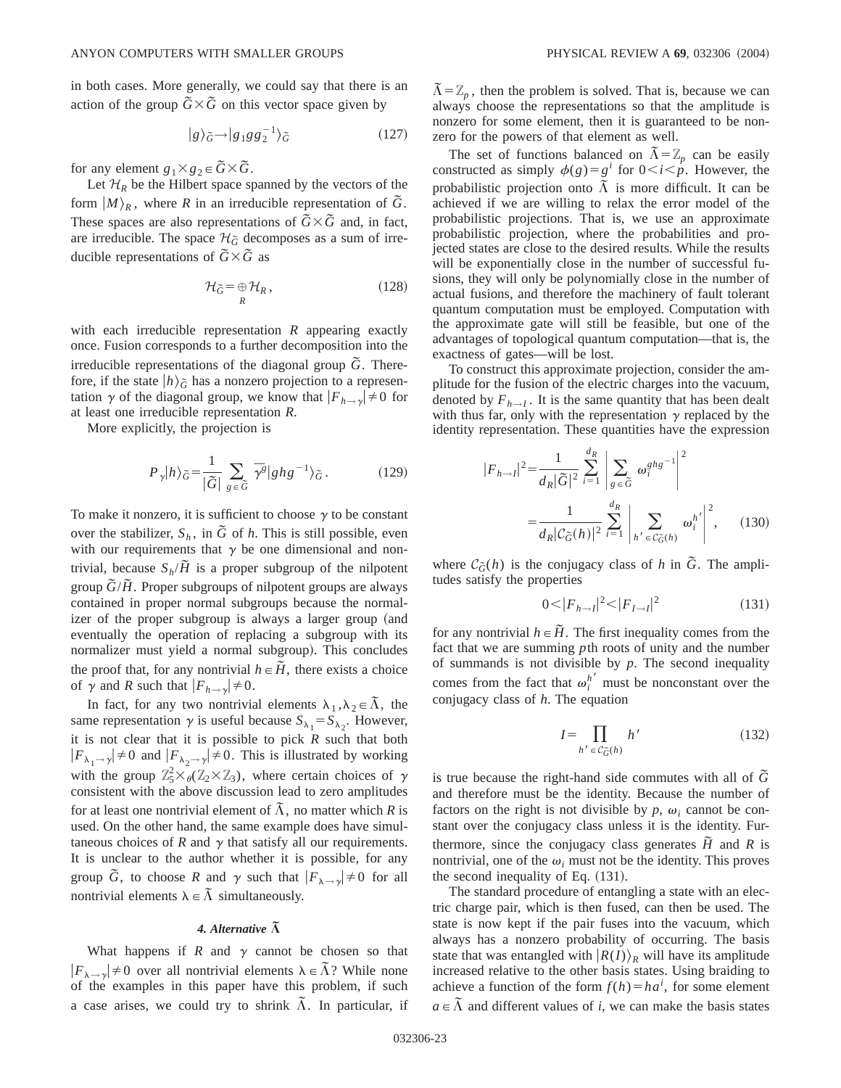in both cases. More generally, we could say that there is an action of the group  $\tilde{G} \times \tilde{G}$  on this vector space given by

$$
|g\rangle_{\tilde{G}} \rightarrow |g_1 g g_2^{-1}\rangle_{\tilde{G}} \tag{127}
$$

for any element  $g_1 \times g_2 \in \tilde{G} \times \tilde{G}$ .

Let  $\mathcal{H}_R$  be the Hilbert space spanned by the vectors of the form  $|M\rangle_R$ , where *R* in an irreducible representation of  $\tilde{G}$ . These spaces are also representations of  $\tilde{G} \times \tilde{G}$  and, in fact, are irreducible. The space  $\mathcal{H}_{\tilde{G}}$  decomposes as a sum of irreducible representations of  $\tilde{G} \times \tilde{G}$  as

$$
\mathcal{H}_{\tilde{G}} = \bigoplus_{R} \mathcal{H}_R, \qquad (128)
$$

with each irreducible representation *R* appearing exactly once. Fusion corresponds to a further decomposition into the irreducible representations of the diagonal group  $\tilde{G}$ . Therefore, if the state  $|h\rangle_{\tilde{G}}$  has a nonzero projection to a representation  $\gamma$  of the diagonal group, we know that  $|F_{h\rightarrow\gamma}| \neq 0$  for at least one irreducible representation *R*.

More explicitly, the projection is

$$
P_{\gamma}|h\rangle_{\tilde{G}} = \frac{1}{|\tilde{G}|} \sum_{g \in \tilde{G}} \bar{\gamma}^g |ghg^{-1}\rangle_{\tilde{G}}.
$$
 (129)

To make it nonzero, it is sufficient to choose  $\gamma$  to be constant over the stabilizer,  $S_h$ , in  $\tilde{G}$  of *h*. This is still possible, even with our requirements that  $\gamma$  be one dimensional and nontrivial, because  $S_h/\tilde{H}$  is a proper subgroup of the nilpotent group  $\tilde{G}/\tilde{H}$ . Proper subgroups of nilpotent groups are always contained in proper normal subgroups because the normalizer of the proper subgroup is always a larger group (and eventually the operation of replacing a subgroup with its normalizer must yield a normal subgroup). This concludes the proof that, for any nontrivial  $h \in \tilde{H}$ , there exists a choice of  $\gamma$  and *R* such that  $|F_{h\rightarrow\gamma}|\neq0$ .

In fact, for any two nontrivial elements  $\lambda_1, \lambda_2 \in \tilde{\Lambda}$ , the same representation  $\gamma$  is useful because  $S_{\lambda_1} = S_{\lambda_2}$ . However, it is not clear that it is possible to pick *R* such that both  $|F_{\lambda_1\to\gamma}|\neq0$  and  $|F_{\lambda_2\to\gamma}|\neq0$ . This is illustrated by working with the group  $\mathbb{Z}_5^2 \times \mathcal{A}(\mathbb{Z}_2 \times \mathbb{Z}_3)$ , where certain choices of  $\gamma$ consistent with the above discussion lead to zero amplitudes for at least one nontrivial element of  $\tilde{\Lambda}$ , no matter which *R* is used. On the other hand, the same example does have simultaneous choices of  $R$  and  $\gamma$  that satisfy all our requirements. It is unclear to the author whether it is possible, for any group  $\tilde{G}$ , to choose *R* and  $\gamma$  such that  $|F_{\lambda \to \gamma}| \neq 0$  for all nontrivial elements  $\lambda \in \tilde{\Lambda}$  simultaneously.

# 4. Alternative  $\tilde{\Lambda}$

What happens if  $R$  and  $\gamma$  cannot be chosen so that  $|F_{\lambda\rightarrow\nu}| \neq 0$  over all nontrivial elements  $\lambda \in \tilde{\Lambda}$ ? While none of the examples in this paper have this problem, if such a case arises, we could try to shrink  $\tilde{\Lambda}$ . In particular, if  $\overline{\Lambda} = \mathbb{Z}_p$ , then the problem is solved. That is, because we can always choose the representations so that the amplitude is nonzero for some element, then it is guaranteed to be nonzero for the powers of that element as well.

The set of functions balanced on  $\overline{\Lambda} = \mathbb{Z}_p$  can be easily constructed as simply  $\phi(g) = g^i$  for  $0 \lt i \lt p$ . However, the probabilistic projection onto  $\tilde{\Lambda}$  is more difficult. It can be achieved if we are willing to relax the error model of the probabilistic projections. That is, we use an approximate probabilistic projection, where the probabilities and projected states are close to the desired results. While the results will be exponentially close in the number of successful fusions, they will only be polynomially close in the number of actual fusions, and therefore the machinery of fault tolerant quantum computation must be employed. Computation with the approximate gate will still be feasible, but one of the advantages of topological quantum computation—that is, the exactness of gates—will be lost.

To construct this approximate projection, consider the amplitude for the fusion of the electric charges into the vacuum, denoted by  $F_{h\rightarrow I}$ . It is the same quantity that has been dealt with thus far, only with the representation  $\gamma$  replaced by the identity representation. These quantities have the expression

$$
|F_{h\to I}|^2 = \frac{1}{d_R|\tilde{G}|^2} \sum_{i=1}^{d_R} \left| \sum_{g \in \tilde{G}} \omega_i^{ghg^{-1}} \right|^2
$$

$$
= \frac{1}{d_R|\tilde{C}_0(h)|^2} \sum_{i=1}^{d_R} \left| \sum_{h' \in \tilde{C}_0(h)} \omega_i^{h'} \right|^2, \qquad (130)
$$

where  $C_{\tilde{G}}(h)$  is the conjugacy class of *h* in  $\tilde{G}$ . The amplitudes satisfy the properties

$$
0 < |F_{h \to l}|^2 < |F_{I \to l}|^2 \tag{131}
$$

for any nontrivial  $h \in \tilde{H}$ . The first inequality comes from the fact that we are summing *p*th roots of unity and the number of summands is not divisible by *p*. The second inequality comes from the fact that  $\omega_i^{h'}$  must be nonconstant over the conjugacy class of *h*. The equation

$$
I = \prod_{h' \in \mathcal{C}_{\tilde{G}}(h)} h'
$$
 (132)

is true because the right-hand side commutes with all of  $\tilde{G}$ and therefore must be the identity. Because the number of factors on the right is not divisible by  $p$ ,  $\omega_i$  cannot be constant over the conjugacy class unless it is the identity. Furthermore, since the conjugacy class generates  $\tilde{H}$  and  $R$  is nontrivial, one of the  $\omega_i$  must not be the identity. This proves the second inequality of Eq.  $(131)$ .

The standard procedure of entangling a state with an electric charge pair, which is then fused, can then be used. The state is now kept if the pair fuses into the vacuum, which always has a nonzero probability of occurring. The basis state that was entangled with  $|R(I)\rangle_R$  will have its amplitude increased relative to the other basis states. Using braiding to achieve a function of the form  $f(h) = ha^i$ , for some element  $a \in \overline{\Lambda}$  and different values of *i*, we can make the basis states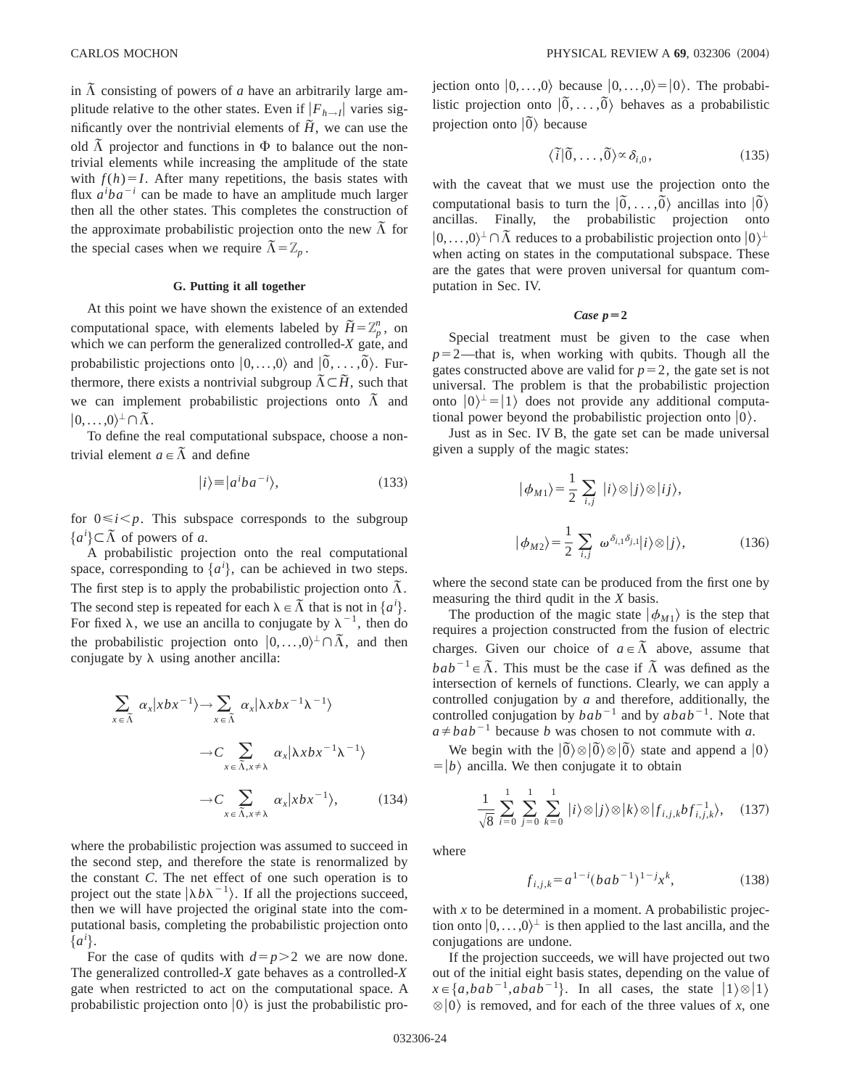in  $\tilde{\Lambda}$  consisting of powers of *a* have an arbitrarily large amplitude relative to the other states. Even if  $|F_{h\rightarrow I}|$  varies significantly over the nontrivial elements of  $\tilde{H}$ , we can use the old  $\tilde{\Lambda}$  projector and functions in  $\Phi$  to balance out the nontrivial elements while increasing the amplitude of the state with  $f(h)=I$ . After many repetitions, the basis states with flux  $a^i b a^{-i}$  can be made to have an amplitude much larger then all the other states. This completes the construction of the approximate probabilistic projection onto the new  $\tilde{\Lambda}$  for the special cases when we require  $\overline{\Lambda} = \mathbb{Z}_p$ .

## **G. Putting it all together**

At this point we have shown the existence of an extended computational space, with elements labeled by  $\widetilde{H} = \mathbb{Z}_p^n$ , on which we can perform the generalized controlled-*X* gate, and probabilistic projections onto  $|0, \ldots, 0\rangle$  and  $|\overline{0}, \ldots, \overline{0}\rangle$ . Furthermore, there exists a nontrivial subgroup  $\overline{\Lambda} \subset \overline{H}$ , such that we can implement probabilistic projections onto  $\tilde{\Lambda}$  and  $|0,\ldots,0\rangle^{\perp}\cap\tilde{\Lambda}.$ 

To define the real computational subspace, choose a nontrivial element  $a \in \tilde{\Lambda}$  and define

$$
|i\rangle \equiv |a^i b a^{-i}\rangle,\tag{133}
$$

for  $0 \le i \le p$ . This subspace corresponds to the subgroup  ${a^i} \subset \tilde{\Lambda}$  of powers of *a*.

A probabilistic projection onto the real computational space, corresponding to  $\{a^i\}$ , can be achieved in two steps. The first step is to apply the probabilistic projection onto  $\tilde{\Lambda}$ . The second step is repeated for each  $\lambda \in \overline{\Lambda}$  that is not in  $\{a^i\}$ . For fixed  $\lambda$ , we use an ancilla to conjugate by  $\lambda^{-1}$ , then do the probabilistic projection onto  $[0, \ldots, 0)^{\perp} \cap \overline{\Lambda}$ , and then conjugate by  $\lambda$  using another ancilla:

$$
\sum_{x \in \tilde{\Lambda}} \alpha_x | xbx^{-1} \rangle \rightarrow \sum_{x \in \tilde{\Lambda}} \alpha_x | \lambda xbx^{-1} \lambda^{-1} \rangle
$$
  
 
$$
\rightarrow C \sum_{x \in \tilde{\Lambda}, x \neq \lambda} \alpha_x | \lambda xbx^{-1} \lambda^{-1} \rangle
$$
  
 
$$
\rightarrow C \sum_{x \in \tilde{\Lambda}, x \neq \lambda} \alpha_x | xbx^{-1} \rangle, \qquad (134)
$$

where the probabilistic projection was assumed to succeed in the second step, and therefore the state is renormalized by the constant *C*. The net effect of one such operation is to project out the state  $\vert \lambda b \lambda^{-1} \rangle$ . If all the projections succeed, then we will have projected the original state into the computational basis, completing the probabilistic projection onto  $\{a^i\}.$ 

For the case of qudits with  $d=p>2$  we are now done. The generalized controlled-*X* gate behaves as a controlled-*X* gate when restricted to act on the computational space. A probabilistic projection onto  $|0\rangle$  is just the probabilistic projection onto  $|0, \ldots, 0\rangle$  because  $|0, \ldots, 0\rangle = |0\rangle$ . The probabilistic projection onto  $\left| \tilde{0}, \ldots, \tilde{0} \right\rangle$  behaves as a probabilistic projection onto  $|\tilde{0}\rangle$  because

$$
\langle \tilde{i}|\tilde{0},\ldots,\tilde{0}\rangle \propto \delta_{i,0},\qquad(135)
$$

with the caveat that we must use the projection onto the computational basis to turn the  $\vert \tilde{0}, \ldots, \tilde{0} \rangle$  ancillas into  $\vert \tilde{0} \rangle$ ancillas. Finally, the probabilistic projection onto  $|0,\ldots,0\rangle^{\perp} \cap \tilde{\Lambda}$  reduces to a probabilistic projection onto  $|0\rangle^{\perp}$ when acting on states in the computational subspace. These are the gates that were proven universal for quantum computation in Sec. IV.

# *Case*  $p = 2$

Special treatment must be given to the case when  $p=2$ —that is, when working with qubits. Though all the gates constructed above are valid for  $p=2$ , the gate set is not universal. The problem is that the probabilistic projection onto  $|0\rangle^{\perp} = |1\rangle$  does not provide any additional computational power beyond the probabilistic projection onto  $|0\rangle$ .

Just as in Sec. IV B, the gate set can be made universal given a supply of the magic states:

$$
|\phi_{M1}\rangle = \frac{1}{2} \sum_{i,j} |i\rangle \otimes |j\rangle \otimes |ij\rangle,
$$
  

$$
|\phi_{M2}\rangle = \frac{1}{2} \sum_{i,j} \omega^{\delta_{i,1}\delta_{j,1}} |i\rangle \otimes |j\rangle,
$$
 (136)

where the second state can be produced from the first one by measuring the third qudit in the *X* basis.

The production of the magic state  $|\phi_{M1}\rangle$  is the step that requires a projection constructed from the fusion of electric charges. Given our choice of  $a \in \tilde{\Lambda}$  above, assume that  $bab^{-1} \in \tilde{\Lambda}$ . This must be the case if  $\tilde{\Lambda}$  was defined as the intersection of kernels of functions. Clearly, we can apply a controlled conjugation by *a* and therefore, additionally, the controlled conjugation by  $bab^{-1}$  and by  $abab^{-1}$ . Note that  $a \neq bab^{-1}$  because *b* was chosen to not commute with *a*.

We begin with the  $|0\rangle \otimes |0\rangle \otimes |0\rangle$  state and append a  $|0\rangle$  $= |b\rangle$  ancilla. We then conjugate it to obtain

$$
\frac{1}{\sqrt{8}}\sum_{i=0}^{1}\sum_{j=0}^{1}\sum_{k=0}^{1}|i\rangle\otimes|j\rangle\otimes|k\rangle\otimes|f_{i,j,k}bf_{i,j,k}^{-1}\rangle,\quad(137)
$$

where

$$
f_{i,j,k} = a^{1-i} (bab^{-1})^{1-j} x^k,
$$
\n(138)

with *x* to be determined in a moment. A probabilistic projection onto  $\vert 0, \ldots, 0 \rangle^{\perp}$  is then applied to the last ancilla, and the conjugations are undone.

If the projection succeeds, we will have projected out two out of the initial eight basis states, depending on the value of  $x \in \{a, bab^{-1}, abab^{-1}\}.$  In all cases, the state  $|1\rangle \otimes |1\rangle$  $\otimes$  |0) is removed, and for each of the three values of *x*, one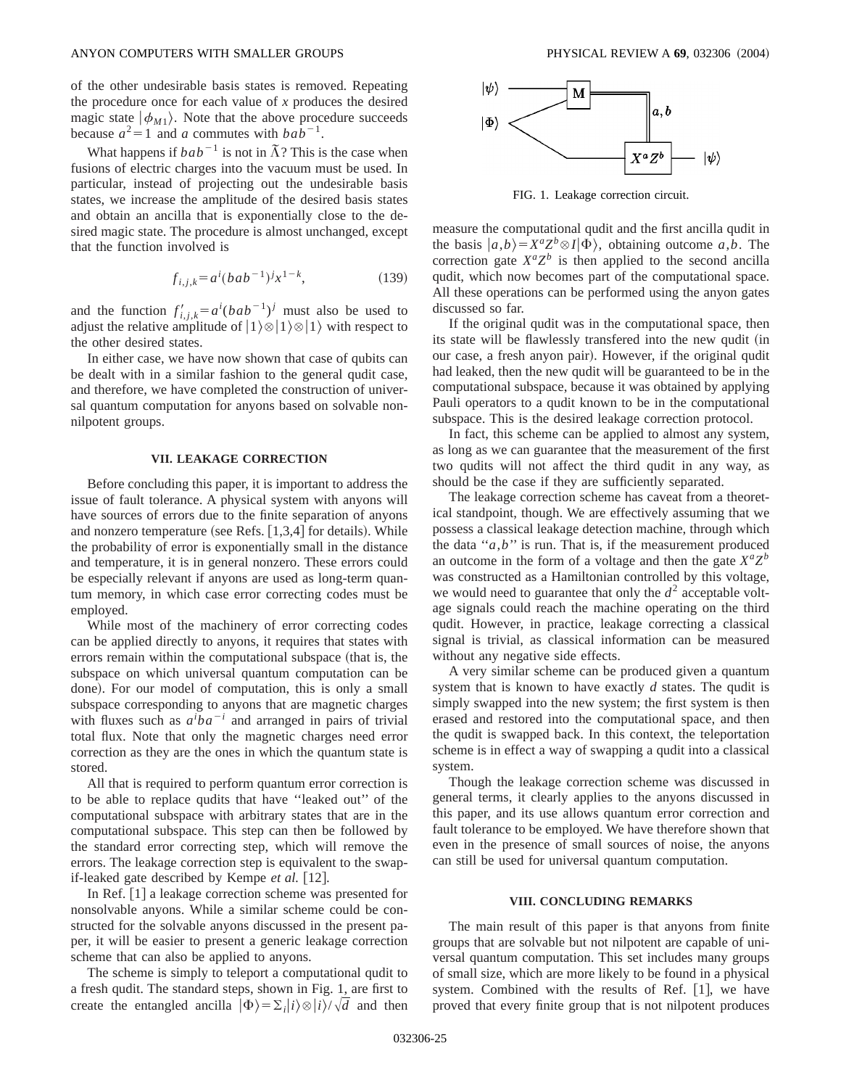of the other undesirable basis states is removed. Repeating the procedure once for each value of *x* produces the desired magic state  $|\phi_{M1}\rangle$ . Note that the above procedure succeeds because  $a^2=1$  and *a* commutes with  $bab^{-1}$ .

What happens if  $bab^{-1}$  is not in  $\tilde{\Lambda}$ ? This is the case when fusions of electric charges into the vacuum must be used. In particular, instead of projecting out the undesirable basis states, we increase the amplitude of the desired basis states and obtain an ancilla that is exponentially close to the desired magic state. The procedure is almost unchanged, except that the function involved is

$$
f_{i,j,k} = a^i (bab^{-1})^j x^{1-k}, \tag{139}
$$

and the function  $f'_{i,j,k} = a^{i}(bab^{-1})^{j}$  must also be used to adjust the relative amplitude of  $|1\rangle \otimes |1\rangle \otimes |1\rangle$  with respect to the other desired states.

In either case, we have now shown that case of qubits can be dealt with in a similar fashion to the general qudit case, and therefore, we have completed the construction of universal quantum computation for anyons based on solvable nonnilpotent groups.

# **VII. LEAKAGE CORRECTION**

Before concluding this paper, it is important to address the issue of fault tolerance. A physical system with anyons will have sources of errors due to the finite separation of anyons and nonzero temperature (see Refs.  $[1,3,4]$  for details). While the probability of error is exponentially small in the distance and temperature, it is in general nonzero. These errors could be especially relevant if anyons are used as long-term quantum memory, in which case error correcting codes must be employed.

While most of the machinery of error correcting codes can be applied directly to anyons, it requires that states with errors remain within the computational subspace (that is, the subspace on which universal quantum computation can be done). For our model of computation, this is only a small subspace corresponding to anyons that are magnetic charges with fluxes such as  $a^i b a^{-i}$  and arranged in pairs of trivial total flux. Note that only the magnetic charges need error correction as they are the ones in which the quantum state is stored.

All that is required to perform quantum error correction is to be able to replace qudits that have ''leaked out'' of the computational subspace with arbitrary states that are in the computational subspace. This step can then be followed by the standard error correcting step, which will remove the errors. The leakage correction step is equivalent to the swapif-leaked gate described by Kempe et al. [12].

In Ref.  $\lceil 1 \rceil$  a leakage correction scheme was presented for nonsolvable anyons. While a similar scheme could be constructed for the solvable anyons discussed in the present paper, it will be easier to present a generic leakage correction scheme that can also be applied to anyons.

The scheme is simply to teleport a computational qudit to a fresh qudit. The standard steps, shown in Fig. 1, are first to create the entangled ancilla  $|\Phi\rangle = \sum_i |i\rangle \otimes |i\rangle / \sqrt{d}$  and then



FIG. 1. Leakage correction circuit.

measure the computational qudit and the first ancilla qudit in the basis  $|a,b\rangle = X^a Z^b \otimes I | \Phi \rangle$ , obtaining outcome *a*,*b*. The correction gate  $X^a Z^b$  is then applied to the second ancilla qudit, which now becomes part of the computational space. All these operations can be performed using the anyon gates discussed so far.

If the original qudit was in the computational space, then its state will be flawlessly transfered into the new qudit (in our case, a fresh anyon pair). However, if the original qudit had leaked, then the new qudit will be guaranteed to be in the computational subspace, because it was obtained by applying Pauli operators to a qudit known to be in the computational subspace. This is the desired leakage correction protocol.

In fact, this scheme can be applied to almost any system, as long as we can guarantee that the measurement of the first two qudits will not affect the third qudit in any way, as should be the case if they are sufficiently separated.

The leakage correction scheme has caveat from a theoretical standpoint, though. We are effectively assuming that we possess a classical leakage detection machine, through which the data " $a$ , $b$ " is run. That is, if the measurement produced an outcome in the form of a voltage and then the gate  $X^a Z^b$ was constructed as a Hamiltonian controlled by this voltage, we would need to guarantee that only the  $d^2$  acceptable voltage signals could reach the machine operating on the third qudit. However, in practice, leakage correcting a classical signal is trivial, as classical information can be measured without any negative side effects.

A very similar scheme can be produced given a quantum system that is known to have exactly *d* states. The qudit is simply swapped into the new system; the first system is then erased and restored into the computational space, and then the qudit is swapped back. In this context, the teleportation scheme is in effect a way of swapping a qudit into a classical system.

Though the leakage correction scheme was discussed in general terms, it clearly applies to the anyons discussed in this paper, and its use allows quantum error correction and fault tolerance to be employed. We have therefore shown that even in the presence of small sources of noise, the anyons can still be used for universal quantum computation.

# **VIII. CONCLUDING REMARKS**

The main result of this paper is that anyons from finite groups that are solvable but not nilpotent are capable of universal quantum computation. This set includes many groups of small size, which are more likely to be found in a physical system. Combined with the results of Ref.  $[1]$ , we have proved that every finite group that is not nilpotent produces